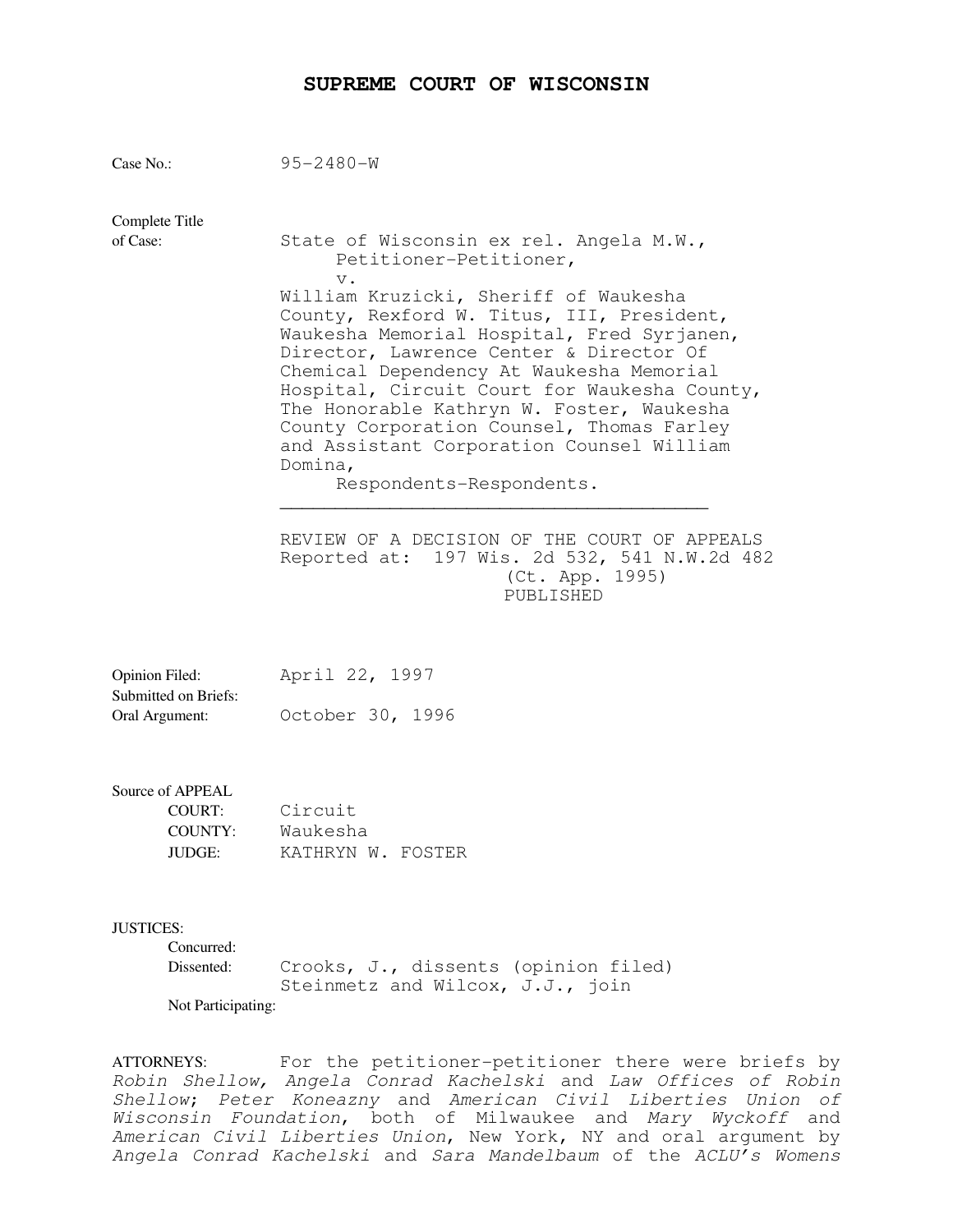## **SUPREME COURT OF WISCONSIN**

| Case No.:                                                          | $95 - 2480 - W$                                                                                                                                                                                                                                                                                                                                                                                                                                       |
|--------------------------------------------------------------------|-------------------------------------------------------------------------------------------------------------------------------------------------------------------------------------------------------------------------------------------------------------------------------------------------------------------------------------------------------------------------------------------------------------------------------------------------------|
| Complete Title<br>of Case:                                         | State of Wisconsin ex rel. Angela M.W.,<br>Petitioner-Petitioner,<br>$V$ .                                                                                                                                                                                                                                                                                                                                                                            |
|                                                                    | William Kruzicki, Sheriff of Waukesha<br>County, Rexford W. Titus, III, President,<br>Waukesha Memorial Hospital, Fred Syrjanen,<br>Director, Lawrence Center & Director Of<br>Chemical Dependency At Waukesha Memorial<br>Hospital, Circuit Court for Waukesha County,<br>The Honorable Kathryn W. Foster, Waukesha<br>County Corporation Counsel, Thomas Farley<br>and Assistant Corporation Counsel William<br>Domina,<br>Respondents-Respondents. |
|                                                                    | REVIEW OF A DECISION OF THE COURT OF APPEALS<br>Reported at: 197 Wis. 2d 532, 541 N.W.2d 482<br>(Ct. App. 1995)<br>PUBLISHED                                                                                                                                                                                                                                                                                                                          |
| Opinion Filed:<br>Submitted on Briefs:<br>Oral Argument:           | April 22, 1997<br>October 30, 1996                                                                                                                                                                                                                                                                                                                                                                                                                    |
| Source of APPEAL<br><b>COURT:</b><br><b>COUNTY:</b><br>JUDGE:      | Circuit<br>Waukesha<br>KATHRYN W. FOSTER                                                                                                                                                                                                                                                                                                                                                                                                              |
| <b>JUSTICES:</b><br>Concurred:<br>Dissented:<br>Not Participating: | Crooks, J., dissents (opinion filed)<br>Steinmetz and Wilcox, J.J., join                                                                                                                                                                                                                                                                                                                                                                              |
| <b>ATTORNEYS:</b>                                                  | For the petitioner-petitioner there were briefs by<br>Robin Shellow, Angela Conrad Kachelski and Law Offices of Robin                                                                                                                                                                                                                                                                                                                                 |

Shellow; Peter Koneazny and American Civil Liberties Union of Wisconsin Foundation, both of Milwaukee and Mary Wyckoff and American Civil Liberties Union, New York, NY and oral argument by Angela Conrad Kachelski and Sara Mandelbaum of the ACLU's Womens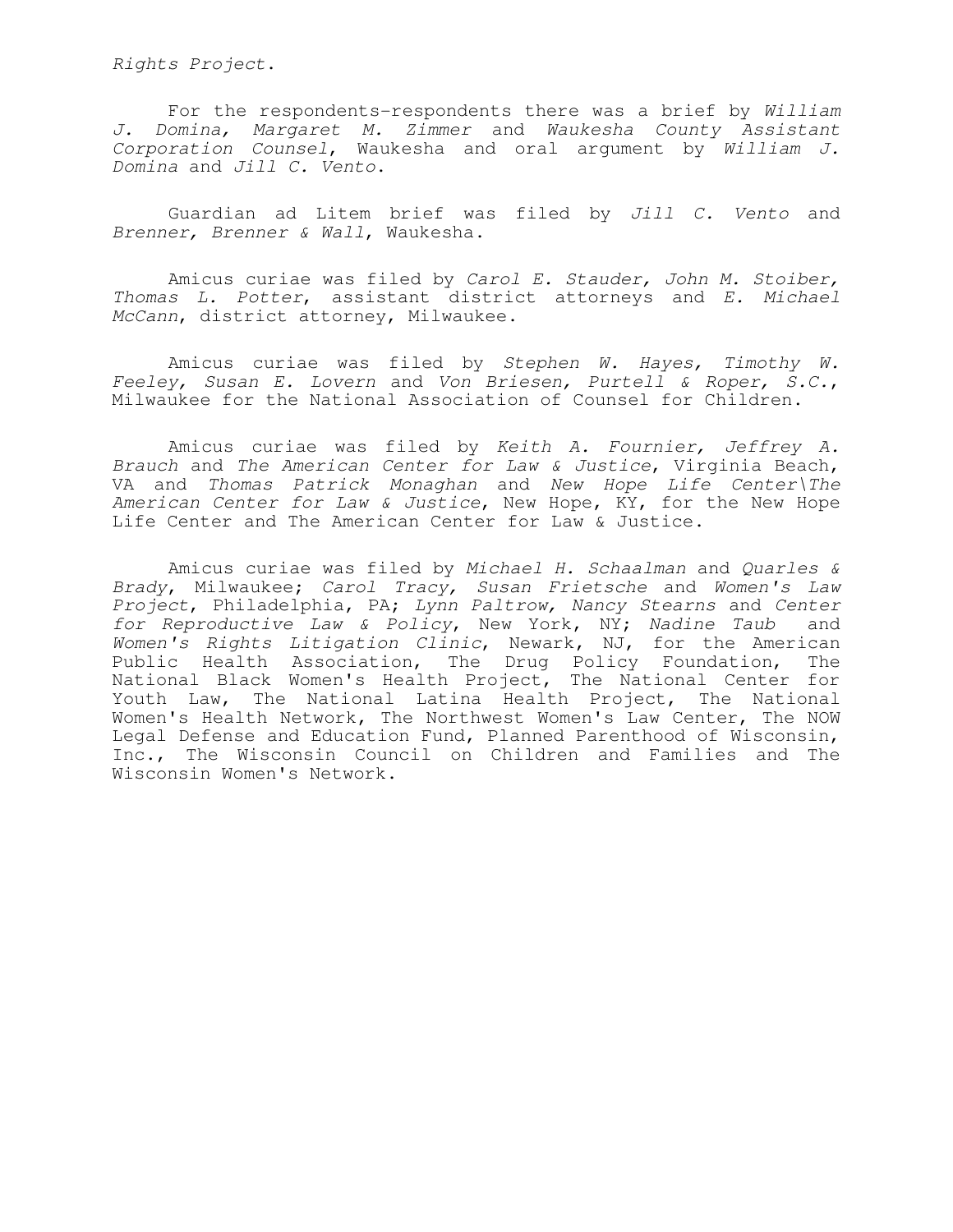Rights Project.

 For the respondents-respondents there was a brief by William J. Domina, Margaret M. Zimmer and Waukesha County Assistant Corporation Counsel, Waukesha and oral argument by William J. Domina and Jill C. Vento.

 Guardian ad Litem brief was filed by Jill C. Vento and Brenner, Brenner & Wall, Waukesha.

 Amicus curiae was filed by Carol E. Stauder, John M. Stoiber, Thomas L. Potter, assistant district attorneys and E. Michael McCann, district attorney, Milwaukee.

 Amicus curiae was filed by Stephen W. Hayes, Timothy W. Feeley, Susan E. Lovern and Von Briesen, Purtell & Roper, S.C., Milwaukee for the National Association of Counsel for Children.

 Amicus curiae was filed by Keith A. Fournier, Jeffrey A. Brauch and The American Center for Law & Justice, Virginia Beach, VA and Thomas Patrick Monaghan and New Hope Life Center\The American Center for Law & Justice, New Hope, KY, for the New Hope Life Center and The American Center for Law & Justice.

Amicus curiae was filed by Michael H. Schaalman and Quarles & Brady, Milwaukee; Carol Tracy, Susan Frietsche and Women's Law Project, Philadelphia, PA; Lynn Paltrow, Nancy Stearns and Center for Reproductive Law & Policy, New York, NY; Nadine Taub and Women's Rights Litigation Clinic, Newark, NJ, for the American Public Health Association, The Drug Policy Foundation, The National Black Women's Health Project, The National Center for Youth Law, The National Latina Health Project, The National Women's Health Network, The Northwest Women's Law Center, The NOW Legal Defense and Education Fund, Planned Parenthood of Wisconsin, Inc., The Wisconsin Council on Children and Families and The Wisconsin Women's Network.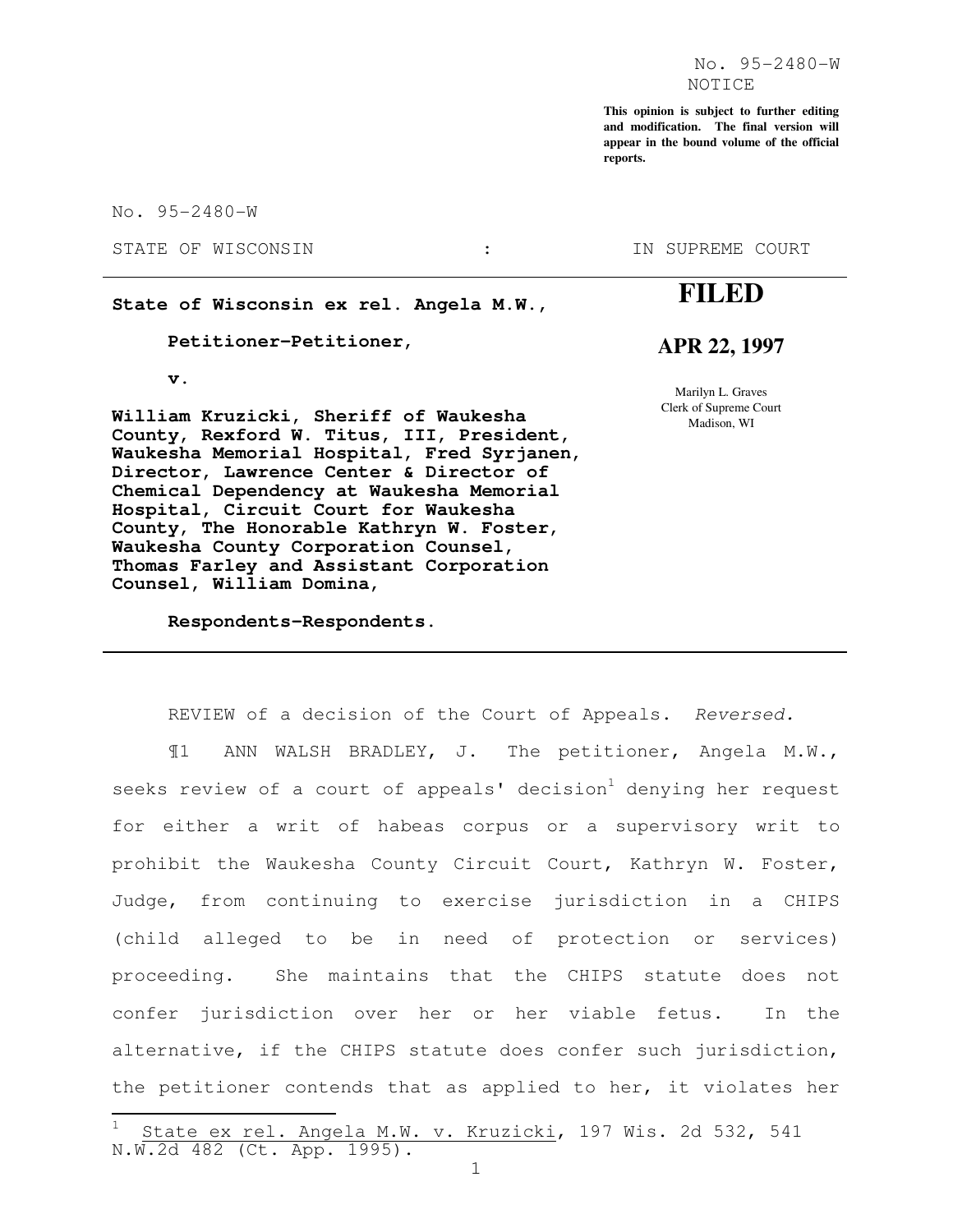**This opinion is subject to further editing and modification. The final version will appear in the bound volume of the official reports.**

No. 95-2480-W

STATE OF WISCONSIN :

**State of Wisconsin ex rel. Angela M.W.,** 

 **Petitioner-Petitioner,** 

 **v.** 

Ļ.

**William Kruzicki, Sheriff of Waukesha County, Rexford W. Titus, III, President, Waukesha Memorial Hospital, Fred Syrjanen, Director, Lawrence Center & Director of Chemical Dependency at Waukesha Memorial Hospital, Circuit Court for Waukesha County, The Honorable Kathryn W. Foster, Waukesha County Corporation Counsel, Thomas Farley and Assistant Corporation Counsel, William Domina,** 

 **Respondents-Respondents.** 

IN SUPREME COURT

# **FILED**

### **APR 22, 1997**

Marilyn L. Graves Clerk of Supreme Court Madison, WI

REVIEW of a decision of the Court of Appeals. Reversed.

¶1 ANN WALSH BRADLEY, J. The petitioner, Angela M.W., seeks review of a court of appeals' decision<sup>1</sup> denying her request for either a writ of habeas corpus or a supervisory writ to prohibit the Waukesha County Circuit Court, Kathryn W. Foster, Judge, from continuing to exercise jurisdiction in a CHIPS (child alleged to be in need of protection or services) proceeding. She maintains that the CHIPS statute does not confer jurisdiction over her or her viable fetus. In the alternative, if the CHIPS statute does confer such jurisdiction, the petitioner contends that as applied to her, it violates her

State ex rel. Angela M.W. v. Kruzicki, 197 Wis. 2d 532, 541 N.W.2d 482 (Ct. App. 1995).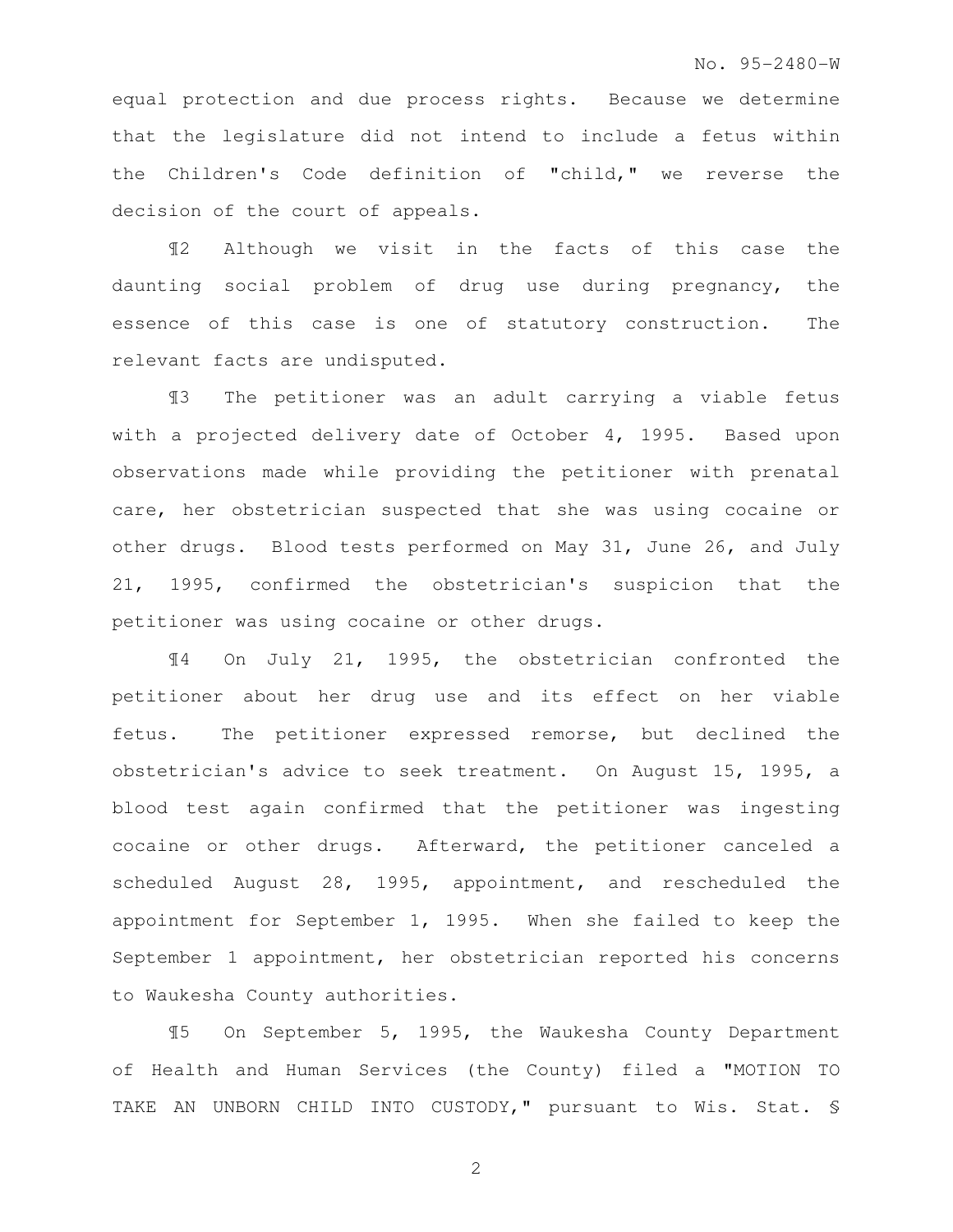#### No. 95-2480-W

equal protection and due process rights. Because we determine that the legislature did not intend to include a fetus within the Children's Code definition of "child," we reverse the decision of the court of appeals.

¶2 Although we visit in the facts of this case the daunting social problem of drug use during pregnancy, the essence of this case is one of statutory construction. The relevant facts are undisputed.

¶3 The petitioner was an adult carrying a viable fetus with a projected delivery date of October 4, 1995. Based upon observations made while providing the petitioner with prenatal care, her obstetrician suspected that she was using cocaine or other drugs. Blood tests performed on May 31, June 26, and July 21, 1995, confirmed the obstetrician's suspicion that the petitioner was using cocaine or other drugs.

¶4 On July 21, 1995, the obstetrician confronted the petitioner about her drug use and its effect on her viable fetus. The petitioner expressed remorse, but declined the obstetrician's advice to seek treatment. On August 15, 1995, a blood test again confirmed that the petitioner was ingesting cocaine or other drugs. Afterward, the petitioner canceled a scheduled August 28, 1995, appointment, and rescheduled the appointment for September 1, 1995. When she failed to keep the September 1 appointment, her obstetrician reported his concerns to Waukesha County authorities.

¶5 On September 5, 1995, the Waukesha County Department of Health and Human Services (the County) filed a "MOTION TO TAKE AN UNBORN CHILD INTO CUSTODY," pursuant to Wis. Stat. §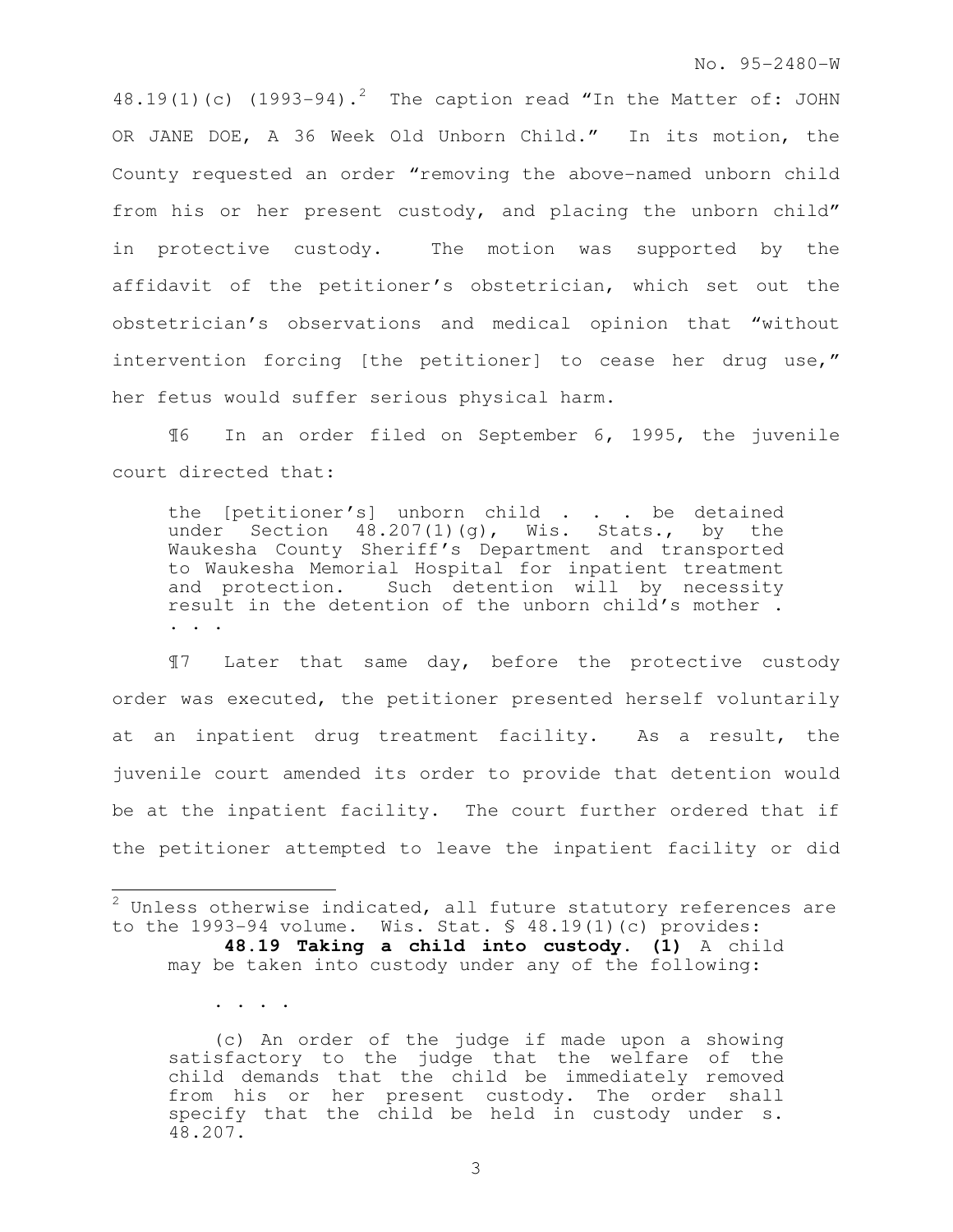48.19(1)(c) (1993-94).<sup>2</sup> The caption read "In the Matter of: JOHN OR JANE DOE, A 36 Week Old Unborn Child." In its motion, the County requested an order "removing the above-named unborn child from his or her present custody, and placing the unborn child" in protective custody. The motion was supported by the affidavit of the petitioner's obstetrician, which set out the obstetrician's observations and medical opinion that "without intervention forcing [the petitioner] to cease her drug use," her fetus would suffer serious physical harm.

¶6 In an order filed on September 6, 1995, the juvenile court directed that:

the [petitioner's] unborn child . . . be detained under Section 48.207(1)(g), Wis. Stats., by the Waukesha County Sheriff's Department and transported to Waukesha Memorial Hospital for inpatient treatment and protection. Such detention will by necessity result in the detention of the unborn child's mother . . . .

¶7 Later that same day, before the protective custody order was executed, the petitioner presented herself voluntarily at an inpatient drug treatment facility. As a result, the juvenile court amended its order to provide that detention would be at the inpatient facility. The court further ordered that if the petitioner attempted to leave the inpatient facility or did

 $\overline{a}$ 

. . . .

 (c) An order of the judge if made upon a showing satisfactory to the judge that the welfare of the child demands that the child be immediately removed from his or her present custody. The order shall specify that the child be held in custody under s. 48.207.

 $^{2}$  Unless otherwise indicated, all future statutory references are to the 1993-94 volume. Wis. Stat.  $\frac{1}{2}$  48.19(1)(c) provides: **48.19 Taking a child into custody. (1)** A child

may be taken into custody under any of the following: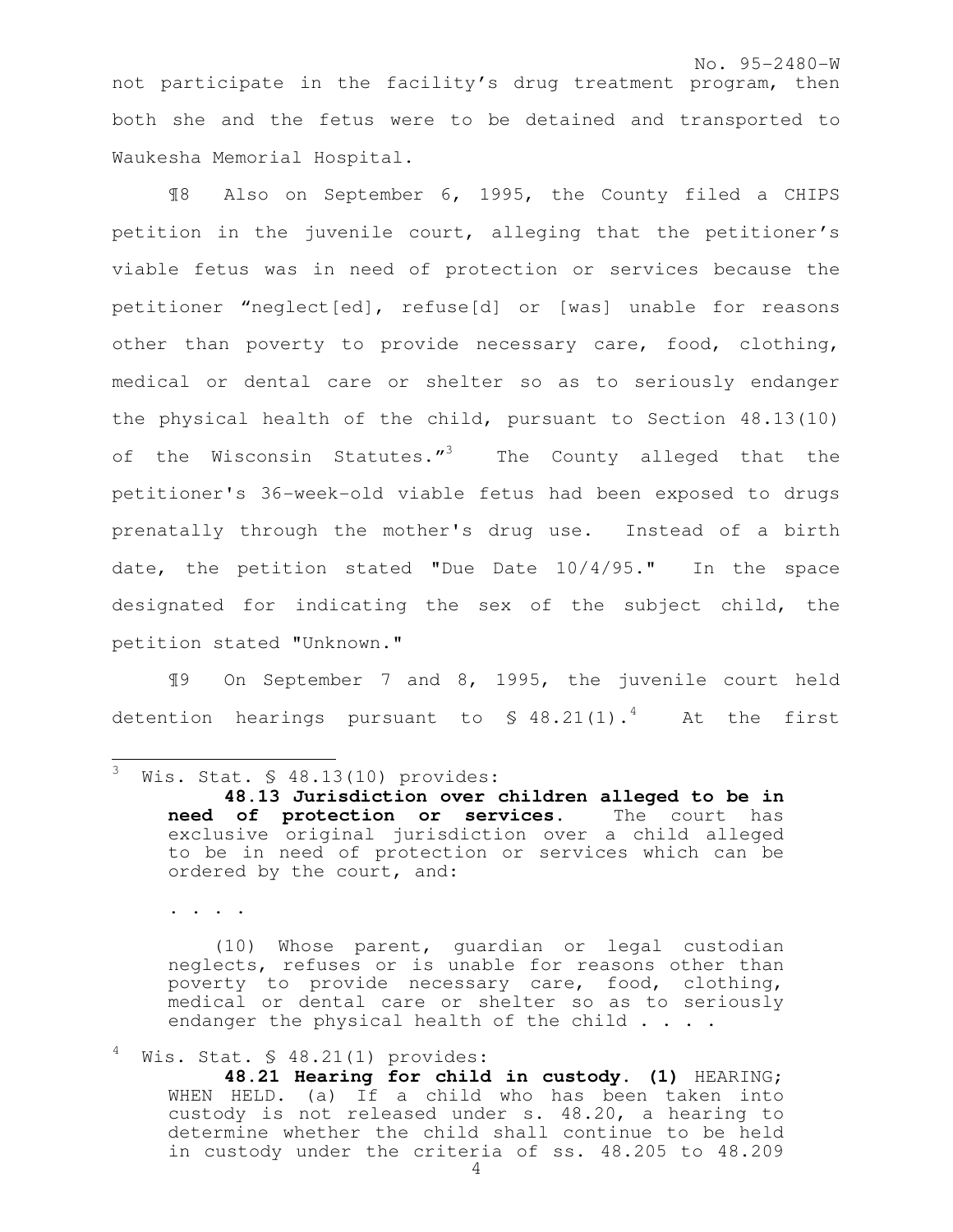not participate in the facility's drug treatment program, then both she and the fetus were to be detained and transported to Waukesha Memorial Hospital.

¶8 Also on September 6, 1995, the County filed a CHIPS petition in the juvenile court, alleging that the petitioner's viable fetus was in need of protection or services because the petitioner "neglect[ed], refuse[d] or [was] unable for reasons other than poverty to provide necessary care, food, clothing, medical or dental care or shelter so as to seriously endanger the physical health of the child, pursuant to Section 48.13(10) of the Wisconsin Statutes."<sup>3</sup> The County alleged that the petitioner's 36-week-old viable fetus had been exposed to drugs prenatally through the mother's drug use. Instead of a birth date, the petition stated "Due Date 10/4/95." In the space designated for indicating the sex of the subject child, the petition stated "Unknown."

¶9 On September 7 and 8, 1995, the juvenile court held detention hearings pursuant to  $\frac{1}{2}$  48.21(1).<sup>4</sup> At the first

. . . .

 (10) Whose parent, guardian or legal custodian neglects, refuses or is unable for reasons other than poverty to provide necessary care, food, clothing, medical or dental care or shelter so as to seriously endanger the physical health of the child  $\ldots$ .

Wis. Stat. § 48.21(1) provides:

**48.21 Hearing for child in custody. (1)** HEARING; WHEN HELD. (a) If a child who has been taken into custody is not released under s. 48.20, a hearing to determine whether the child shall continue to be held in custody under the criteria of ss. 48.205 to 48.209

<sup>3</sup> Wis. Stat. § 48.13(10) provides:

**<sup>48.13</sup> Jurisdiction over children alleged to be in need of protection or services.** The court has exclusive original jurisdiction over a child alleged to be in need of protection or services which can be ordered by the court, and: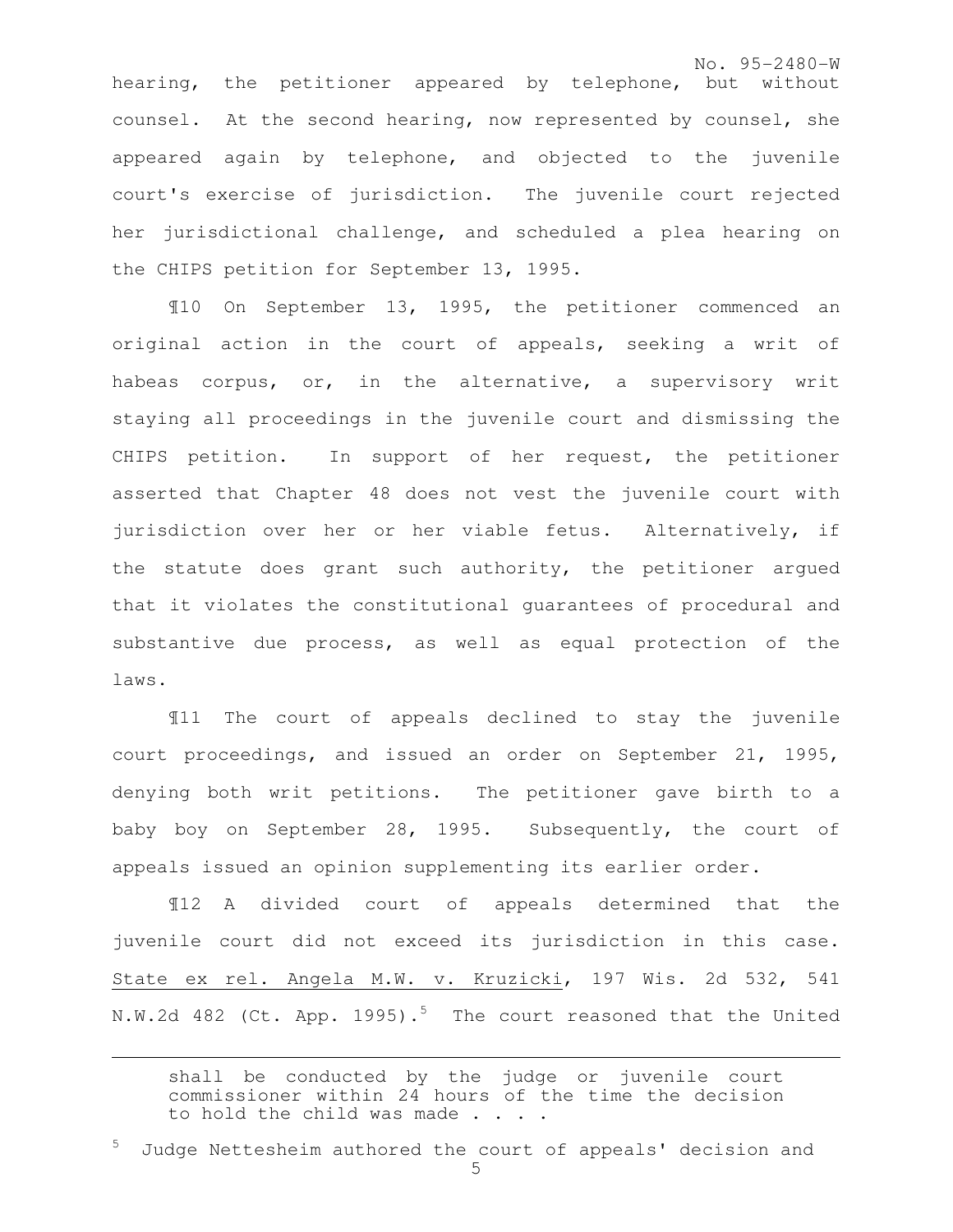No. 95-2480-W

hearing, the petitioner appeared by telephone, but without counsel. At the second hearing, now represented by counsel, she appeared again by telephone, and objected to the juvenile court's exercise of jurisdiction. The juvenile court rejected her jurisdictional challenge, and scheduled a plea hearing on the CHIPS petition for September 13, 1995.

¶10 On September 13, 1995, the petitioner commenced an original action in the court of appeals, seeking a writ of habeas corpus, or, in the alternative, a supervisory writ staying all proceedings in the juvenile court and dismissing the CHIPS petition. In support of her request, the petitioner asserted that Chapter 48 does not vest the juvenile court with jurisdiction over her or her viable fetus. Alternatively, if the statute does grant such authority, the petitioner argued that it violates the constitutional guarantees of procedural and substantive due process, as well as equal protection of the laws.

¶11 The court of appeals declined to stay the juvenile court proceedings, and issued an order on September 21, 1995, denying both writ petitions. The petitioner gave birth to a baby boy on September 28, 1995. Subsequently, the court of appeals issued an opinion supplementing its earlier order.

¶12 A divided court of appeals determined that the juvenile court did not exceed its jurisdiction in this case. State ex rel. Angela M.W. v. Kruzicki, 197 Wis. 2d 532, 541 N.W.2d 482 (Ct. App. 1995).<sup>5</sup> The court reasoned that the United

shall be conducted by the judge or juvenile court commissioner within 24 hours of the time the decision to hold the child was made . . . .

Judge Nettesheim authored the court of appeals' decision and

e<br>S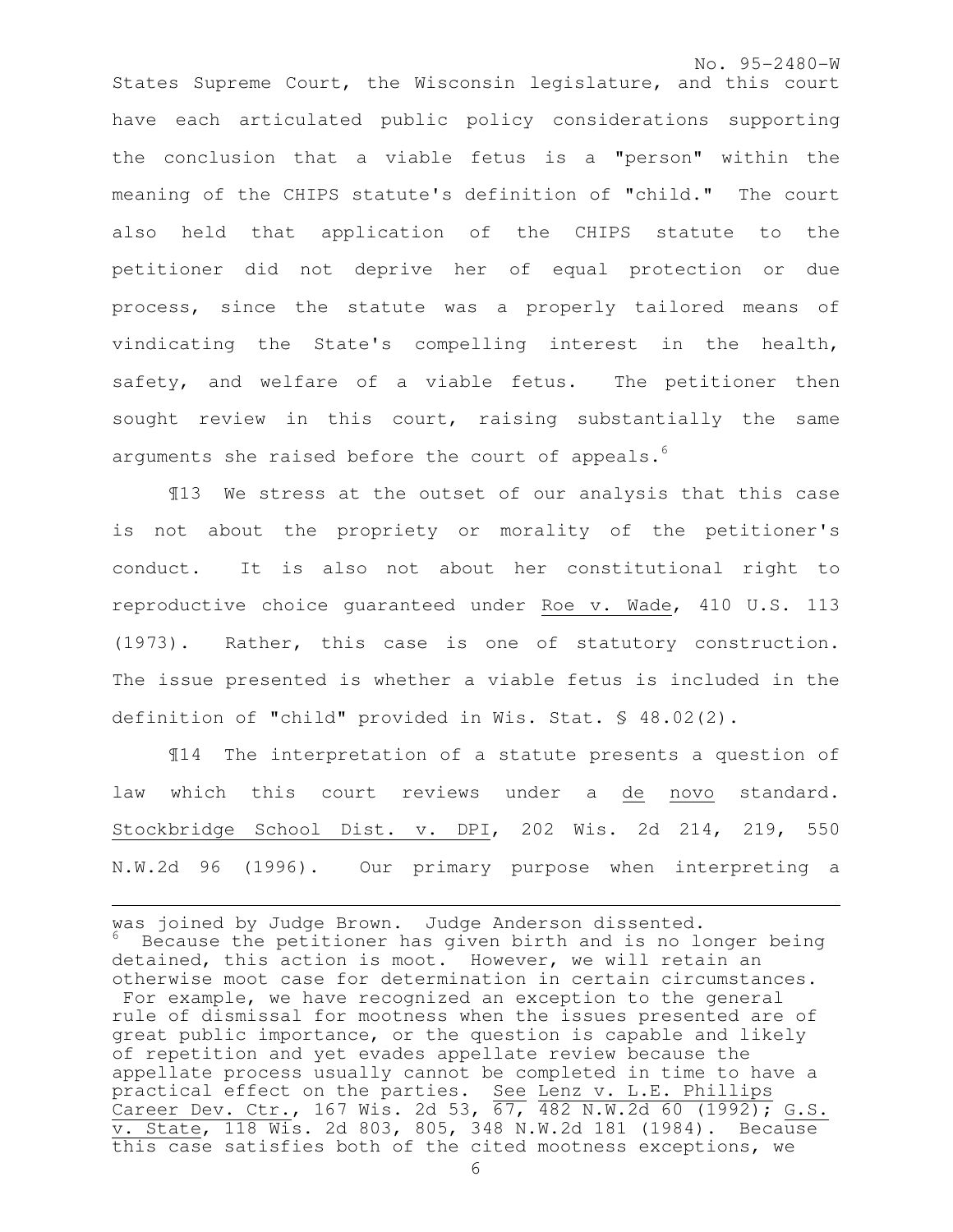No. 95-2480-W States Supreme Court, the Wisconsin legislature, and this court have each articulated public policy considerations supporting the conclusion that a viable fetus is a "person" within the meaning of the CHIPS statute's definition of "child." The court also held that application of the CHIPS statute to the petitioner did not deprive her of equal protection or due process, since the statute was a properly tailored means of vindicating the State's compelling interest in the health, safety, and welfare of a viable fetus. The petitioner then sought review in this court, raising substantially the same arguments she raised before the court of appeals.<sup>6</sup>

¶13 We stress at the outset of our analysis that this case is not about the propriety or morality of the petitioner's conduct. It is also not about her constitutional right to reproductive choice guaranteed under Roe v. Wade, 410 U.S. 113 (1973). Rather, this case is one of statutory construction. The issue presented is whether a viable fetus is included in the definition of "child" provided in Wis. Stat. § 48.02(2).

¶14 The interpretation of a statute presents a question of law which this court reviews under a de novo standard. Stockbridge School Dist. v. DPI, 202 Wis. 2d 214, 219, 550 N.W.2d 96 (1996). Our primary purpose when interpreting a

e<br>S

was joined by Judge Brown. Judge Anderson dissented. Because the petitioner has given birth and is no longer being detained, this action is moot. However, we will retain an otherwise moot case for determination in certain circumstances. For example, we have recognized an exception to the general rule of dismissal for mootness when the issues presented are of great public importance, or the question is capable and likely of repetition and yet evades appellate review because the appellate process usually cannot be completed in time to have a practical effect on the parties. See Lenz v. L.E. Phillips Career Dev. Ctr., 167 Wis. 2d 53, 67, 482 N.W.2d 60 (1992); G.S. v. State, 118 Wis. 2d 803, 805, 348 N.W.2d 181 (1984). Because this case satisfies both of the cited mootness exceptions, we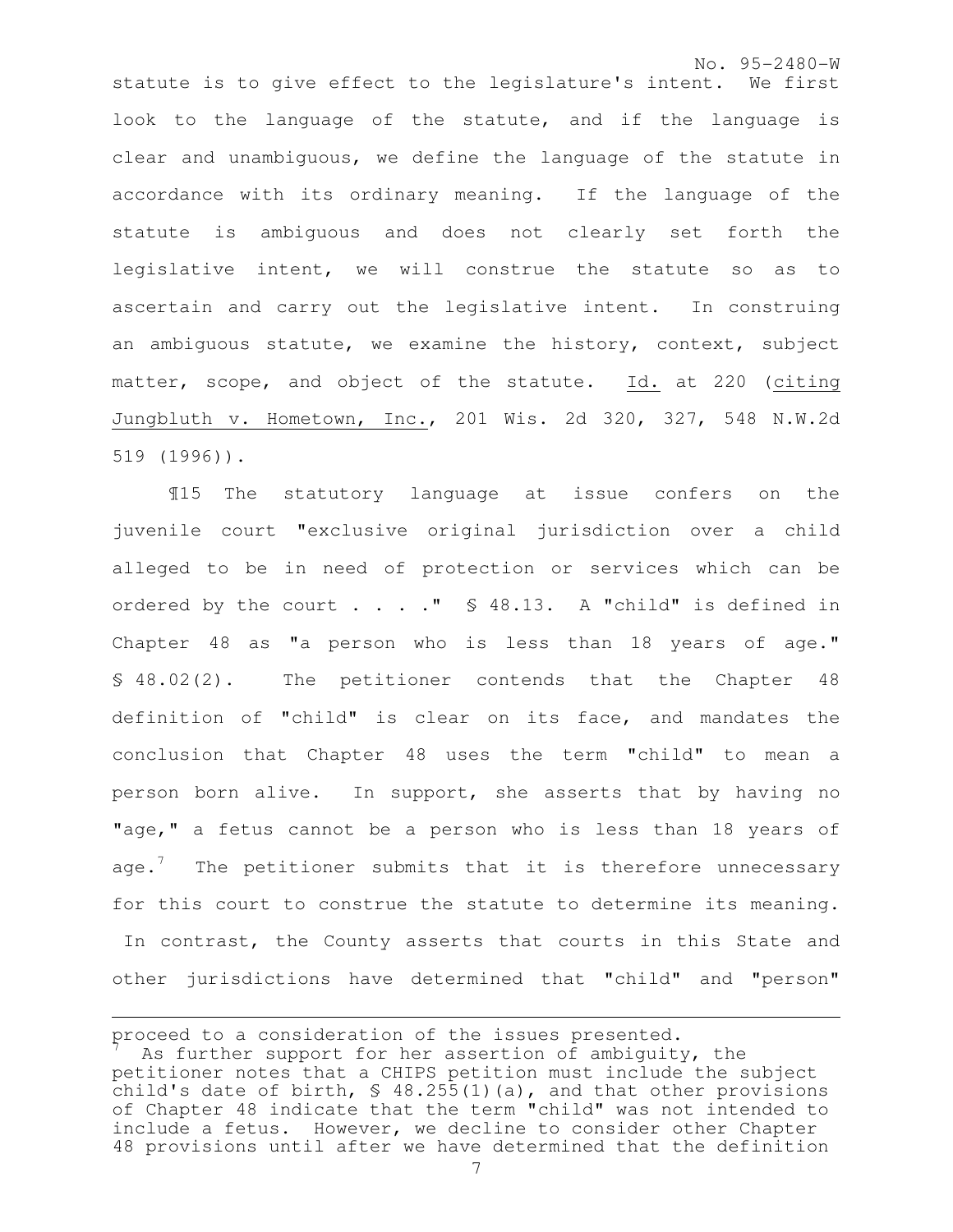No. 95-2480-W statute is to give effect to the legislature's intent. We first look to the language of the statute, and if the language is clear and unambiguous, we define the language of the statute in accordance with its ordinary meaning. If the language of the statute is ambiguous and does not clearly set forth the legislative intent, we will construe the statute so as to ascertain and carry out the legislative intent. In construing an ambiguous statute, we examine the history, context, subject matter, scope, and object of the statute. Id. at 220 (citing Jungbluth v. Hometown, Inc., 201 Wis. 2d 320, 327, 548 N.W.2d 519 (1996)).

 ¶15 The statutory language at issue confers on the juvenile court "exclusive original jurisdiction over a child alleged to be in need of protection or services which can be ordered by the court . . . . " § 48.13. A "child" is defined in Chapter 48 as "a person who is less than 18 years of age." § 48.02(2). The petitioner contends that the Chapter 48 definition of "child" is clear on its face, and mandates the conclusion that Chapter 48 uses the term "child" to mean a person born alive. In support, she asserts that by having no "age," a fetus cannot be a person who is less than 18 years of age. $\frac{7}{1}$  The petitioner submits that it is therefore unnecessary for this court to construe the statute to determine its meaning. In contrast, the County asserts that courts in this State and other jurisdictions have determined that "child" and "person"

proceed to a consideration of the issues presented.

As further support for her assertion of ambiguity, the petitioner notes that a CHIPS petition must include the subject child's date of birth, § 48.255(1)(a), and that other provisions of Chapter 48 indicate that the term "child" was not intended to include a fetus. However, we decline to consider other Chapter 48 provisions until after we have determined that the definition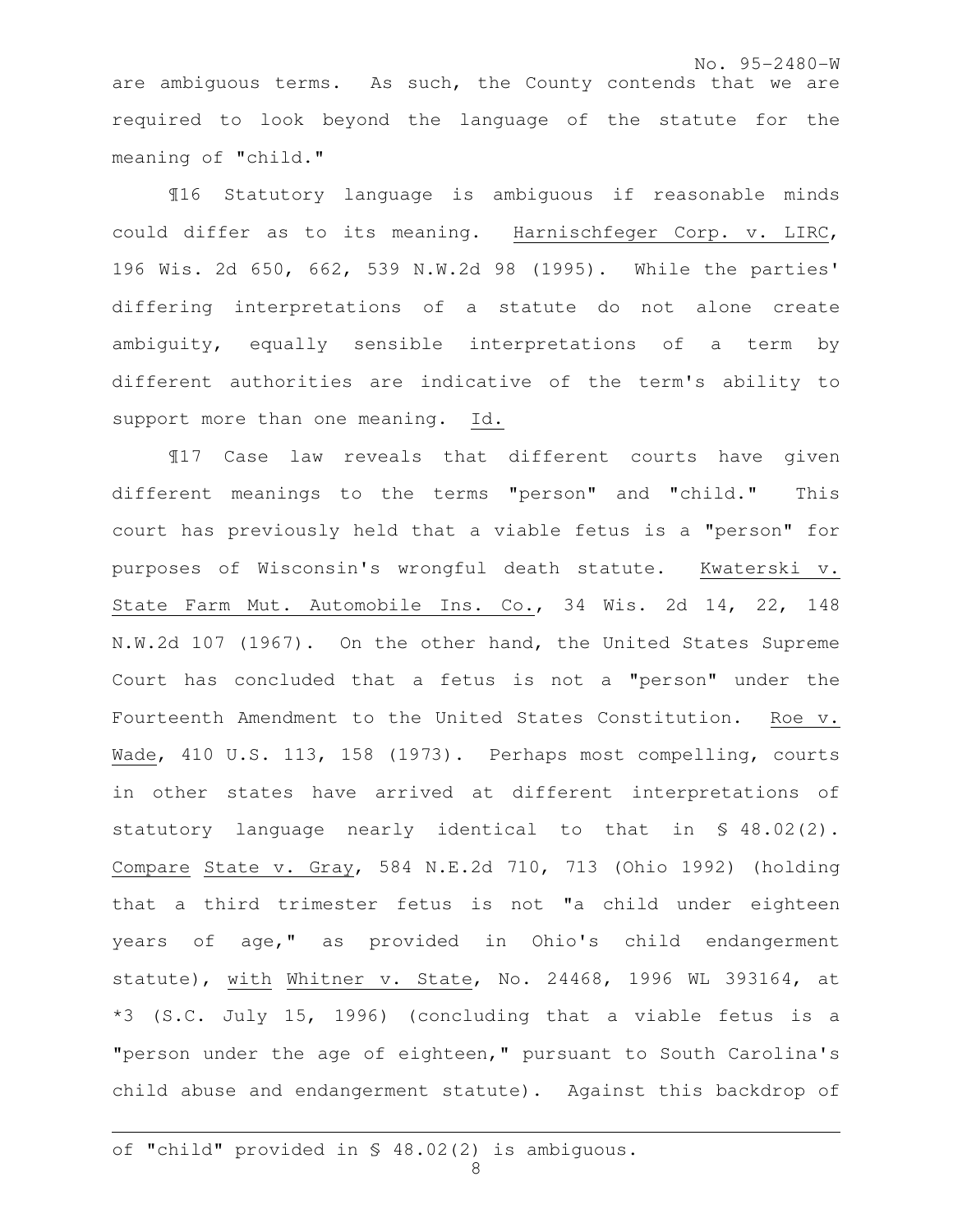No. 95-2480-W are ambiguous terms. As such, the County contends that we are required to look beyond the language of the statute for the meaning of "child."

 ¶16 Statutory language is ambiguous if reasonable minds could differ as to its meaning. Harnischfeger Corp. v. LIRC, 196 Wis. 2d 650, 662, 539 N.W.2d 98 (1995). While the parties' differing interpretations of a statute do not alone create ambiguity, equally sensible interpretations of a term by different authorities are indicative of the term's ability to support more than one meaning. Id.

¶17 Case law reveals that different courts have given different meanings to the terms "person" and "child." This court has previously held that a viable fetus is a "person" for purposes of Wisconsin's wrongful death statute. Kwaterski v. State Farm Mut. Automobile Ins. Co., 34 Wis. 2d 14, 22, 148 N.W.2d 107 (1967). On the other hand, the United States Supreme Court has concluded that a fetus is not a "person" under the Fourteenth Amendment to the United States Constitution. Roe v. Wade, 410 U.S. 113, 158 (1973). Perhaps most compelling, courts in other states have arrived at different interpretations of statutory language nearly identical to that in § 48.02(2). Compare State v. Gray, 584 N.E.2d 710, 713 (Ohio 1992) (holding that a third trimester fetus is not "a child under eighteen years of age," as provided in Ohio's child endangerment statute), with Whitner v. State, No. 24468, 1996 WL 393164, at \*3 (S.C. July 15, 1996) (concluding that a viable fetus is a "person under the age of eighteen," pursuant to South Carolina's child abuse and endangerment statute). Against this backdrop of

e<br>S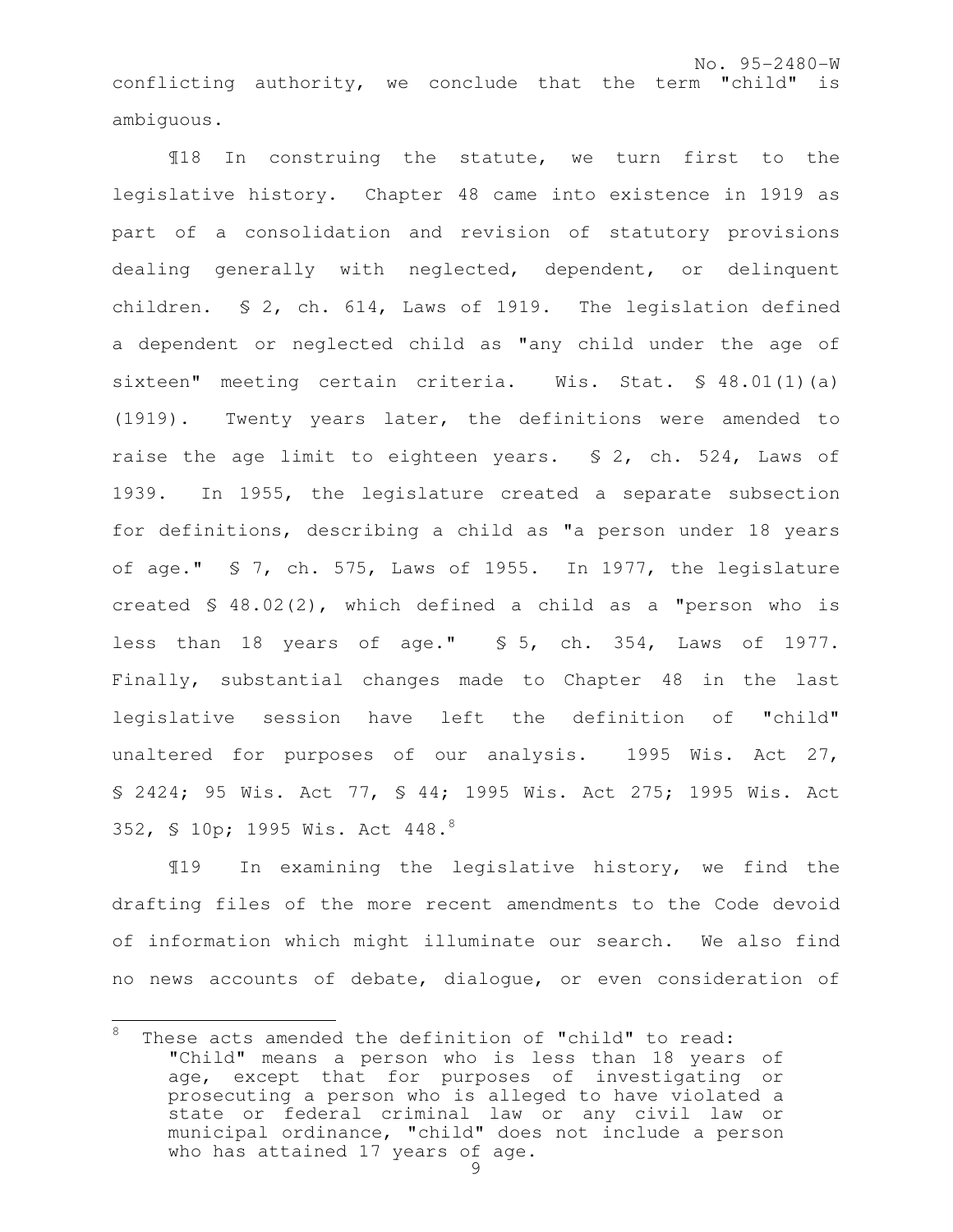No. 95-2480-W conflicting authority, we conclude that the term "child" is ambiguous.

¶18 In construing the statute, we turn first to the legislative history. Chapter 48 came into existence in 1919 as part of a consolidation and revision of statutory provisions dealing generally with neglected, dependent, or delinquent children. § 2, ch. 614, Laws of 1919. The legislation defined a dependent or neglected child as "any child under the age of sixteen" meeting certain criteria. Wis. Stat. § 48.01(1)(a) (1919). Twenty years later, the definitions were amended to raise the age limit to eighteen years. \$ 2, ch. 524, Laws of 1939. In 1955, the legislature created a separate subsection for definitions, describing a child as "a person under 18 years of age." § 7, ch. 575, Laws of 1955. In 1977, the legislature created § 48.02(2), which defined a child as a "person who is less than 18 years of age." § 5, ch. 354, Laws of 1977. Finally, substantial changes made to Chapter 48 in the last legislative session have left the definition of "child" unaltered for purposes of our analysis. 1995 Wis. Act 27, § 2424; 95 Wis. Act 77, § 44; 1995 Wis. Act 275; 1995 Wis. Act 352, § 10p; 1995 Wis. Act 448.<sup>8</sup>

¶19 In examining the legislative history, we find the drafting files of the more recent amendments to the Code devoid of information which might illuminate our search. We also find no news accounts of debate, dialogue, or even consideration of

<sup>8</sup> These acts amended the definition of "child" to read: "Child" means a person who is less than 18 years of age, except that for purposes of investigating or prosecuting a person who is alleged to have violated a state or federal criminal law or any civil law or municipal ordinance, "child" does not include a person who has attained 17 years of age.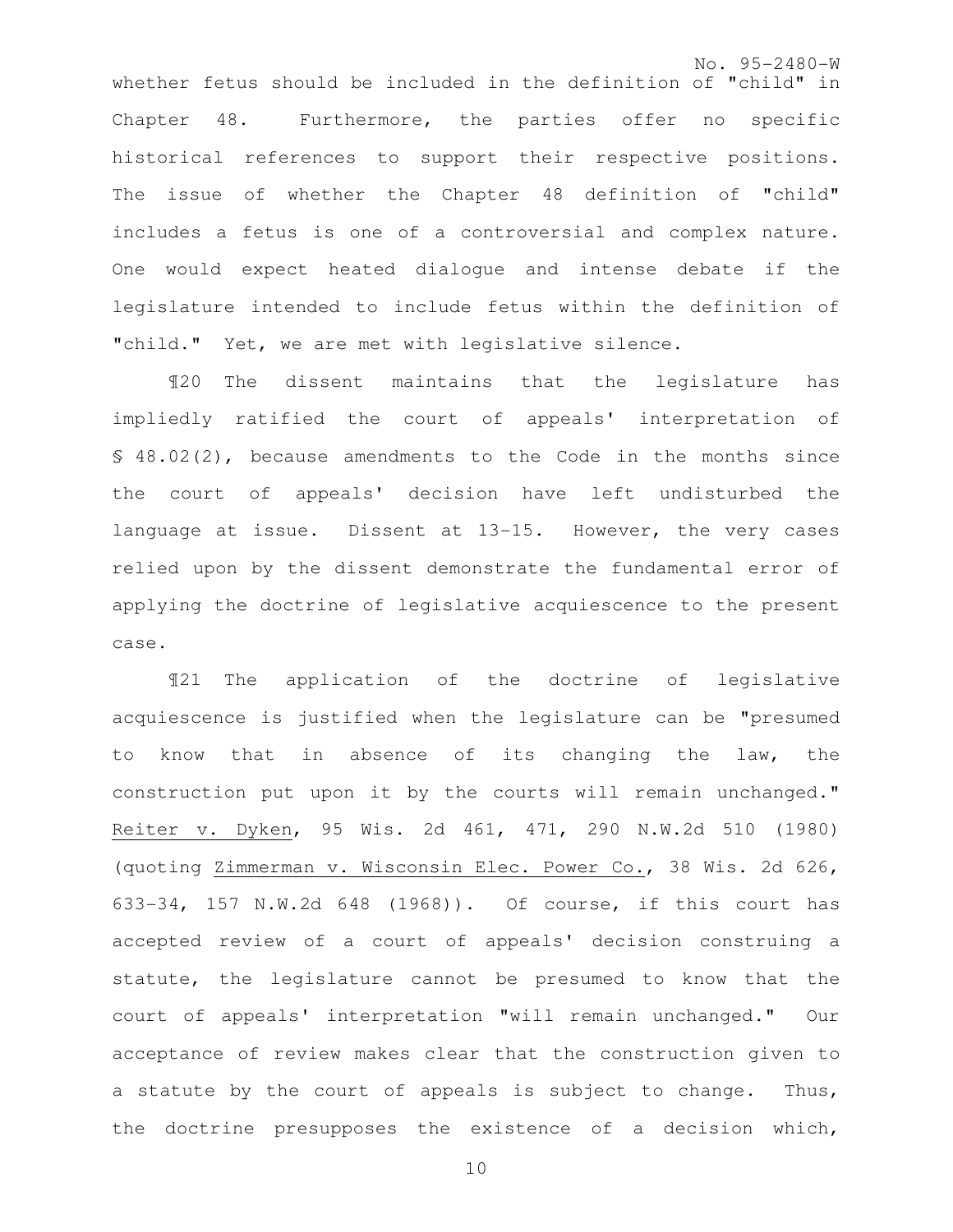No. 95-2480-W whether fetus should be included in the definition of "child" in Chapter 48. Furthermore, the parties offer no specific historical references to support their respective positions. The issue of whether the Chapter 48 definition of "child" includes a fetus is one of a controversial and complex nature. One would expect heated dialogue and intense debate if the legislature intended to include fetus within the definition of "child." Yet, we are met with legislative silence.

¶20 The dissent maintains that the legislature has impliedly ratified the court of appeals' interpretation of § 48.02(2), because amendments to the Code in the months since the court of appeals' decision have left undisturbed the language at issue. Dissent at 13-15. However, the very cases relied upon by the dissent demonstrate the fundamental error of applying the doctrine of legislative acquiescence to the present case.

¶21 The application of the doctrine of legislative acquiescence is justified when the legislature can be "presumed to know that in absence of its changing the law, the construction put upon it by the courts will remain unchanged." Reiter v. Dyken, 95 Wis. 2d 461, 471, 290 N.W.2d 510 (1980) (quoting Zimmerman v. Wisconsin Elec. Power Co., 38 Wis. 2d 626, 633-34, 157 N.W.2d 648 (1968)). Of course, if this court has accepted review of a court of appeals' decision construing a statute, the legislature cannot be presumed to know that the court of appeals' interpretation "will remain unchanged." Our acceptance of review makes clear that the construction given to a statute by the court of appeals is subject to change. Thus, the doctrine presupposes the existence of a decision which,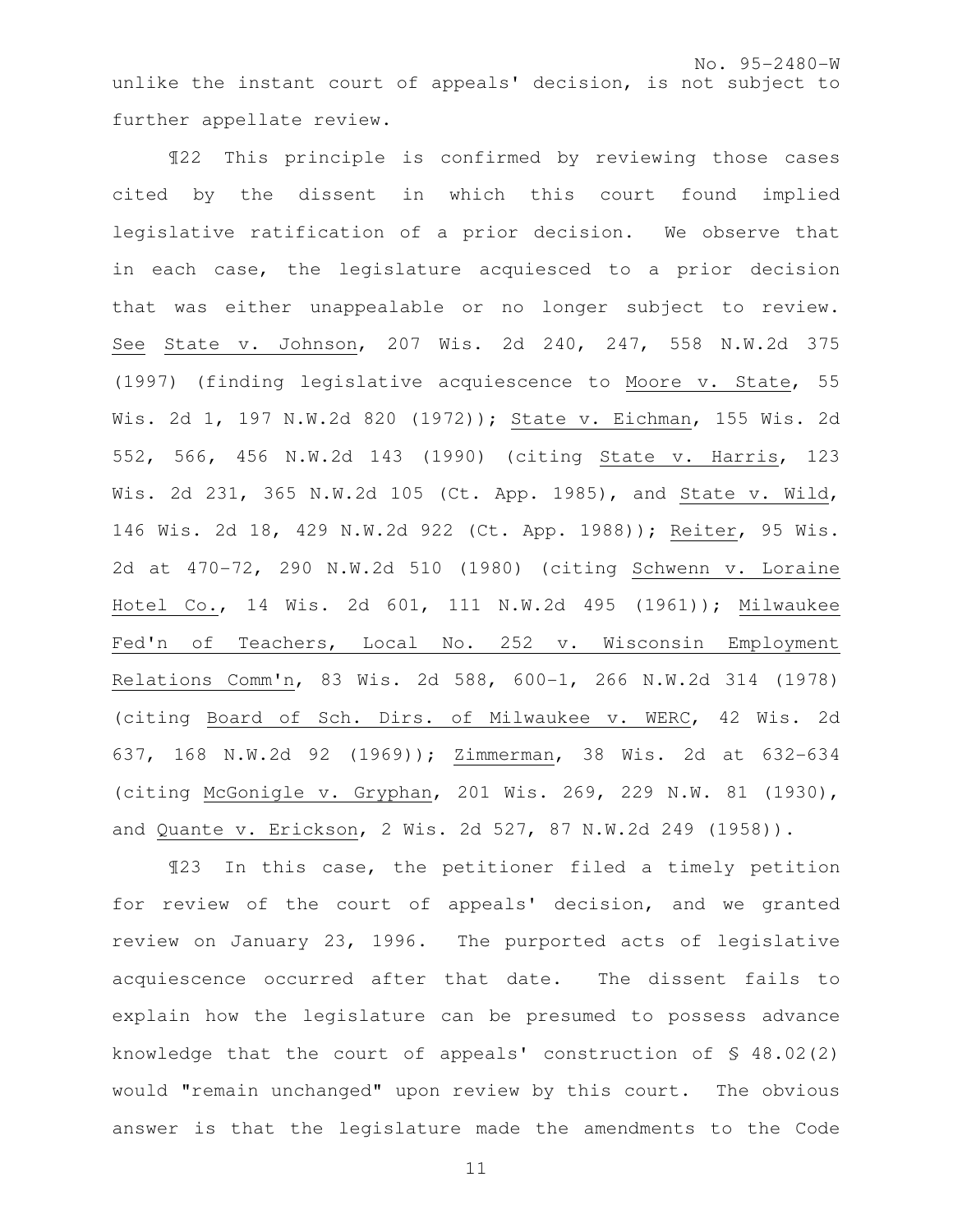¶22 This principle is confirmed by reviewing those cases cited by the dissent in which this court found implied legislative ratification of a prior decision. We observe that in each case, the legislature acquiesced to a prior decision that was either unappealable or no longer subject to review. See State v. Johnson, 207 Wis. 2d 240, 247, 558 N.W.2d 375 (1997) (finding legislative acquiescence to Moore v. State, 55 Wis. 2d 1, 197 N.W.2d 820 (1972)); State v. Eichman, 155 Wis. 2d 552, 566, 456 N.W.2d 143 (1990) (citing State v. Harris, 123 Wis. 2d 231, 365 N.W.2d 105 (Ct. App. 1985), and State v. Wild, 146 Wis. 2d 18, 429 N.W.2d 922 (Ct. App. 1988)); Reiter, 95 Wis. 2d at 470-72, 290 N.W.2d 510 (1980) (citing Schwenn v. Loraine Hotel Co., 14 Wis. 2d 601, 111 N.W.2d 495 (1961)); Milwaukee Fed'n of Teachers, Local No. 252 v. Wisconsin Employment Relations Comm'n, 83 Wis. 2d 588, 600-1, 266 N.W.2d 314 (1978) (citing Board of Sch. Dirs. of Milwaukee v. WERC, 42 Wis. 2d 637, 168 N.W.2d 92 (1969)); Zimmerman, 38 Wis. 2d at 632-634 (citing McGonigle v. Gryphan, 201 Wis. 269, 229 N.W. 81 (1930), and Quante v. Erickson, 2 Wis. 2d 527, 87 N.W.2d 249 (1958)).

¶23 In this case, the petitioner filed a timely petition for review of the court of appeals' decision, and we granted review on January 23, 1996. The purported acts of legislative acquiescence occurred after that date. The dissent fails to explain how the legislature can be presumed to possess advance knowledge that the court of appeals' construction of  $\S$  48.02(2) would "remain unchanged" upon review by this court. The obvious answer is that the legislature made the amendments to the Code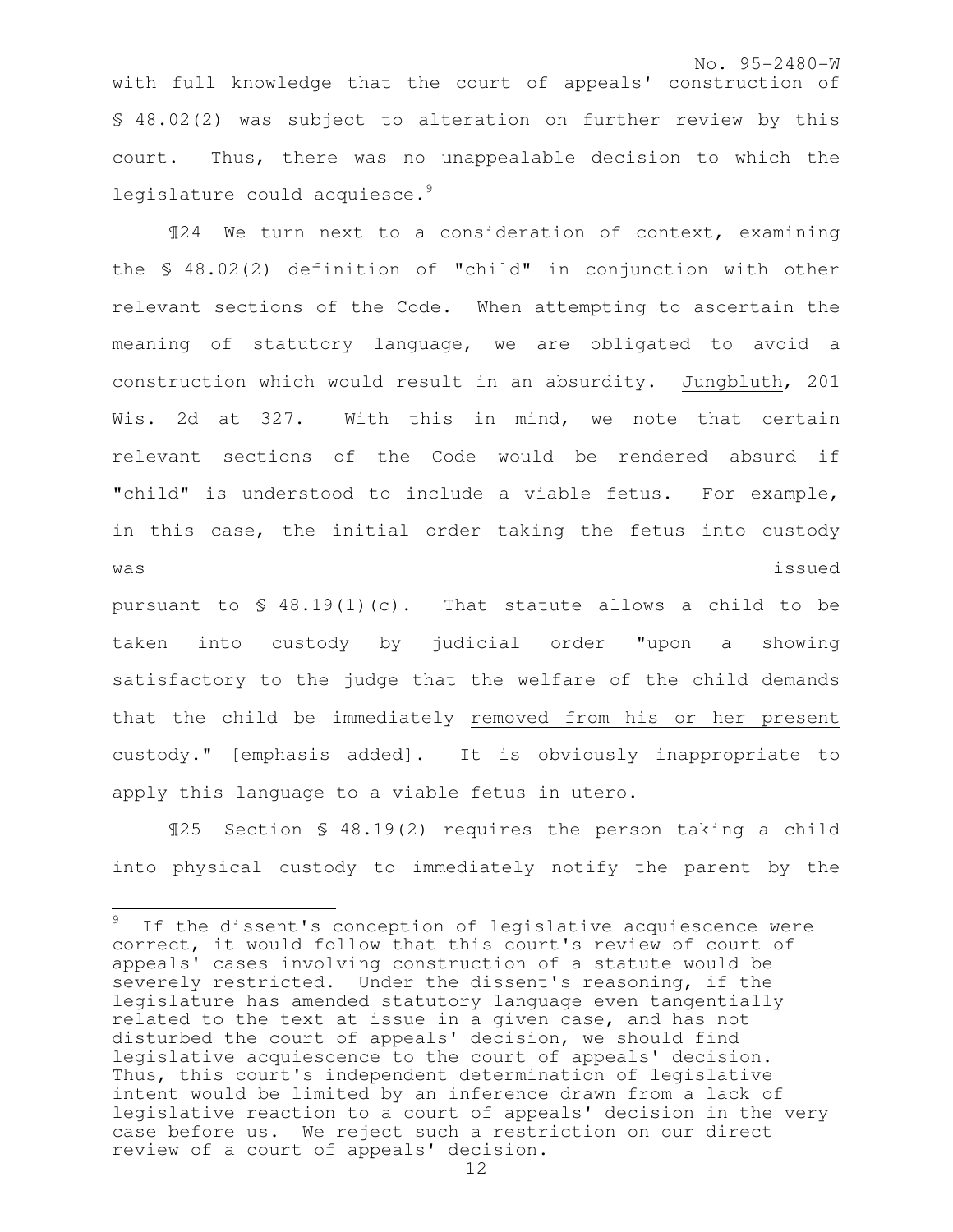with full knowledge that the court of appeals' construction of § 48.02(2) was subject to alteration on further review by this court. Thus, there was no unappealable decision to which the legislature could acquiesce.<sup>9</sup>

¶24 We turn next to a consideration of context, examining the § 48.02(2) definition of "child" in conjunction with other relevant sections of the Code. When attempting to ascertain the meaning of statutory language, we are obligated to avoid a construction which would result in an absurdity. Jungbluth, 201 Wis. 2d at 327. With this in mind, we note that certain relevant sections of the Code would be rendered absurd if "child" is understood to include a viable fetus. For example, in this case, the initial order taking the fetus into custody was issued

pursuant to  $\leq 48.19(1)(c)$ . That statute allows a child to be taken into custody by judicial order "upon a showing satisfactory to the judge that the welfare of the child demands that the child be immediately removed from his or her present custody." [emphasis added]. It is obviously inappropriate to apply this language to a viable fetus in utero.

¶25 Section § 48.19(2) requires the person taking a child into physical custody to immediately notify the parent by the

 $\mathbf{r}$  $9$  If the dissent's conception of legislative acquiescence were correct, it would follow that this court's review of court of appeals' cases involving construction of a statute would be severely restricted. Under the dissent's reasoning, if the legislature has amended statutory language even tangentially related to the text at issue in a given case, and has not disturbed the court of appeals' decision, we should find legislative acquiescence to the court of appeals' decision. Thus, this court's independent determination of legislative intent would be limited by an inference drawn from a lack of legislative reaction to a court of appeals' decision in the very case before us. We reject such a restriction on our direct review of a court of appeals' decision.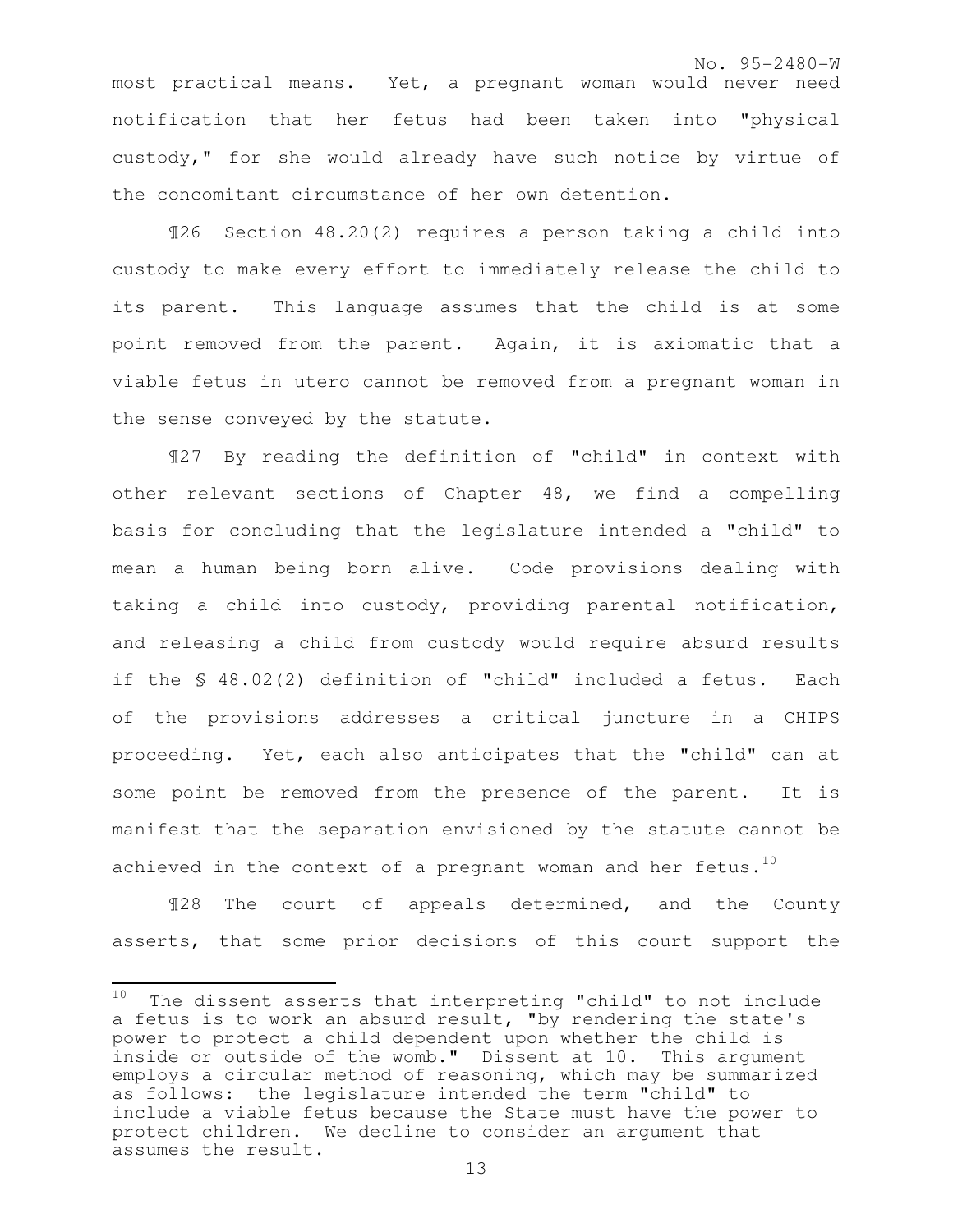most practical means. Yet, a pregnant woman would never need notification that her fetus had been taken into "physical custody," for she would already have such notice by virtue of the concomitant circumstance of her own detention.

¶26 Section 48.20(2) requires a person taking a child into custody to make every effort to immediately release the child to its parent. This language assumes that the child is at some point removed from the parent. Again, it is axiomatic that a viable fetus in utero cannot be removed from a pregnant woman in the sense conveyed by the statute.

¶27 By reading the definition of "child" in context with other relevant sections of Chapter 48, we find a compelling basis for concluding that the legislature intended a "child" to mean a human being born alive. Code provisions dealing with taking a child into custody, providing parental notification, and releasing a child from custody would require absurd results if the § 48.02(2) definition of "child" included a fetus. Each of the provisions addresses a critical juncture in a CHIPS proceeding. Yet, each also anticipates that the "child" can at some point be removed from the presence of the parent. It is manifest that the separation envisioned by the statute cannot be achieved in the context of a pregnant woman and her fetus.<sup>10</sup>

¶28 The court of appeals determined, and the County asserts, that some prior decisions of this court support the

 $\frac{1}{2}$ 

 $10$  The dissent asserts that interpreting "child" to not include a fetus is to work an absurd result, "by rendering the state's power to protect a child dependent upon whether the child is inside or outside of the womb." Dissent at 10. This argument employs a circular method of reasoning, which may be summarized as follows: the legislature intended the term "child" to include a viable fetus because the State must have the power to protect children. We decline to consider an argument that assumes the result.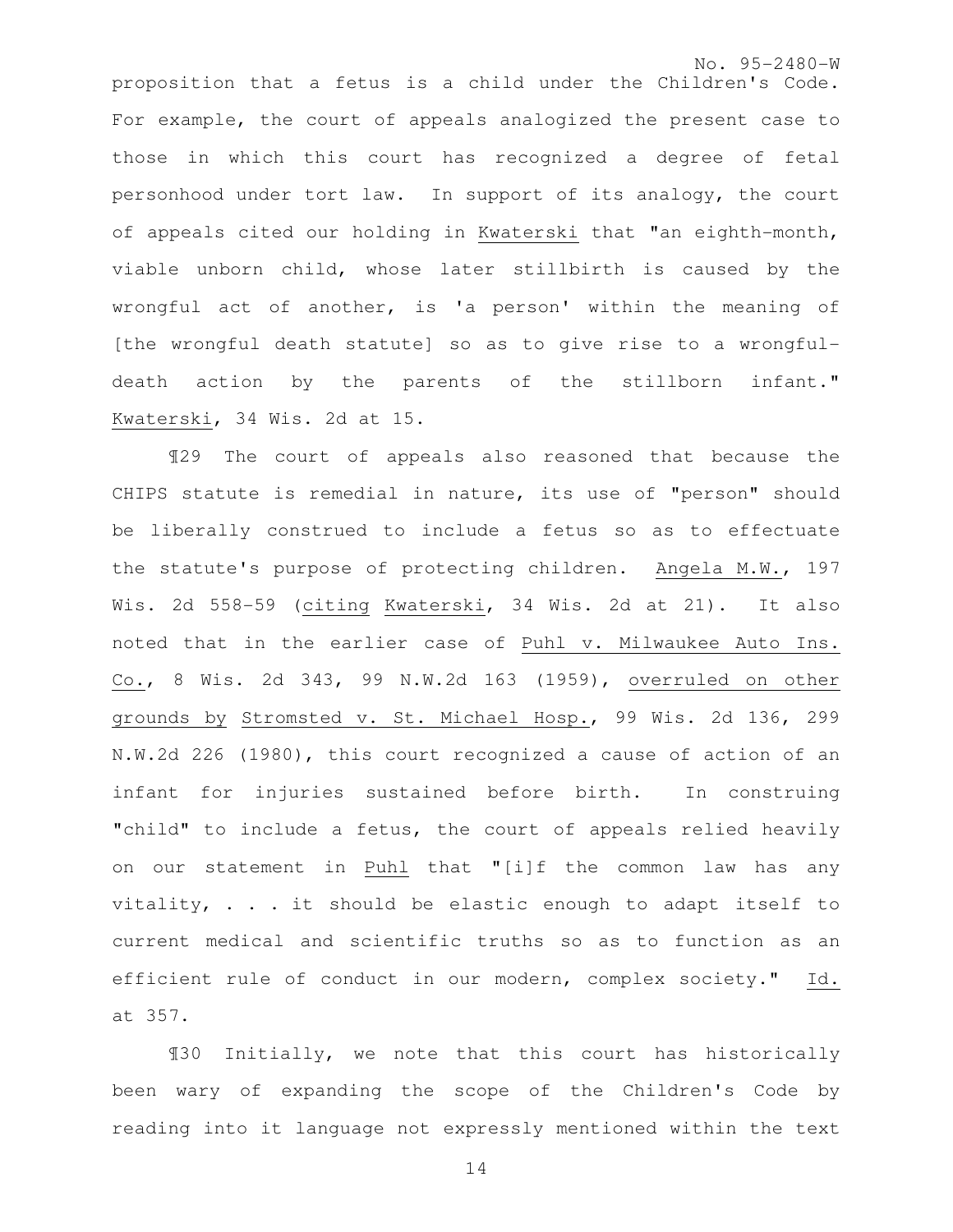No. 95-2480-W proposition that a fetus is a child under the Children's Code. For example, the court of appeals analogized the present case to those in which this court has recognized a degree of fetal personhood under tort law. In support of its analogy, the court of appeals cited our holding in Kwaterski that "an eighth-month, viable unborn child, whose later stillbirth is caused by the wrongful act of another, is 'a person' within the meaning of [the wrongful death statute] so as to give rise to a wrongfuldeath action by the parents of the stillborn infant." Kwaterski, 34 Wis. 2d at 15.

¶29 The court of appeals also reasoned that because the CHIPS statute is remedial in nature, its use of "person" should be liberally construed to include a fetus so as to effectuate the statute's purpose of protecting children. Angela M.W., 197 Wis. 2d 558-59 (citing Kwaterski, 34 Wis. 2d at 21). It also noted that in the earlier case of Puhl v. Milwaukee Auto Ins. Co., 8 Wis. 2d 343, 99 N.W.2d 163 (1959), overruled on other grounds by Stromsted v. St. Michael Hosp., 99 Wis. 2d 136, 299 N.W.2d 226 (1980), this court recognized a cause of action of an infant for injuries sustained before birth. In construing "child" to include a fetus, the court of appeals relied heavily on our statement in Puhl that "[i]f the common law has any vitality, . . . it should be elastic enough to adapt itself to current medical and scientific truths so as to function as an efficient rule of conduct in our modern, complex society." Id. at 357.

¶30 Initially, we note that this court has historically been wary of expanding the scope of the Children's Code by reading into it language not expressly mentioned within the text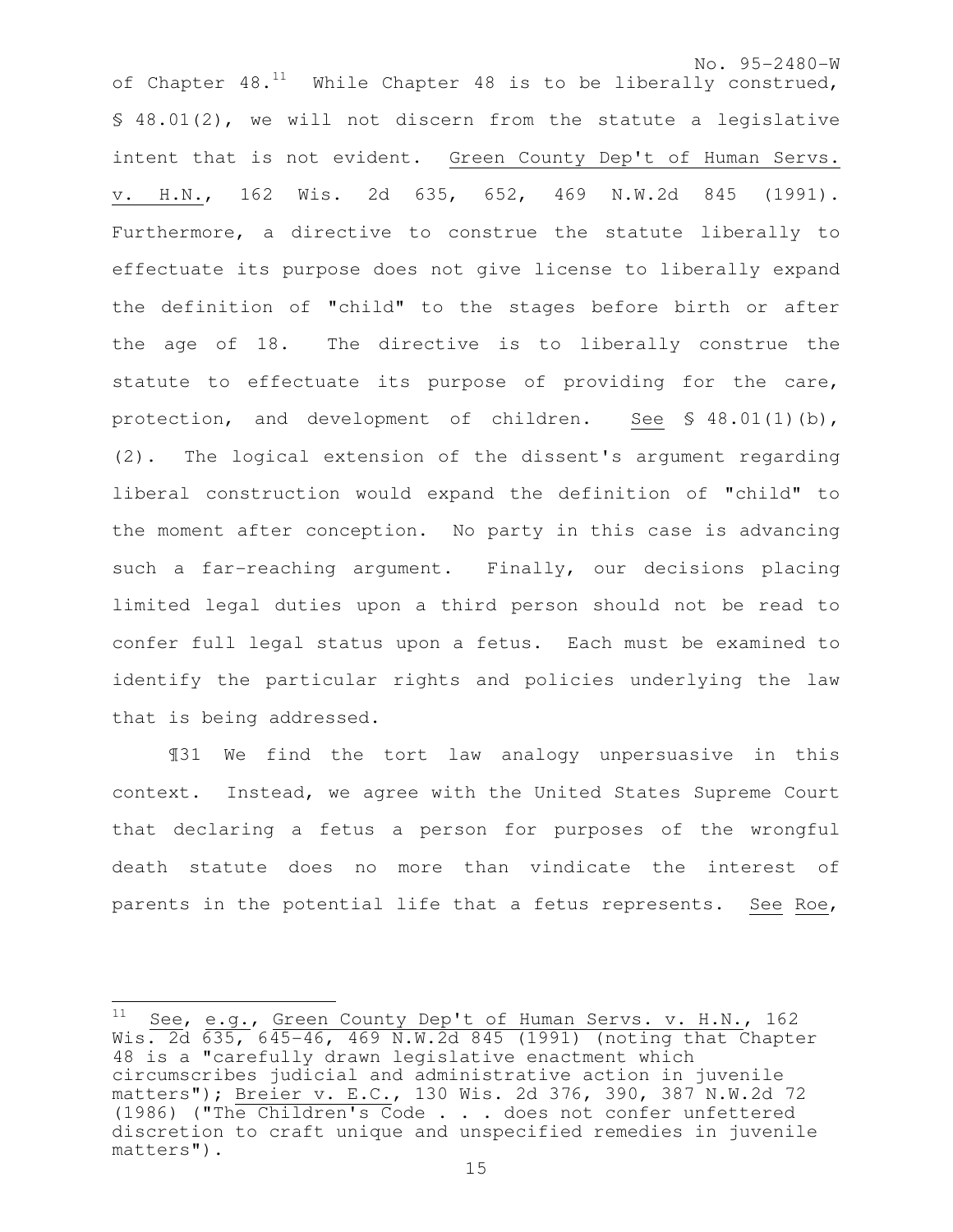No. 95-2480-W of Chapter  $48.^{11}$  While Chapter 48 is to be liberally construed, § 48.01(2), we will not discern from the statute a legislative intent that is not evident. Green County Dep't of Human Servs. v. H.N., 162 Wis. 2d 635, 652, 469 N.W.2d 845 (1991). Furthermore, a directive to construe the statute liberally to effectuate its purpose does not give license to liberally expand the definition of "child" to the stages before birth or after the age of 18. The directive is to liberally construe the statute to effectuate its purpose of providing for the care, protection, and development of children. See § 48.01(1)(b), (2). The logical extension of the dissent's argument regarding liberal construction would expand the definition of "child" to the moment after conception. No party in this case is advancing such a far-reaching argument. Finally, our decisions placing limited legal duties upon a third person should not be read to confer full legal status upon a fetus. Each must be examined to identify the particular rights and policies underlying the law that is being addressed.

¶31 We find the tort law analogy unpersuasive in this context. Instead, we agree with the United States Supreme Court that declaring a fetus a person for purposes of the wrongful death statute does no more than vindicate the interest of parents in the potential life that a fetus represents. See Roe,

 $\overline{\phantom{a}}$ 

See, e.g., Green County Dep't of Human Servs. v. H.N., 162 Wis. 2d 635, 645-46, 469 N.W.2d 845 (1991) (noting that Chapter 48 is a "carefully drawn legislative enactment which circumscribes judicial and administrative action in juvenile matters"); Breier v. E.C., 130 Wis. 2d 376, 390, 387 N.W.2d 72 (1986) ("The Children's Code . . . does not confer unfettered discretion to craft unique and unspecified remedies in juvenile matters").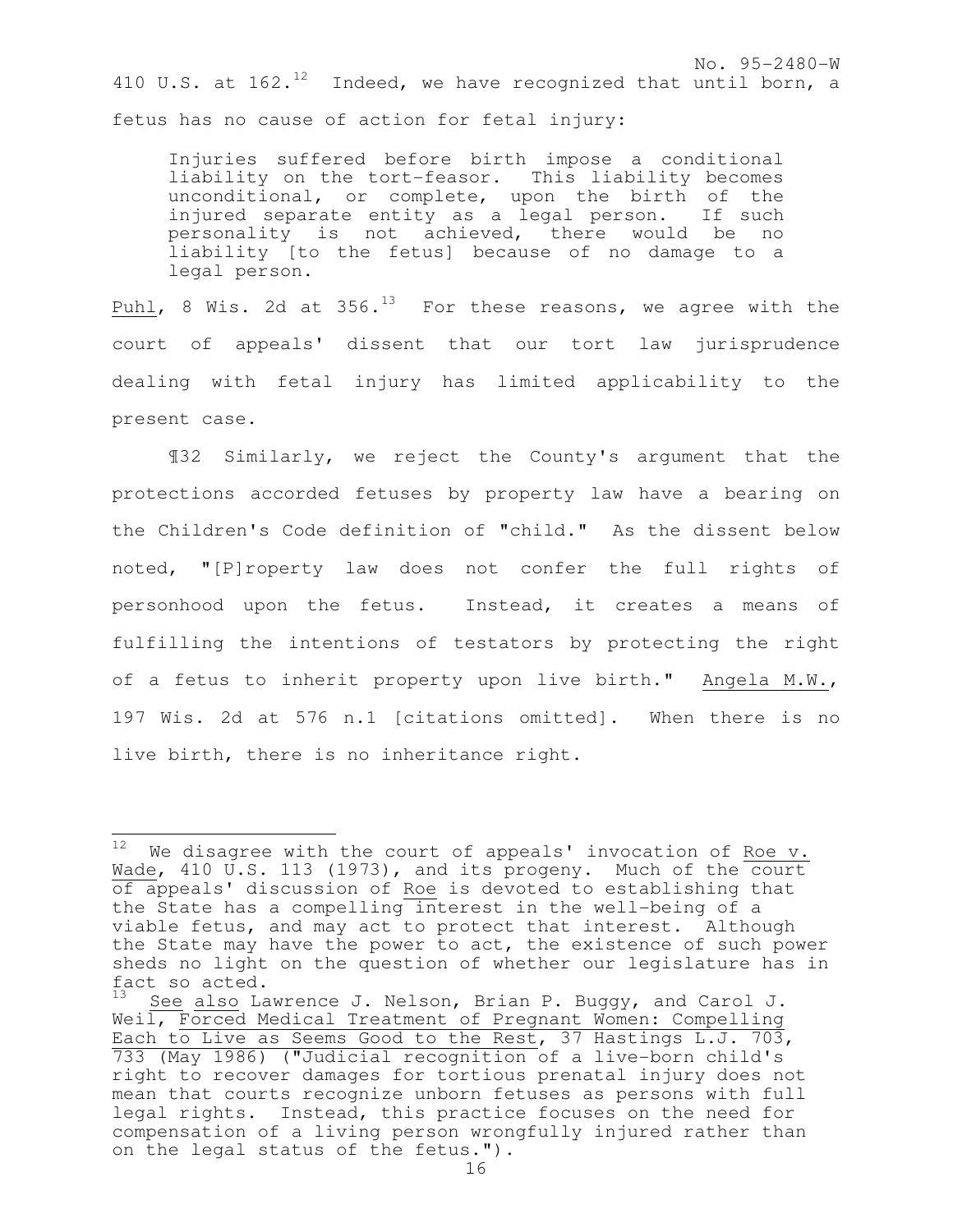No. 95-2480-W 410 U.S. at  $162.^{12}$  Indeed, we have recognized that until born, a fetus has no cause of action for fetal injury:

Injuries suffered before birth impose a conditional liability on the tort-feasor. This liability becomes unconditional, or complete, upon the birth of the injured separate entity as a legal person. If such personality is not achieved, there would be no liability [to the fetus] because of no damage to a legal person.

Puhl, 8 Wis. 2d at 356. $^{13}$  For these reasons, we agree with the court of appeals' dissent that our tort law jurisprudence dealing with fetal injury has limited applicability to the present case.

¶32 Similarly, we reject the County's argument that the protections accorded fetuses by property law have a bearing on the Children's Code definition of "child." As the dissent below noted, "[P]roperty law does not confer the full rights of personhood upon the fetus. Instead, it creates a means of fulfilling the intentions of testators by protecting the right of a fetus to inherit property upon live birth." Angela M.W., 197 Wis. 2d at 576 n.1 [citations omitted]. When there is no live birth, there is no inheritance right.

 $\frac{1}{2}$  $12$  We disagree with the court of appeals' invocation of Roe v. Wade, 410 U.S. 113 (1973), and its progeny. Much of the court of appeals' discussion of Roe is devoted to establishing that the State has a compelling interest in the well-being of a viable fetus, and may act to protect that interest. Although the State may have the power to act, the existence of such power sheds no light on the question of whether our legislature has in fact so acted.

See also Lawrence J. Nelson, Brian P. Buggy, and Carol J. Weil, Forced Medical Treatment of Pregnant Women: Compelling Each to Live as Seems Good to the Rest, 37 Hastings L.J. 703, 733 (May 1986) ("Judicial recognition of a live-born child's right to recover damages for tortious prenatal injury does not mean that courts recognize unborn fetuses as persons with full legal rights. Instead, this practice focuses on the need for compensation of a living person wrongfully injured rather than on the legal status of the fetus.").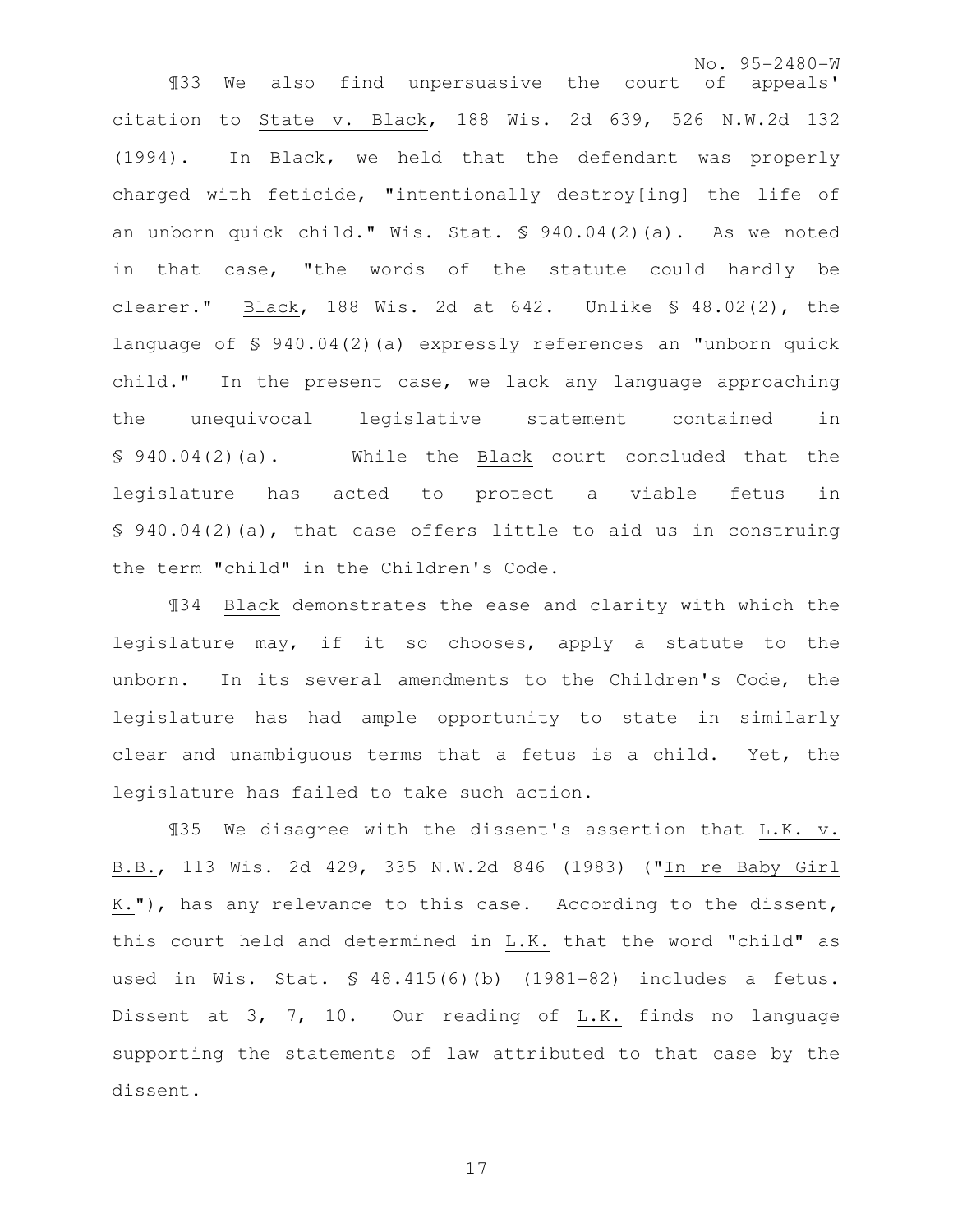No. 95-2480-W ¶33 We also find unpersuasive the court of appeals' citation to State v. Black, 188 Wis. 2d 639, 526 N.W.2d 132 (1994). In Black, we held that the defendant was properly charged with feticide, "intentionally destroy[ing] the life of an unborn quick child." Wis. Stat. § 940.04(2)(a). As we noted in that case, "the words of the statute could hardly be clearer." Black, 188 Wis. 2d at 642. Unlike § 48.02(2), the language of § 940.04(2)(a) expressly references an "unborn quick child." In the present case, we lack any language approaching the unequivocal legislative statement contained in § 940.04(2)(a). While the Black court concluded that the legislature has acted to protect a viable fetus in § 940.04(2)(a), that case offers little to aid us in construing the term "child" in the Children's Code.

¶34 Black demonstrates the ease and clarity with which the legislature may, if it so chooses, apply a statute to the unborn. In its several amendments to the Children's Code, the legislature has had ample opportunity to state in similarly clear and unambiguous terms that a fetus is a child. Yet, the legislature has failed to take such action.

¶35 We disagree with the dissent's assertion that L.K. v. B.B., 113 Wis. 2d 429, 335 N.W.2d 846 (1983) ("In re Baby Girl K."), has any relevance to this case. According to the dissent, this court held and determined in L.K. that the word "child" as used in Wis. Stat. § 48.415(6)(b) (1981-82) includes a fetus. Dissent at 3, 7, 10. Our reading of L.K. finds no language supporting the statements of law attributed to that case by the dissent.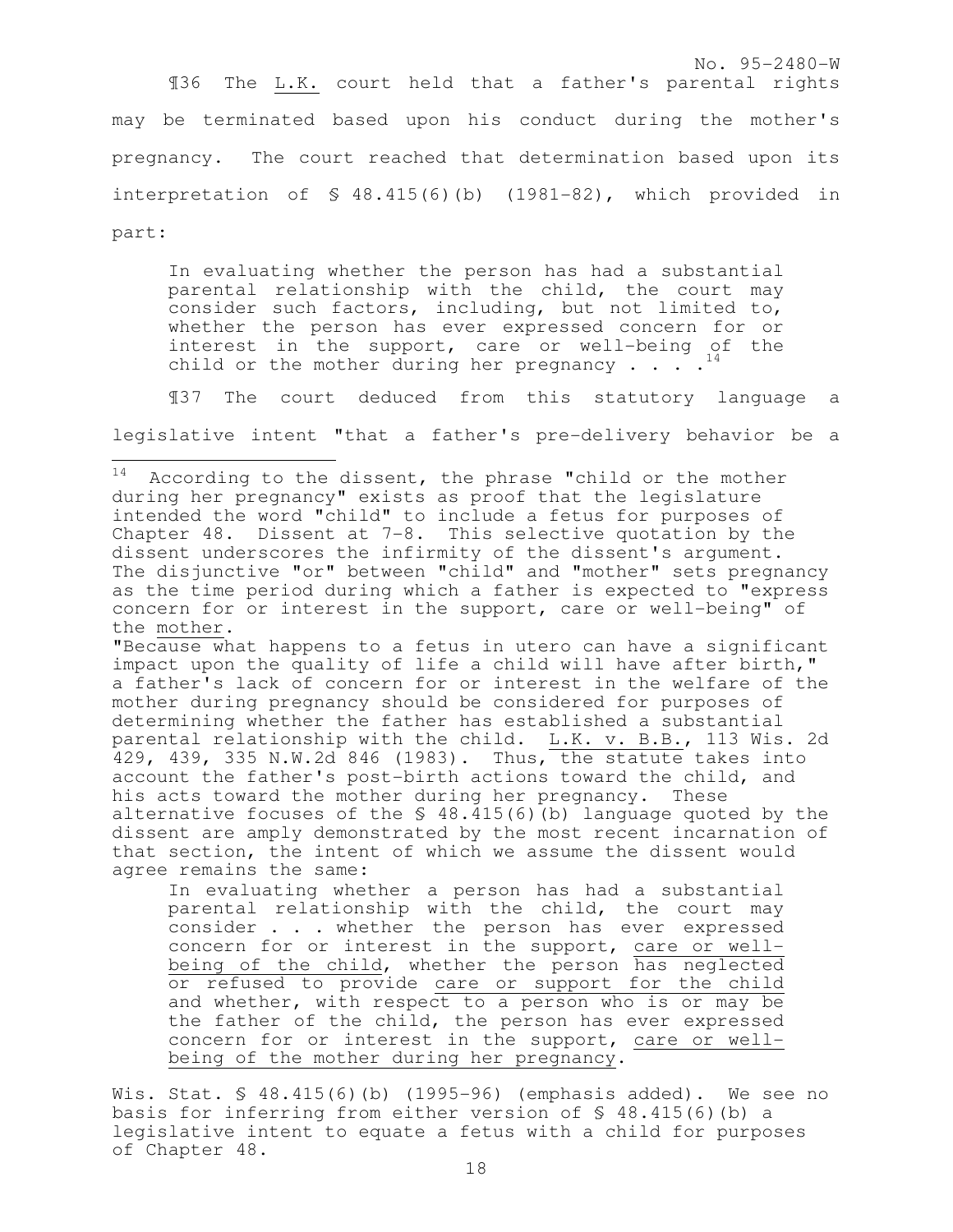¶36 The L.K. court held that a father's parental rights may be terminated based upon his conduct during the mother's pregnancy. The court reached that determination based upon its interpretation of § 48.415(6)(b) (1981-82), which provided in

part:

In evaluating whether the person has had a substantial parental relationship with the child, the court may consider such factors, including, but not limited to, whether the person has ever expressed concern for or interest in the support, care or well-being of the child or the mother during her pregnancy  $\cdots$ .

¶37 The court deduced from this statutory language a

legislative intent "that a father's pre-delivery behavior be a

"Because what happens to a fetus in utero can have a significant impact upon the quality of life a child will have after birth," a father's lack of concern for or interest in the welfare of the mother during pregnancy should be considered for purposes of determining whether the father has established a substantial parental relationship with the child. L.K. v. B.B., 113 Wis. 2d 429, 439, 335 N.W.2d 846 (1983). Thus, the statute takes into account the father's post-birth actions toward the child, and his acts toward the mother during her pregnancy. These alternative focuses of the  $\frac{1}{2}$  48.415(6)(b) language quoted by the dissent are amply demonstrated by the most recent incarnation of that section, the intent of which we assume the dissent would agree remains the same:

In evaluating whether a person has had a substantial parental relationship with the child, the court may consider . . . whether the person has ever expressed concern for or interest in the support, care or wellbeing of the child, whether the person has neglected or refused to provide care or support for the child and whether, with respect to a person who is or may be the father of the child, the person has ever expressed concern for or interest in the support, care or wellbeing of the mother during her pregnancy.

Wis. Stat. § 48.415(6)(b) (1995-96) (emphasis added). We see no basis for inferring from either version of § 48.415(6)(b) a legislative intent to equate a fetus with a child for purposes of Chapter 48.

<sup>14</sup> According to the dissent, the phrase "child or the mother during her pregnancy" exists as proof that the legislature intended the word "child" to include a fetus for purposes of Chapter 48. Dissent at 7-8. This selective quotation by the dissent underscores the infirmity of the dissent's argument. The disjunctive "or" between "child" and "mother" sets pregnancy as the time period during which a father is expected to "express concern for or interest in the support, care or well-being" of the mother.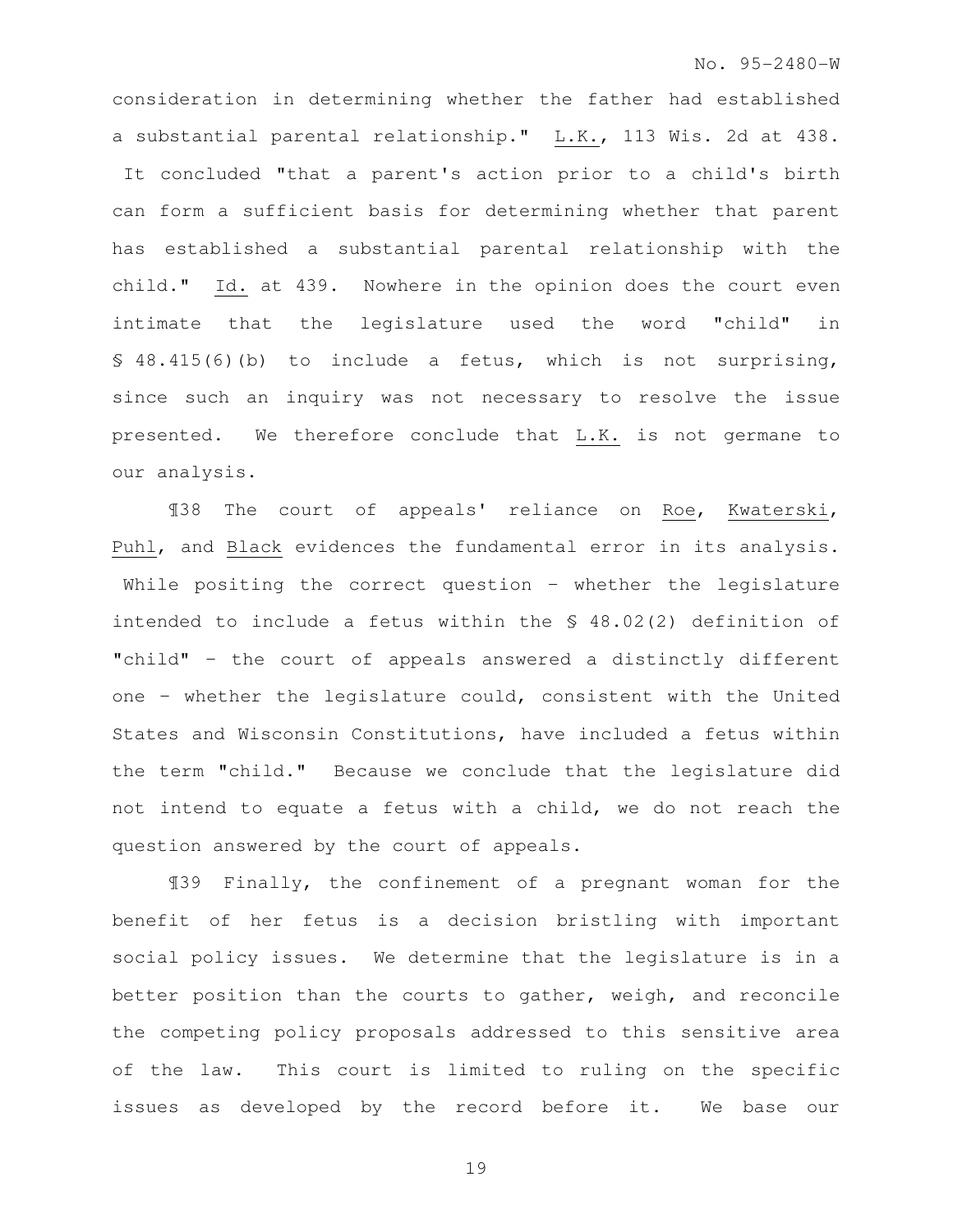consideration in determining whether the father had established a substantial parental relationship." L.K., 113 Wis. 2d at 438. It concluded "that a parent's action prior to a child's birth can form a sufficient basis for determining whether that parent has established a substantial parental relationship with the child." Id. at 439. Nowhere in the opinion does the court even intimate that the legislature used the word "child" in § 48.415(6)(b) to include a fetus, which is not surprising, since such an inquiry was not necessary to resolve the issue presented. We therefore conclude that L.K. is not germane to our analysis.

¶38 The court of appeals' reliance on Roe, Kwaterski, Puhl, and Black evidences the fundamental error in its analysis. While positing the correct question – whether the legislature intended to include a fetus within the § 48.02(2) definition of "child" – the court of appeals answered a distinctly different one – whether the legislature could, consistent with the United States and Wisconsin Constitutions, have included a fetus within the term "child." Because we conclude that the legislature did not intend to equate a fetus with a child, we do not reach the question answered by the court of appeals.

¶39 Finally, the confinement of a pregnant woman for the benefit of her fetus is a decision bristling with important social policy issues. We determine that the legislature is in a better position than the courts to gather, weigh, and reconcile the competing policy proposals addressed to this sensitive area of the law. This court is limited to ruling on the specific issues as developed by the record before it. We base our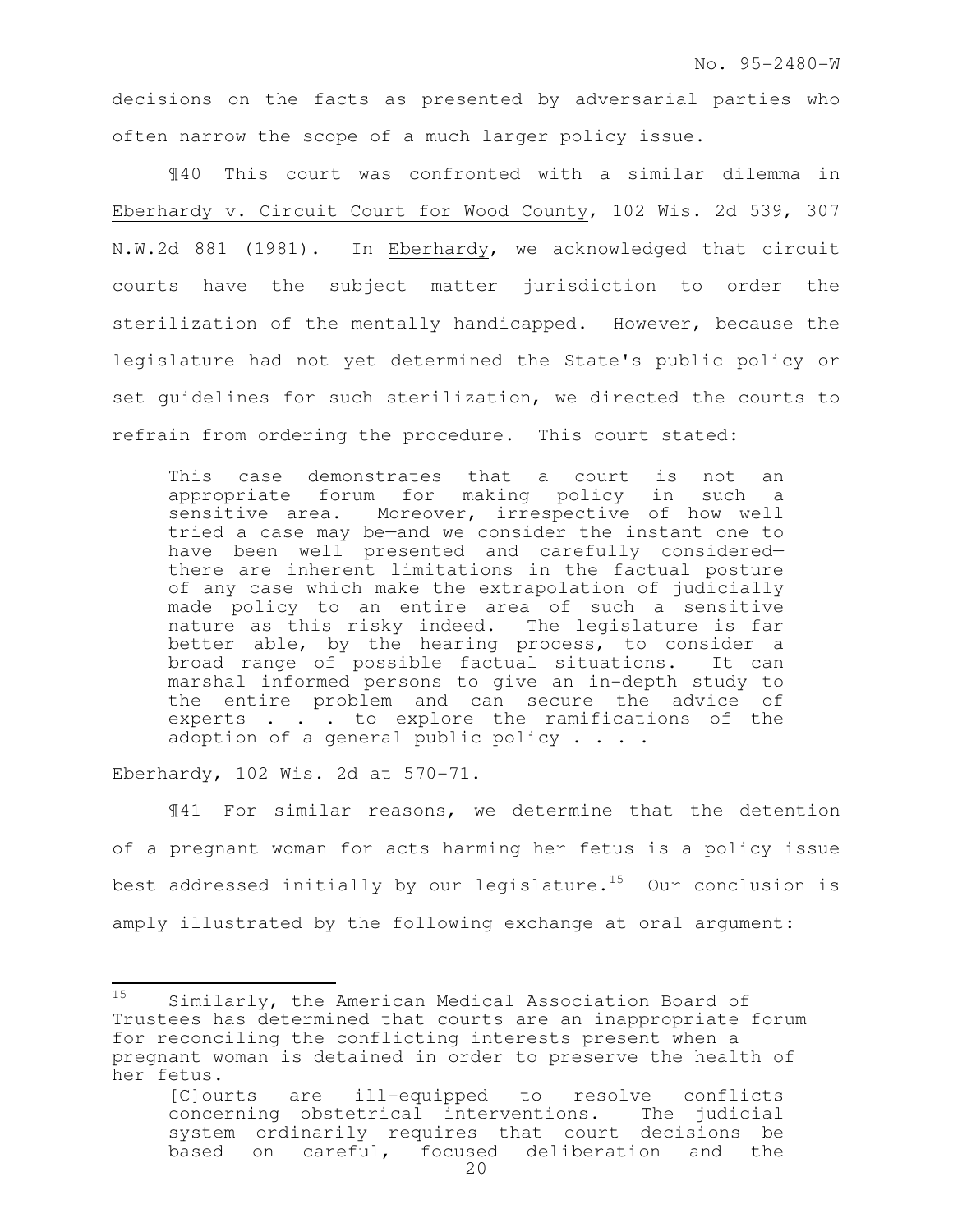decisions on the facts as presented by adversarial parties who often narrow the scope of a much larger policy issue.

¶40 This court was confronted with a similar dilemma in Eberhardy v. Circuit Court for Wood County, 102 Wis. 2d 539, 307 N.W.2d 881 (1981). In Eberhardy, we acknowledged that circuit courts have the subject matter jurisdiction to order the sterilization of the mentally handicapped. However, because the legislature had not yet determined the State's public policy or set guidelines for such sterilization, we directed the courts to refrain from ordering the procedure. This court stated:

This case demonstrates that a court is not an appropriate forum for making policy in such a sensitive area. Moreover, irrespective of how well tried a case may be—and we consider the instant one to have been well presented and carefully considered there are inherent limitations in the factual posture of any case which make the extrapolation of judicially made policy to an entire area of such a sensitive nature as this risky indeed. The legislature is far better able, by the hearing process, to consider a broad range of possible factual situations. It can marshal informed persons to give an in-depth study to the entire problem and can secure the advice of experts . . . to explore the ramifications of the adoption of a general public policy . . . .

Eberhardy, 102 Wis. 2d at 570-71.

¶41 For similar reasons, we determine that the detention of a pregnant woman for acts harming her fetus is a policy issue best addressed initially by our legislature.<sup>15</sup> Our conclusion is amply illustrated by the following exchange at oral argument:

<sup>15</sup> Similarly, the American Medical Association Board of Trustees has determined that courts are an inappropriate forum for reconciling the conflicting interests present when a pregnant woman is detained in order to preserve the health of her fetus.

<sup>[</sup>C]ourts are ill-equipped to resolve conflicts concerning obstetrical interventions. The judicial system ordinarily requires that court decisions be based on careful, focused deliberation and the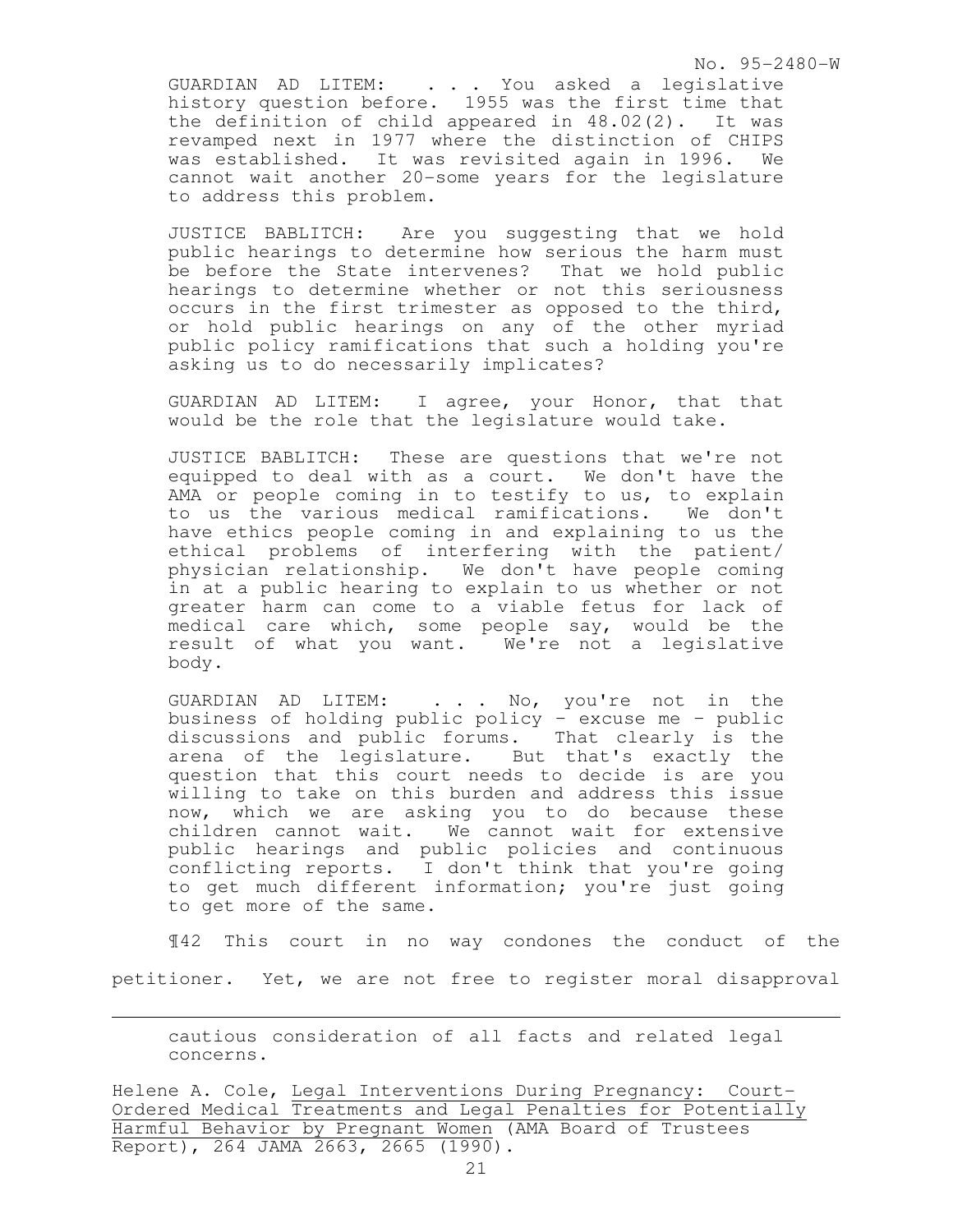No. 95-2480-W

GUARDIAN AD LITEM: . . . You asked a legislative history question before. 1955 was the first time that the definition of child appeared in 48.02(2). It was revamped next in 1977 where the distinction of CHIPS was established. It was revisited again in 1996. We cannot wait another 20-some years for the legislature to address this problem.

JUSTICE BABLITCH: Are you suggesting that we hold public hearings to determine how serious the harm must be before the State intervenes? That we hold public hearings to determine whether or not this seriousness occurs in the first trimester as opposed to the third, or hold public hearings on any of the other myriad public policy ramifications that such a holding you're asking us to do necessarily implicates?

GUARDIAN AD LITEM: I agree, your Honor, that that would be the role that the legislature would take.

JUSTICE BABLITCH: These are questions that we're not equipped to deal with as a court. We don't have the AMA or people coming in to testify to us, to explain to us the various medical ramifications. We don't have ethics people coming in and explaining to us the ethical problems of interfering with the patient/ physician relationship. We don't have people coming in at a public hearing to explain to us whether or not greater harm can come to a viable fetus for lack of medical care which, some people say, would be the result of what you want. We're not a legislative body.

GUARDIAN AD LITEM: . . . No, you're not in the business of holding public policy – excuse me – public discussions and public forums. That clearly is the arena of the legislature. But that's exactly the question that this court needs to decide is are you willing to take on this burden and address this issue now, which we are asking you to do because these children cannot wait. We cannot wait for extensive public hearings and public policies and continuous conflicting reports. I don't think that you're going to get much different information; you're just going to get more of the same.

¶42 This court in no way condones the conduct of the petitioner. Yet, we are not free to register moral disapproval

cautious consideration of all facts and related legal concerns.

e<br>S

Helene A. Cole, Legal Interventions During Pregnancy: Court-Ordered Medical Treatments and Legal Penalties for Potentially Harmful Behavior by Pregnant Women (AMA Board of Trustees Report), 264 JAMA 2663, 2665 (1990).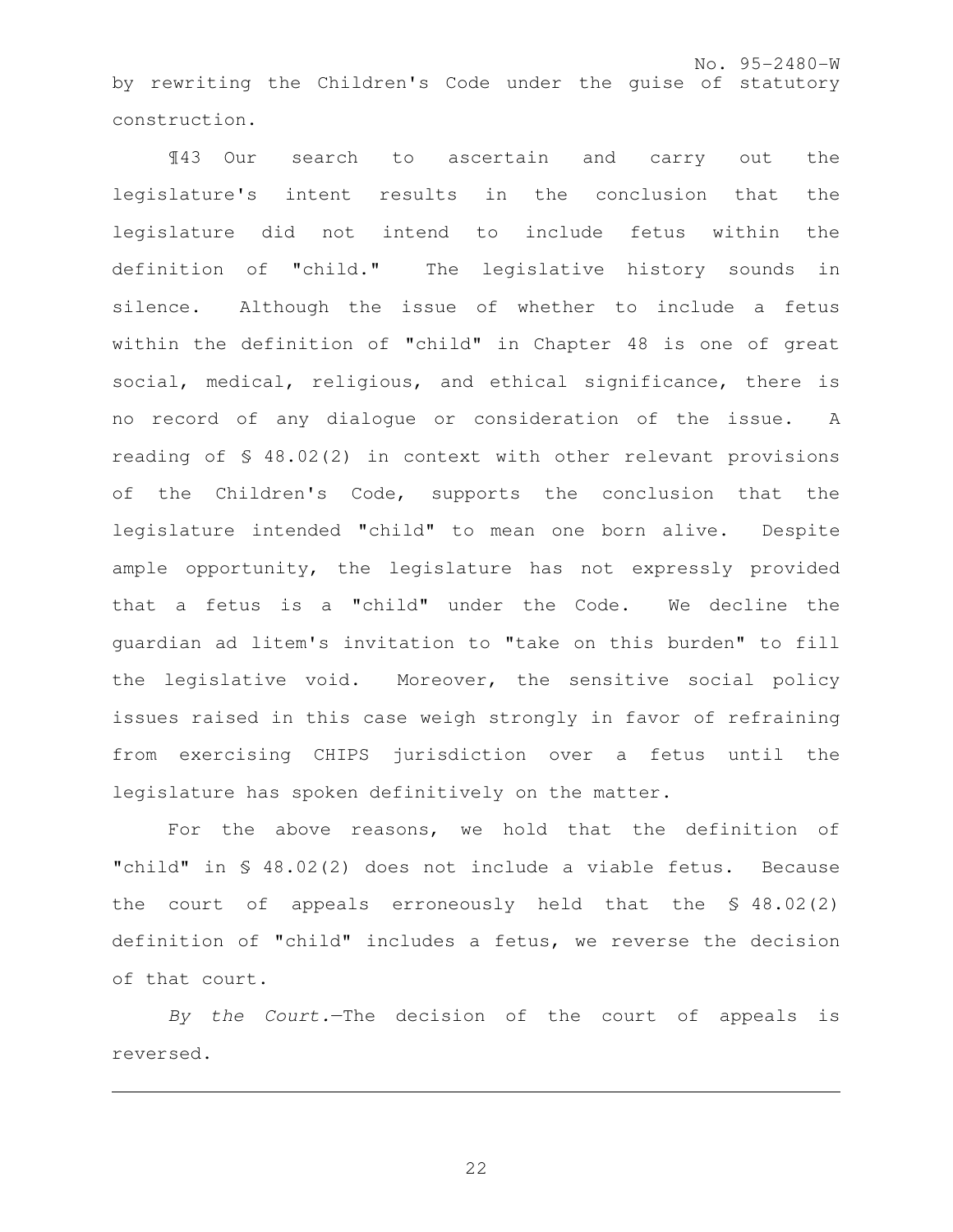No. 95-2480-W by rewriting the Children's Code under the guise of statutory construction.

¶43 Our search to ascertain and carry out the legislature's intent results in the conclusion that the legislature did not intend to include fetus within the definition of "child." The legislative history sounds in silence. Although the issue of whether to include a fetus within the definition of "child" in Chapter 48 is one of great social, medical, religious, and ethical significance, there is no record of any dialogue or consideration of the issue. A reading of § 48.02(2) in context with other relevant provisions of the Children's Code, supports the conclusion that the legislature intended "child" to mean one born alive. Despite ample opportunity, the legislature has not expressly provided that a fetus is a "child" under the Code. We decline the guardian ad litem's invitation to "take on this burden" to fill the legislative void. Moreover, the sensitive social policy issues raised in this case weigh strongly in favor of refraining from exercising CHIPS jurisdiction over a fetus until the legislature has spoken definitively on the matter.

For the above reasons, we hold that the definition of "child" in § 48.02(2) does not include a viable fetus. Because the court of appeals erroneously held that the § 48.02(2) definition of "child" includes a fetus, we reverse the decision of that court.

By the Court.—The decision of the court of appeals is reversed.

e<br>S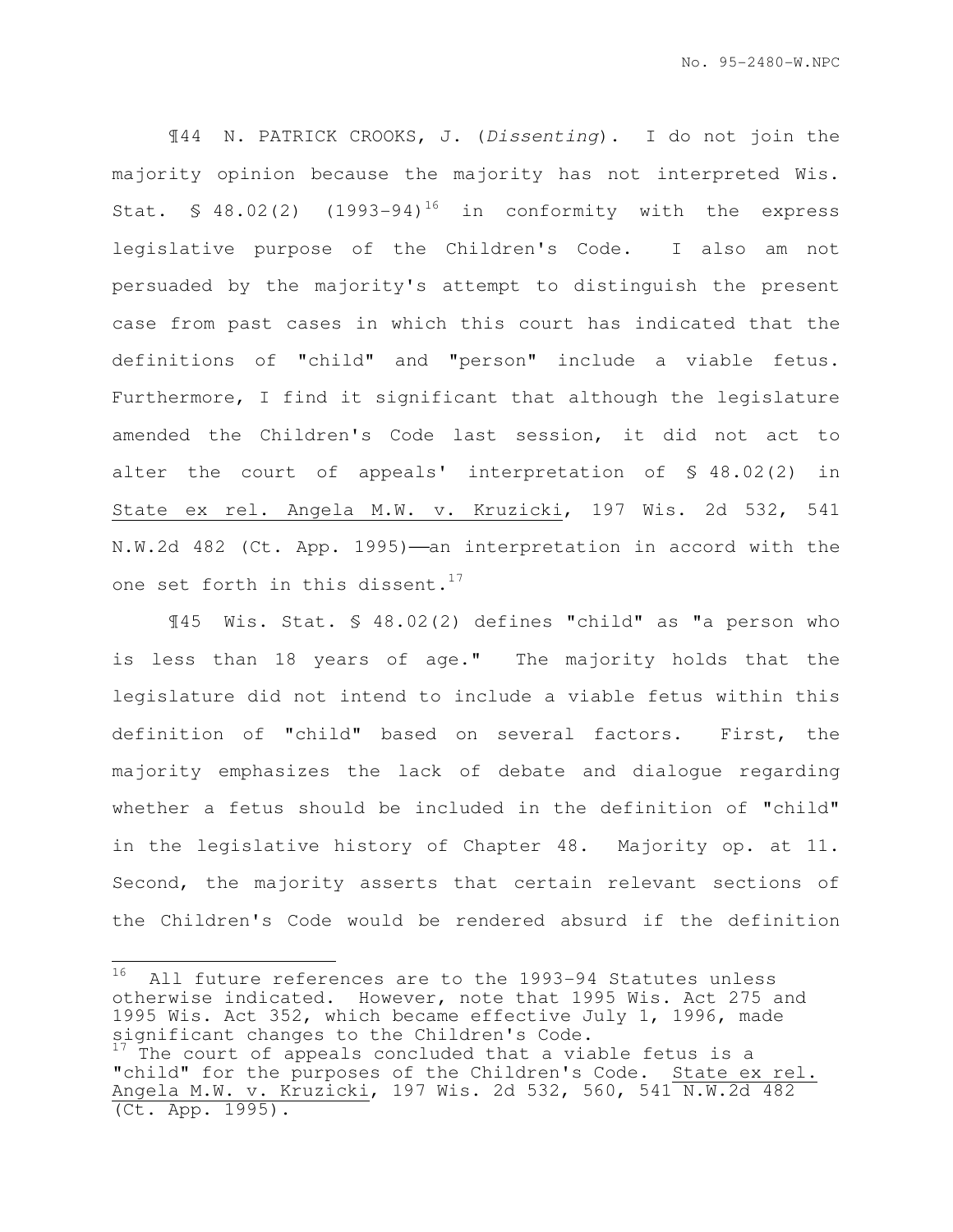¶44 N. PATRICK CROOKS, J. (Dissenting). I do not join the majority opinion because the majority has not interpreted Wis. Stat.  $\text{\$ }48.02(2)$  (1993-94)<sup>16</sup> in conformity with the express legislative purpose of the Children's Code. I also am not persuaded by the majority's attempt to distinguish the present case from past cases in which this court has indicated that the definitions of "child" and "person" include a viable fetus. Furthermore, I find it significant that although the legislature amended the Children's Code last session, it did not act to alter the court of appeals' interpretation of § 48.02(2) in State ex rel. Angela M.W. v. Kruzicki, 197 Wis. 2d 532, 541 N.W.2d 482 (Ct. App. 1995)-an interpretation in accord with the one set forth in this dissent.<sup>17</sup>

¶45 Wis. Stat. § 48.02(2) defines "child" as "a person who is less than 18 years of age." The majority holds that the legislature did not intend to include a viable fetus within this definition of "child" based on several factors. First, the majority emphasizes the lack of debate and dialogue regarding whether a fetus should be included in the definition of "child" in the legislative history of Chapter 48. Majority op. at 11. Second, the majority asserts that certain relevant sections of the Children's Code would be rendered absurd if the definition

<sup>16</sup> All future references are to the 1993-94 Statutes unless otherwise indicated. However, note that 1995 Wis. Act 275 and 1995 Wis. Act 352, which became effective July 1, 1996, made significant changes to the Children's Code.

The court of appeals concluded that a viable fetus is a "child" for the purposes of the Children's Code. State ex rel. Angela M.W. v. Kruzicki, 197 Wis. 2d 532, 560, 541 N.W.2d 482 (Ct. App. 1995).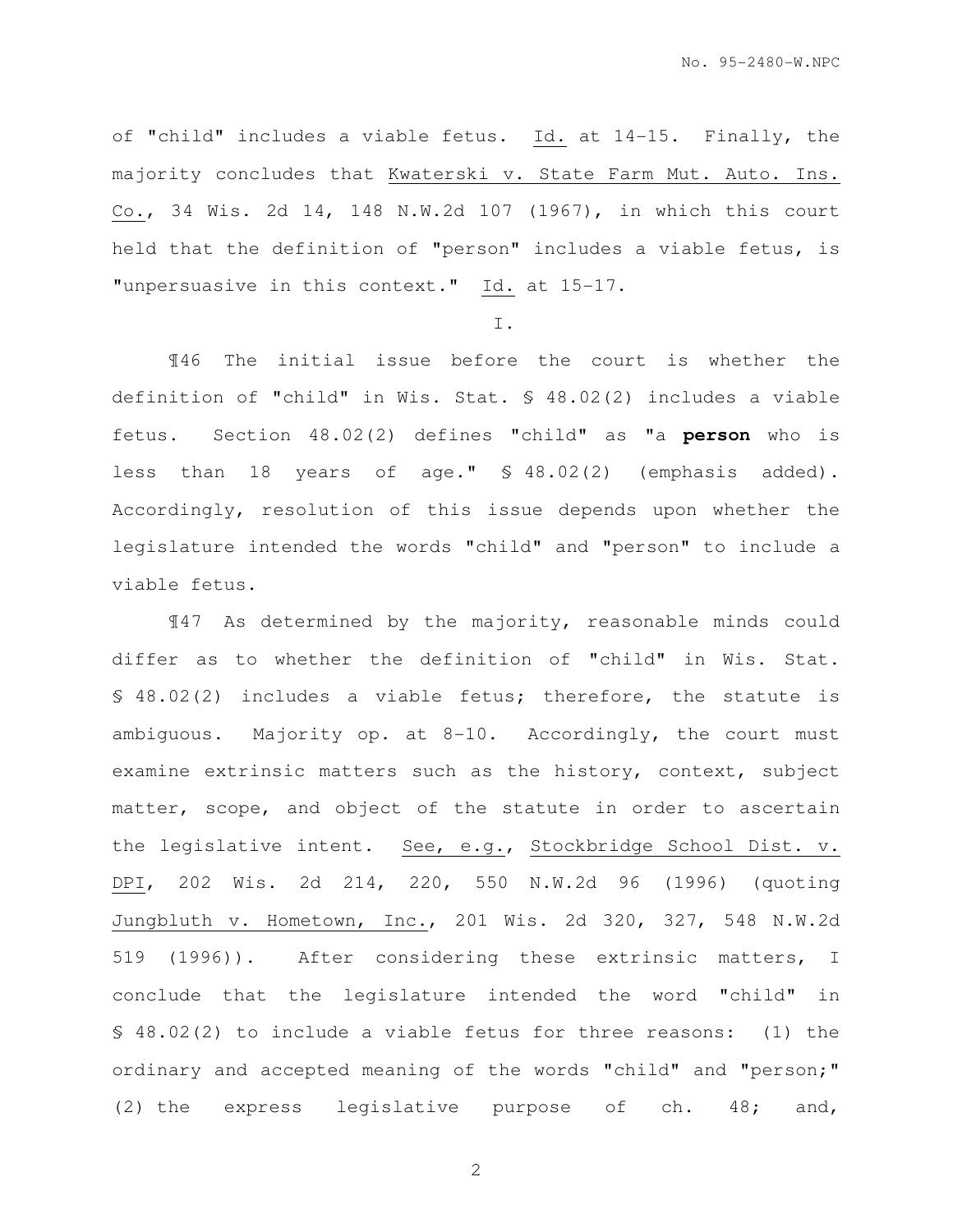of "child" includes a viable fetus. Id. at 14-15. Finally, the majority concludes that Kwaterski v. State Farm Mut. Auto. Ins. Co., 34 Wis. 2d 14, 148 N.W.2d 107 (1967), in which this court held that the definition of "person" includes a viable fetus, is "unpersuasive in this context." Id. at 15-17.

#### I.

¶46 The initial issue before the court is whether the definition of "child" in Wis. Stat. § 48.02(2) includes a viable fetus. Section 48.02(2) defines "child" as "a **person** who is less than 18 years of age." § 48.02(2) (emphasis added). Accordingly, resolution of this issue depends upon whether the legislature intended the words "child" and "person" to include a viable fetus.

¶47 As determined by the majority, reasonable minds could differ as to whether the definition of "child" in Wis. Stat. § 48.02(2) includes a viable fetus; therefore, the statute is ambiguous. Majority op. at 8-10. Accordingly, the court must examine extrinsic matters such as the history, context, subject matter, scope, and object of the statute in order to ascertain the legislative intent. See, e.g., Stockbridge School Dist. v. DPI, 202 Wis. 2d 214, 220, 550 N.W.2d 96 (1996) (quoting Jungbluth v. Hometown, Inc., 201 Wis. 2d 320, 327, 548 N.W.2d 519 (1996)). After considering these extrinsic matters, I conclude that the legislature intended the word "child" in § 48.02(2) to include a viable fetus for three reasons: (1) the ordinary and accepted meaning of the words "child" and "person;" (2) the express legislative purpose of ch. 48; and,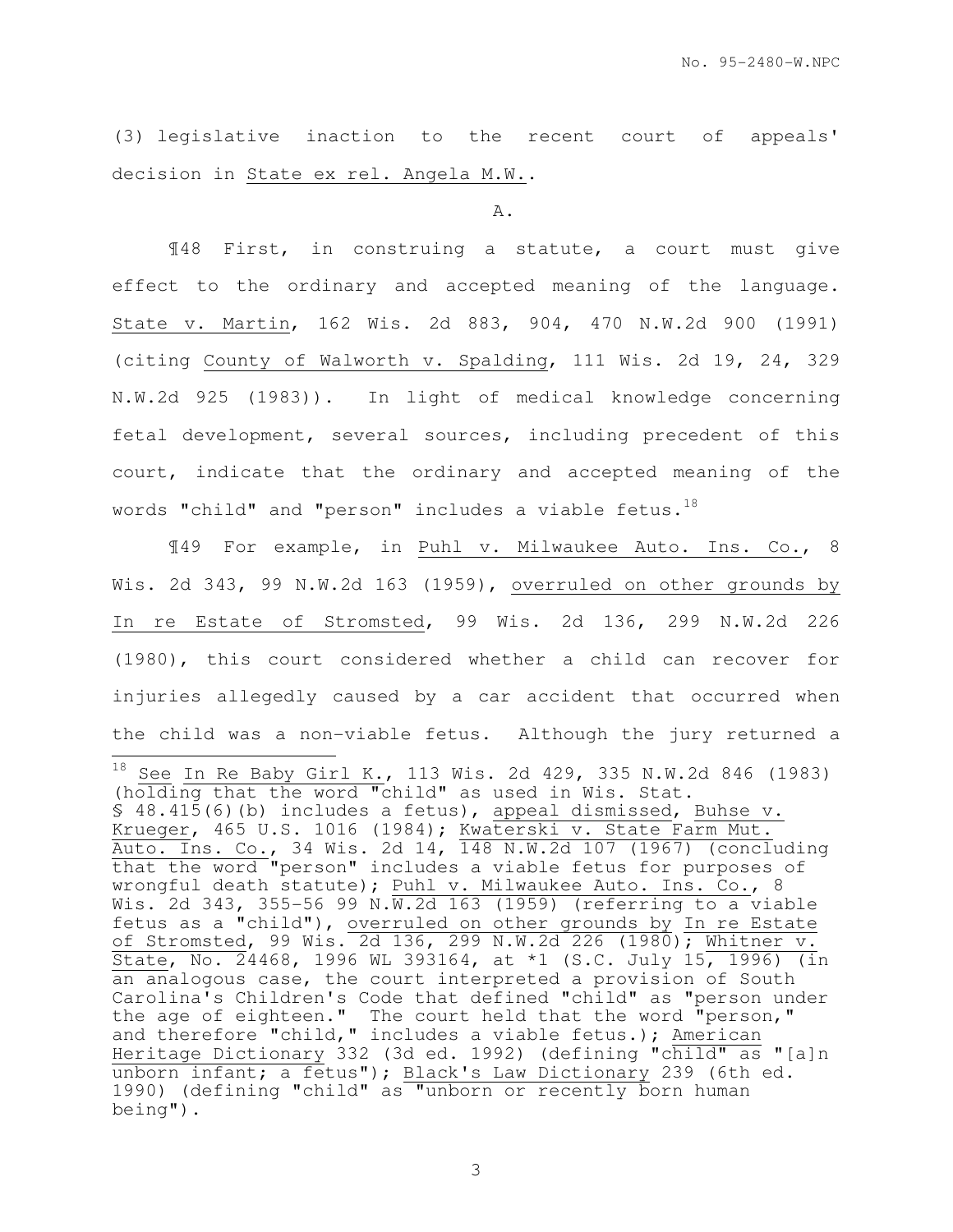(3) legislative inaction to the recent court of appeals' decision in State ex rel. Angela M.W..

#### A.

¶48 First, in construing a statute, a court must give effect to the ordinary and accepted meaning of the language. State v. Martin, 162 Wis. 2d 883, 904, 470 N.W.2d 900 (1991) (citing County of Walworth v. Spalding, 111 Wis. 2d 19, 24, 329 N.W.2d 925 (1983)). In light of medical knowledge concerning fetal development, several sources, including precedent of this court, indicate that the ordinary and accepted meaning of the words "child" and "person" includes a viable fetus.<sup>18</sup>

¶49 For example, in Puhl v. Milwaukee Auto. Ins. Co., 8 Wis. 2d 343, 99 N.W.2d 163 (1959), overruled on other grounds by In re Estate of Stromsted, 99 Wis. 2d 136, 299 N.W.2d 226 (1980), this court considered whether a child can recover for injuries allegedly caused by a car accident that occurred when the child was a non-viable fetus. Although the jury returned a  $\frac{1}{2}$  $^{18}$  See In Re Baby Girl K., 113 Wis. 2d 429, 335 N.W.2d 846 (1983) (holding that the word "child" as used in Wis. Stat. § 48.415(6)(b) includes a fetus), appeal dismissed, Buhse v. Krueger, 465 U.S. 1016 (1984); Kwaterski v. State Farm Mut. Auto. Ins. Co., 34 Wis. 2d 14, 148 N.W.2d 107 (1967) (concluding that the word "person" includes a viable fetus for purposes of wrongful death statute); Puhl v. Milwaukee Auto. Ins. Co., 8 Wis. 2d 343, 355-56 99 N.W.2d 163 (1959) (referring to a viable fetus as a "child"), overruled on other grounds by In re Estate of Stromsted, 99 Wis. 2d 136, 299 N.W.2d 226 (1980); Whitner v. State, No. 24468, 1996 WL 393164, at \*1 (S.C. July 15, 1996) (in an analogous case, the court interpreted a provision of South Carolina's Children's Code that defined "child" as "person under the age of eighteen." The court held that the word "person," and therefore "child," includes a viable fetus.); American Heritage Dictionary 332 (3d ed. 1992) (defining "child" as "[a]n unborn infant; a fetus"); Black's Law Dictionary 239 (6th ed. 1990) (defining "child" as "unborn or recently born human being").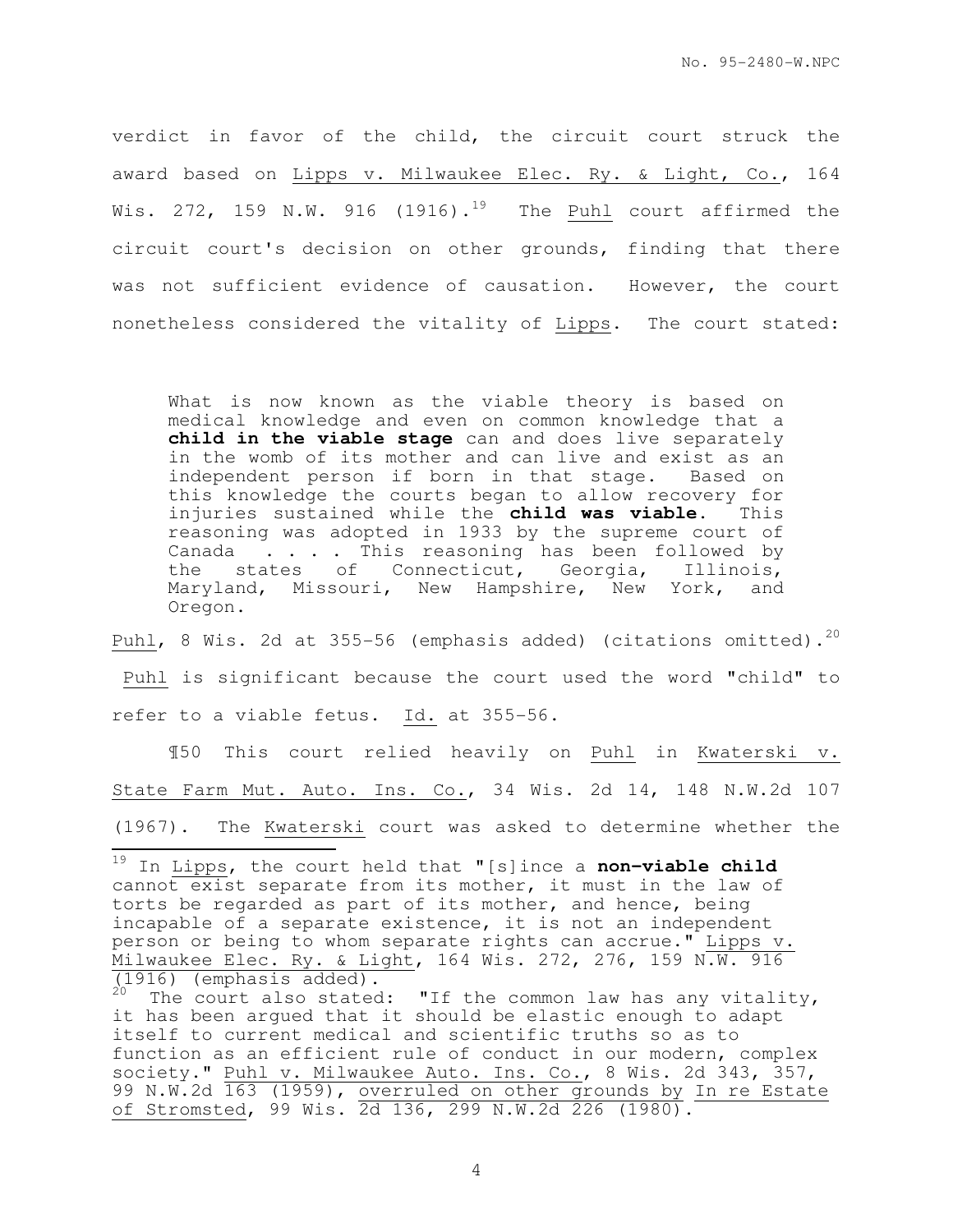verdict in favor of the child, the circuit court struck the award based on Lipps v. Milwaukee Elec. Ry. & Light, Co., 164 Wis. 272, 159 N.W. 916 (1916).<sup>19</sup> The Puhl court affirmed the circuit court's decision on other grounds, finding that there was not sufficient evidence of causation. However, the court nonetheless considered the vitality of Lipps. The court stated:

What is now known as the viable theory is based on medical knowledge and even on common knowledge that a **child in the viable stage** can and does live separately in the womb of its mother and can live and exist as an independent person if born in that stage. Based on this knowledge the courts began to allow recovery for<br>injuries sustained while the **child was viable**. This injuries sustained while the **child was viable**. reasoning was adopted in 1933 by the supreme court of Canada . . . . This reasoning has been followed by the states of Connecticut, Georgia, Illinois, Maryland, Missouri, New Hampshire, New York, and Oregon.

Puhl, 8 Wis. 2d at 355-56 (emphasis added) (citations omitted).<sup>20</sup>

 Puhl is significant because the court used the word "child" to refer to a viable fetus. Id. at 355-56.

¶50 This court relied heavily on Puhl in Kwaterski v. State Farm Mut. Auto. Ins. Co., 34 Wis. 2d 14, 148 N.W.2d 107 (1967). The Kwaterski court was asked to determine whether the  $\overline{\phantom{a}}$ 

<sup>19</sup> In Lipps, the court held that "[s]ince a **non-viable child**  cannot exist separate from its mother, it must in the law of torts be regarded as part of its mother, and hence, being incapable of a separate existence, it is not an independent person or being to whom separate rights can accrue." Lipps v. Milwaukee Elec. Ry. & Light, 164 Wis. 272, 276, 159 N.W. 916  $\frac{1}{(1916)}$  (emphasis added).

The court also stated: "If the common law has any vitality, it has been argued that it should be elastic enough to adapt itself to current medical and scientific truths so as to function as an efficient rule of conduct in our modern, complex society." Puhl v. Milwaukee Auto. Ins. Co., 8 Wis. 2d 343, 357, 99 N.W.2d 163 (1959), overruled on other grounds by In re Estate of Stromsted, 99 Wis. 2d 136, 299 N.W.2d 226 (1980).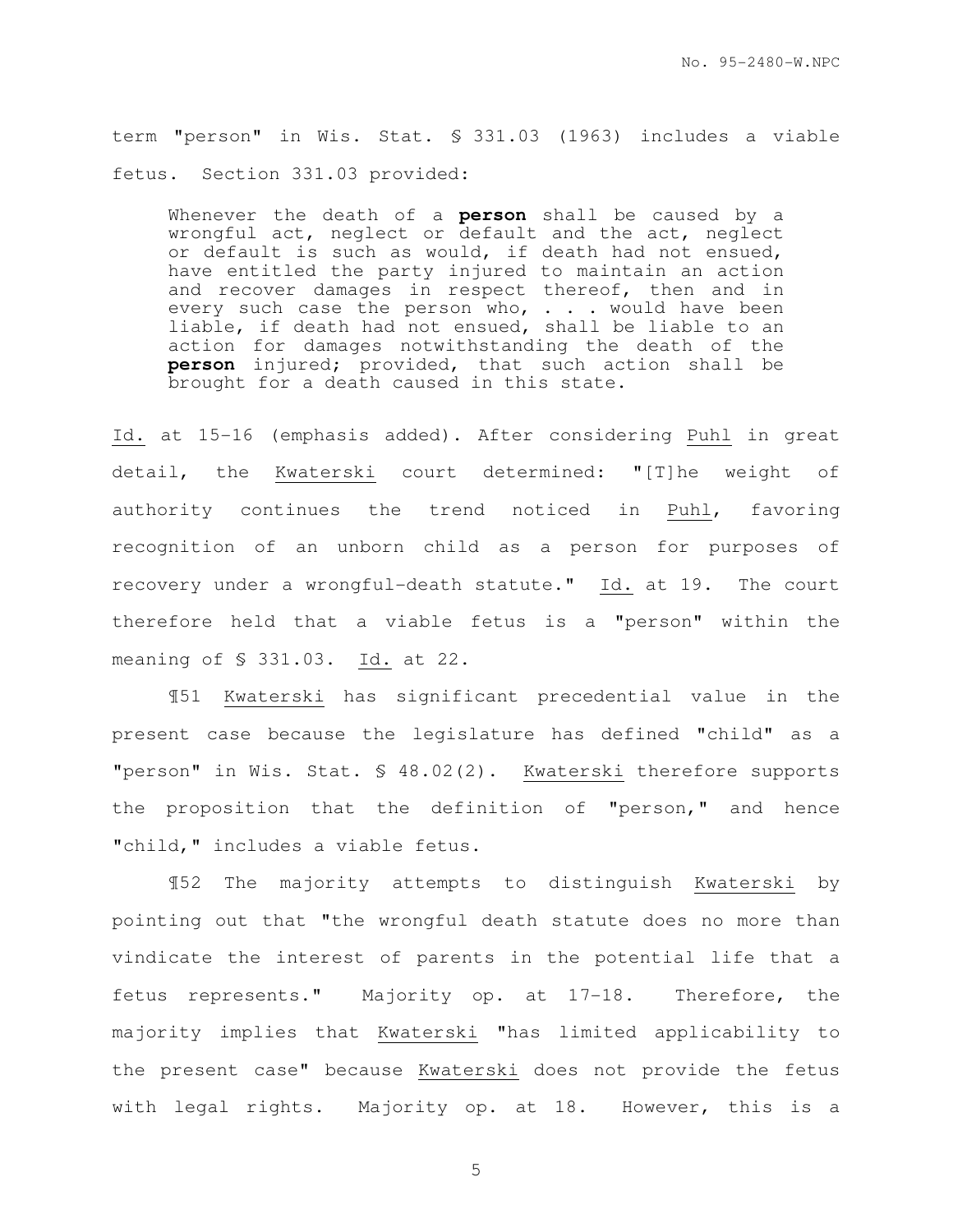term "person" in Wis. Stat. § 331.03 (1963) includes a viable fetus. Section 331.03 provided:

Whenever the death of a **person** shall be caused by a wrongful act, neglect or default and the act, neglect or default is such as would, if death had not ensued, have entitled the party injured to maintain an action and recover damages in respect thereof, then and in every such case the person who, . . . would have been liable, if death had not ensued, shall be liable to an action for damages notwithstanding the death of the **person** injured; provided, that such action shall be brought for a death caused in this state.

Id. at 15-16 (emphasis added). After considering Puhl in great detail, the Kwaterski court determined: "[T]he weight of authority continues the trend noticed in Puhl, favoring recognition of an unborn child as a person for purposes of recovery under a wrongful-death statute." Id. at 19. The court therefore held that a viable fetus is a "person" within the meaning of § 331.03. Id. at 22.

¶51 Kwaterski has significant precedential value in the present case because the legislature has defined "child" as a "person" in Wis. Stat. § 48.02(2). Kwaterski therefore supports the proposition that the definition of "person," and hence "child," includes a viable fetus.

¶52 The majority attempts to distinguish Kwaterski by pointing out that "the wrongful death statute does no more than vindicate the interest of parents in the potential life that a fetus represents." Majority op. at 17-18. Therefore, the majority implies that Kwaterski "has limited applicability to the present case" because Kwaterski does not provide the fetus with legal rights. Majority op. at 18. However, this is a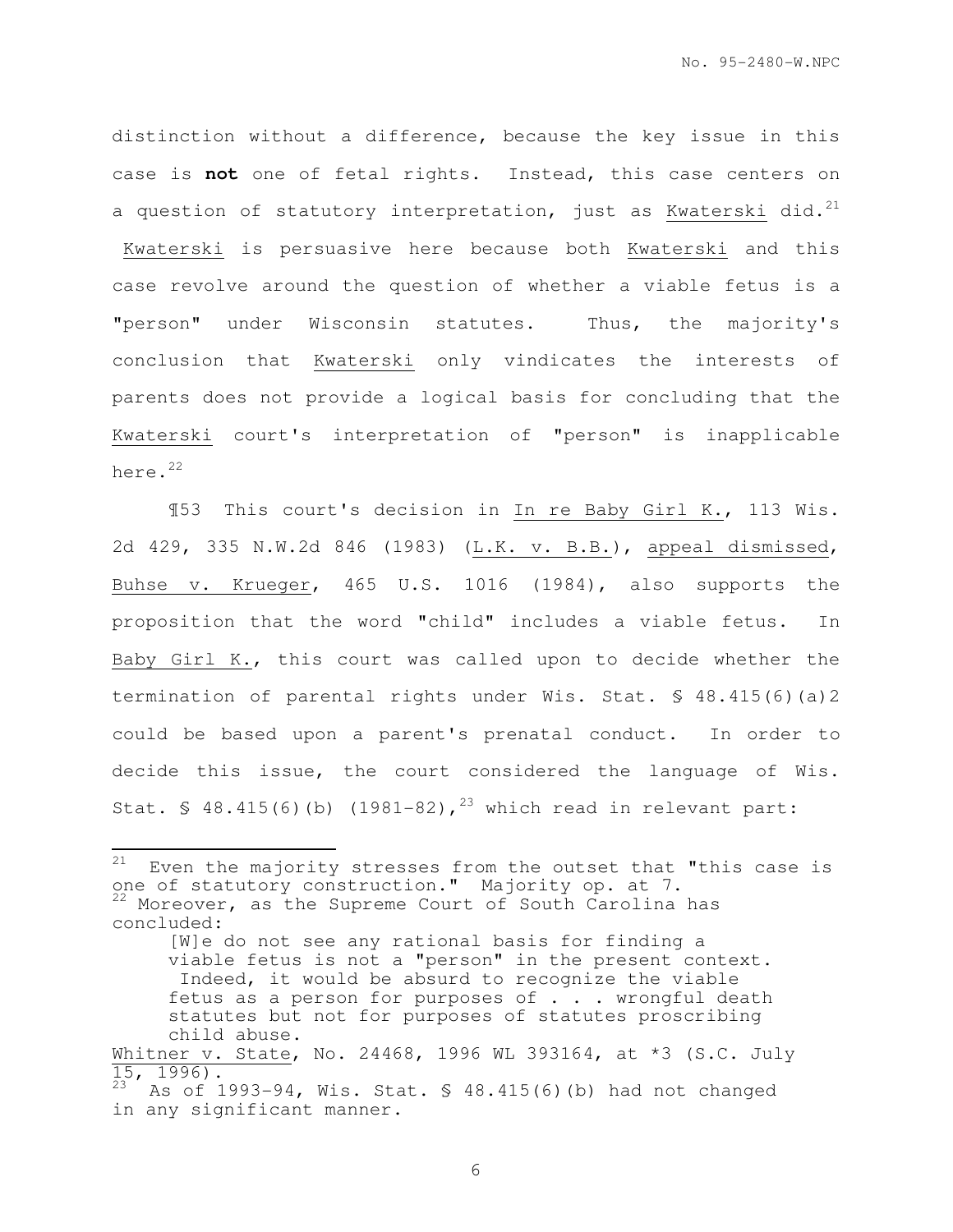distinction without a difference, because the key issue in this case is **not** one of fetal rights. Instead, this case centers on a question of statutory interpretation, just as Kwaterski did. $^{21}$  Kwaterski is persuasive here because both Kwaterski and this case revolve around the question of whether a viable fetus is a "person" under Wisconsin statutes. Thus, the majority's conclusion that Kwaterski only vindicates the interests of parents does not provide a logical basis for concluding that the Kwaterski court's interpretation of "person" is inapplicable here.<sup>22</sup>

¶53 This court's decision in In re Baby Girl K., 113 Wis. 2d 429, 335 N.W.2d 846 (1983) (L.K. v. B.B.), appeal dismissed, Buhse v. Krueger, 465 U.S. 1016 (1984), also supports the proposition that the word "child" includes a viable fetus. In Baby Girl K., this court was called upon to decide whether the termination of parental rights under Wis. Stat. § 48.415(6)(a)2 could be based upon a parent's prenatal conduct. In order to decide this issue, the court considered the language of Wis. Stat. § 48.415(6)(b) (1981-82),<sup>23</sup> which read in relevant part:

 $21$ Even the majority stresses from the outset that "this case is one of statutory construction." Majority op. at 7.  $22$  Moreover, as the Supreme Court of South Carolina has concluded:

<sup>[</sup>W]e do not see any rational basis for finding a viable fetus is not a "person" in the present context. Indeed, it would be absurd to recognize the viable fetus as a person for purposes of  $\ldots$  wrongful death statutes but not for purposes of statutes proscribing child abuse.

Whitner v. State, No. 24468, 1996 WL 393164, at \*3 (S.C. July  $15, 1996.$ 

 $23$  As of 1993-94, Wis. Stat. § 48.415(6)(b) had not changed in any significant manner.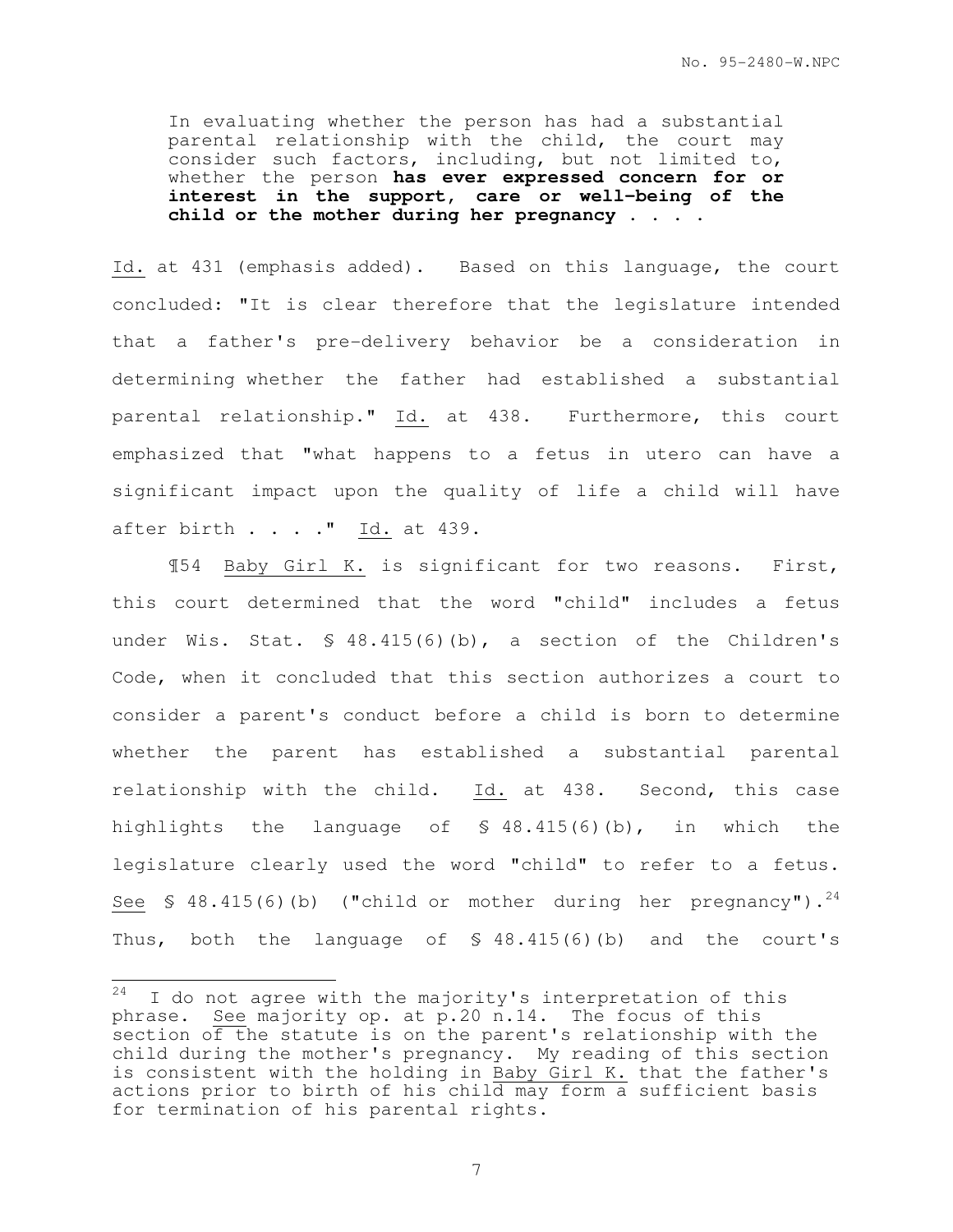In evaluating whether the person has had a substantial parental relationship with the child, the court may consider such factors, including, but not limited to, whether the person **has ever expressed concern for or interest in the support, care or well-being of the child or the mother during her pregnancy . . . .**

Id. at 431 (emphasis added). Based on this language, the court concluded: "It is clear therefore that the legislature intended that a father's pre-delivery behavior be a consideration in determining whether the father had established a substantial parental relationship." Id. at 438. Furthermore, this court emphasized that "what happens to a fetus in utero can have a significant impact upon the quality of life a child will have after birth  $\ldots$  " Id. at 439.

¶54 Baby Girl K. is significant for two reasons. First, this court determined that the word "child" includes a fetus under Wis. Stat. § 48.415(6)(b), a section of the Children's Code, when it concluded that this section authorizes a court to consider a parent's conduct before a child is born to determine whether the parent has established a substantial parental relationship with the child. Id. at 438. Second, this case highlights the language of § 48.415(6)(b), in which the legislature clearly used the word "child" to refer to a fetus. See  $\text{\$ }48.415(6)$  (b) ("child or mother during her pregnancy").<sup>24</sup> Thus, both the language of § 48.415(6)(b) and the court's

<sup>24</sup> I do not agree with the majority's interpretation of this phrase. See majority op. at p.20 n.14. The focus of this section of the statute is on the parent's relationship with the child during the mother's pregnancy. My reading of this section is consistent with the holding in Baby Girl K. that the father's actions prior to birth of his child may form a sufficient basis for termination of his parental rights.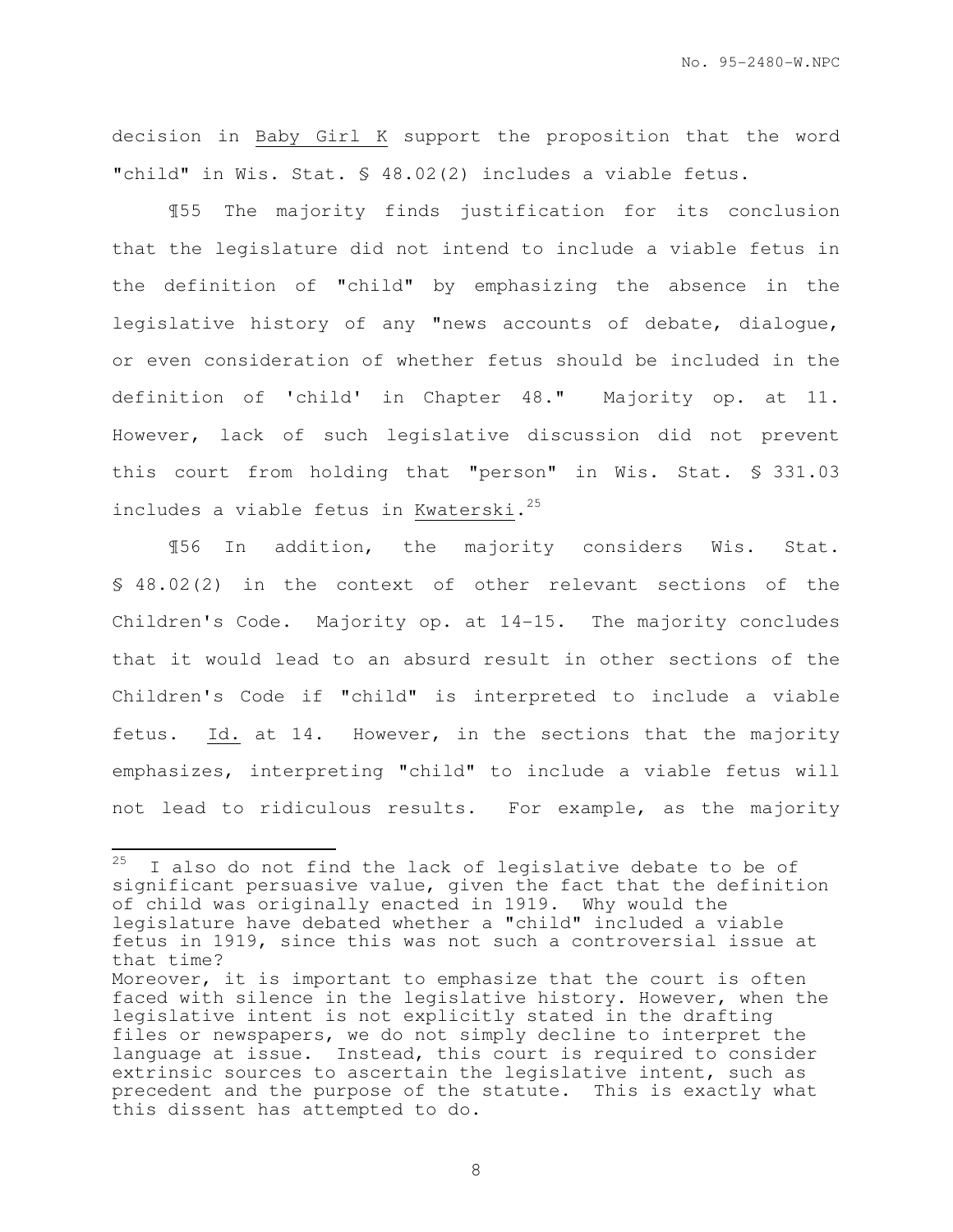decision in Baby Girl K support the proposition that the word "child" in Wis. Stat. § 48.02(2) includes a viable fetus.

¶55 The majority finds justification for its conclusion that the legislature did not intend to include a viable fetus in the definition of "child" by emphasizing the absence in the legislative history of any "news accounts of debate, dialogue, or even consideration of whether fetus should be included in the definition of 'child' in Chapter 48." Majority op. at 11. However, lack of such legislative discussion did not prevent this court from holding that "person" in Wis. Stat. § 331.03 includes a viable fetus in Kwaterski. <sup>25</sup>

¶56 In addition, the majority considers Wis. Stat. § 48.02(2) in the context of other relevant sections of the Children's Code. Majority op. at 14-15. The majority concludes that it would lead to an absurd result in other sections of the Children's Code if "child" is interpreted to include a viable fetus. Id. at 14. However, in the sections that the majority emphasizes, interpreting "child" to include a viable fetus will not lead to ridiculous results. For example, as the majority

<sup>25</sup> I also do not find the lack of legislative debate to be of significant persuasive value, given the fact that the definition of child was originally enacted in 1919. Why would the legislature have debated whether a "child" included a viable fetus in 1919, since this was not such a controversial issue at that time?

Moreover, it is important to emphasize that the court is often faced with silence in the legislative history. However, when the legislative intent is not explicitly stated in the drafting files or newspapers, we do not simply decline to interpret the language at issue. Instead, this court is required to consider extrinsic sources to ascertain the legislative intent, such as precedent and the purpose of the statute. This is exactly what this dissent has attempted to do.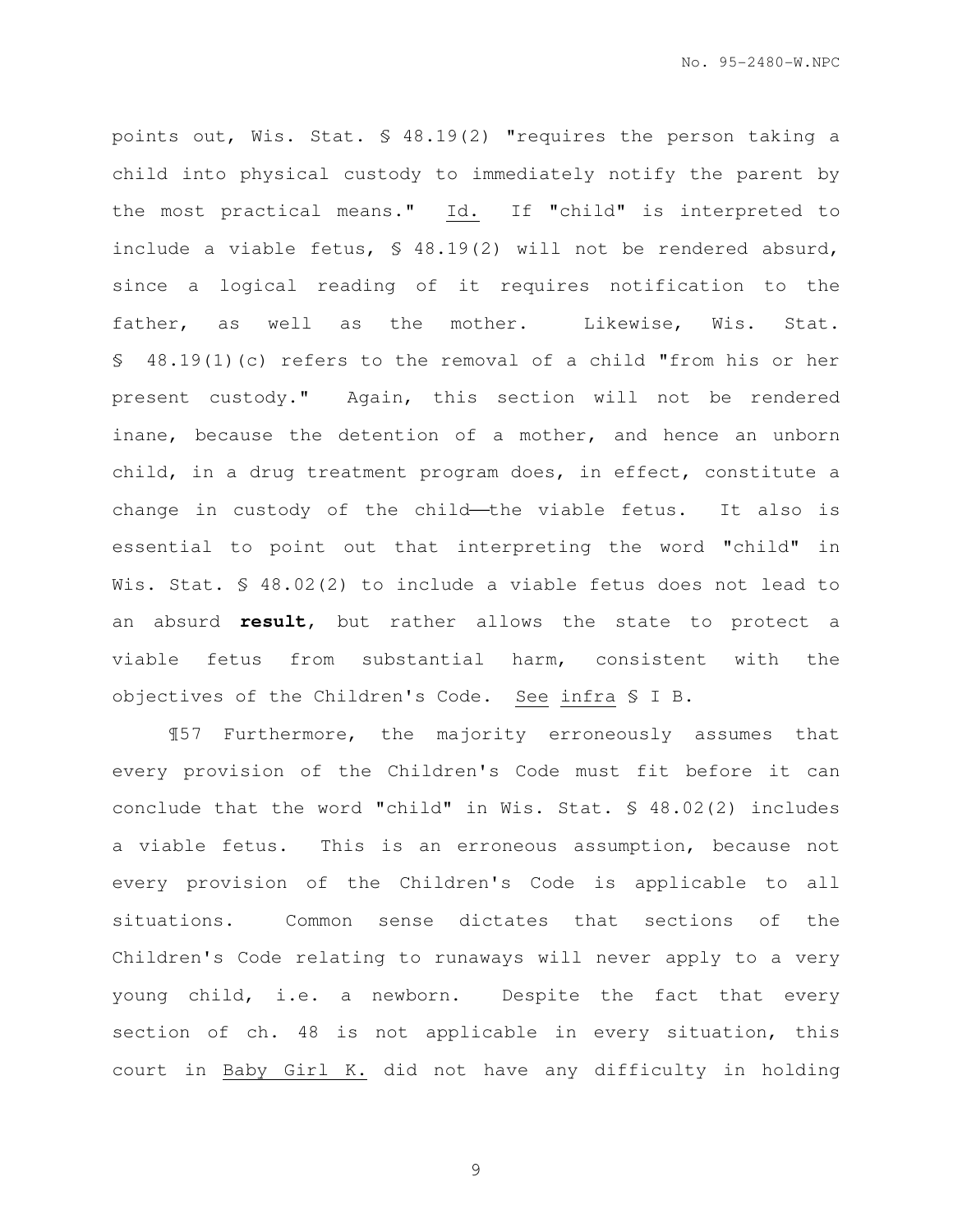points out, Wis. Stat. § 48.19(2) "requires the person taking a child into physical custody to immediately notify the parent by the most practical means." Id. If "child" is interpreted to include a viable fetus, § 48.19(2) will not be rendered absurd, since a logical reading of it requires notification to the father, as well as the mother. Likewise, Wis. Stat. § 48.19(1)(c) refers to the removal of a child "from his or her present custody." Again, this section will not be rendered inane, because the detention of a mother, and hence an unborn child, in a drug treatment program does, in effect, constitute a change in custody of the child—the viable fetus. It also is essential to point out that interpreting the word "child" in Wis. Stat. § 48.02(2) to include a viable fetus does not lead to an absurd **result**, but rather allows the state to protect a viable fetus from substantial harm, consistent with the objectives of the Children's Code. See infra § I B.

¶57 Furthermore, the majority erroneously assumes that every provision of the Children's Code must fit before it can conclude that the word "child" in Wis. Stat. § 48.02(2) includes a viable fetus. This is an erroneous assumption, because not every provision of the Children's Code is applicable to all situations. Common sense dictates that sections of the Children's Code relating to runaways will never apply to a very young child, i.e. a newborn. Despite the fact that every section of ch. 48 is not applicable in every situation, this court in Baby Girl K. did not have any difficulty in holding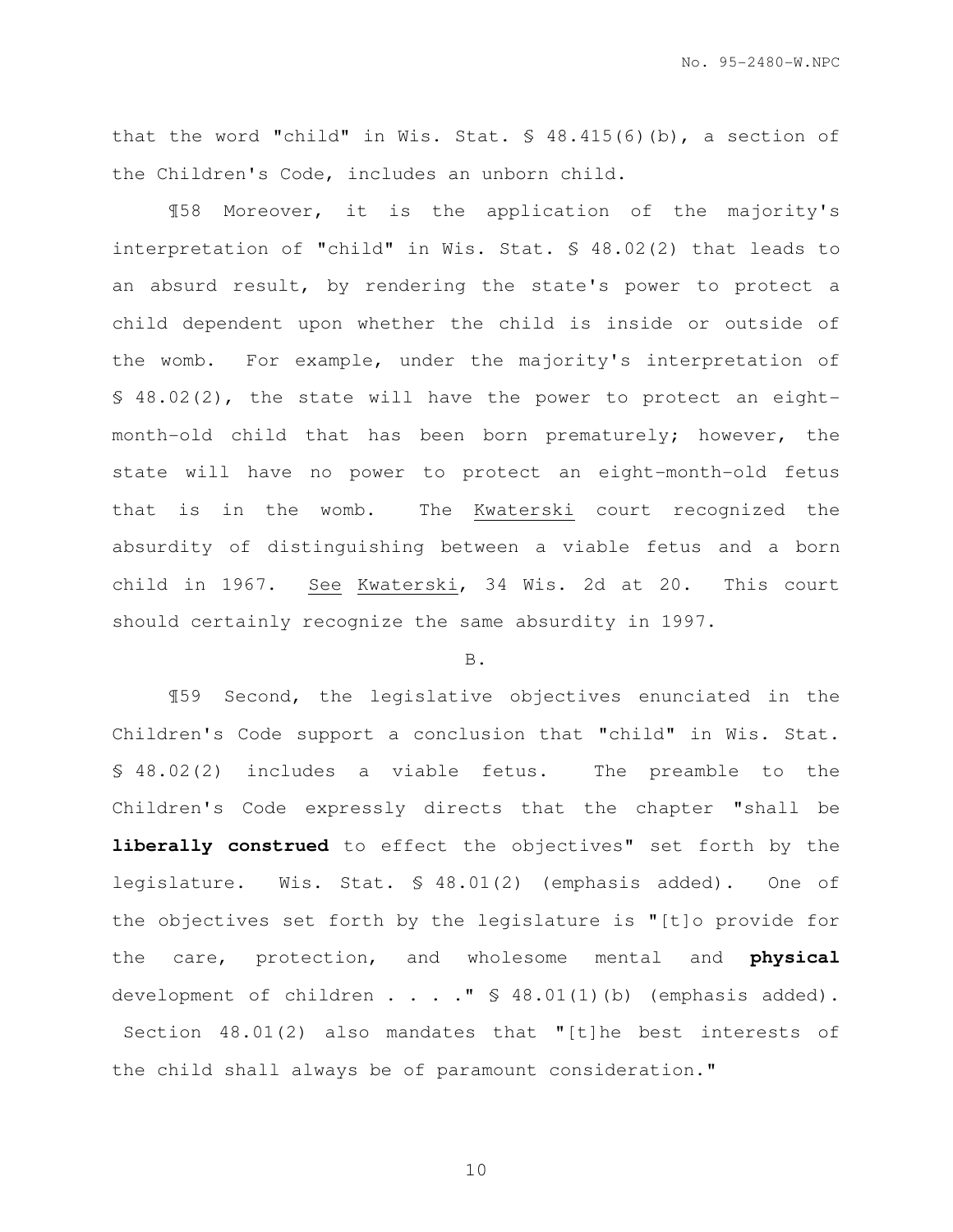No. 95-2480-W.NPC

that the word "child" in Wis. Stat. § 48.415(6)(b), a section of the Children's Code, includes an unborn child.

¶58 Moreover, it is the application of the majority's interpretation of "child" in Wis. Stat. § 48.02(2) that leads to an absurd result, by rendering the state's power to protect a child dependent upon whether the child is inside or outside of the womb. For example, under the majority's interpretation of § 48.02(2), the state will have the power to protect an eightmonth-old child that has been born prematurely; however, the state will have no power to protect an eight-month-old fetus that is in the womb. The Kwaterski court recognized the absurdity of distinguishing between a viable fetus and a born child in 1967. See Kwaterski, 34 Wis. 2d at 20. This court should certainly recognize the same absurdity in 1997.

#### B.

¶59 Second, the legislative objectives enunciated in the Children's Code support a conclusion that "child" in Wis. Stat. § 48.02(2) includes a viable fetus. The preamble to the Children's Code expressly directs that the chapter "shall be **liberally construed** to effect the objectives" set forth by the legislature. Wis. Stat. § 48.01(2) (emphasis added). One of the objectives set forth by the legislature is "[t]o provide for the care, protection, and wholesome mental and **physical**  development of children . . . . " \$ 48.01(1)(b) (emphasis added). Section 48.01(2) also mandates that "[t]he best interests of the child shall always be of paramount consideration."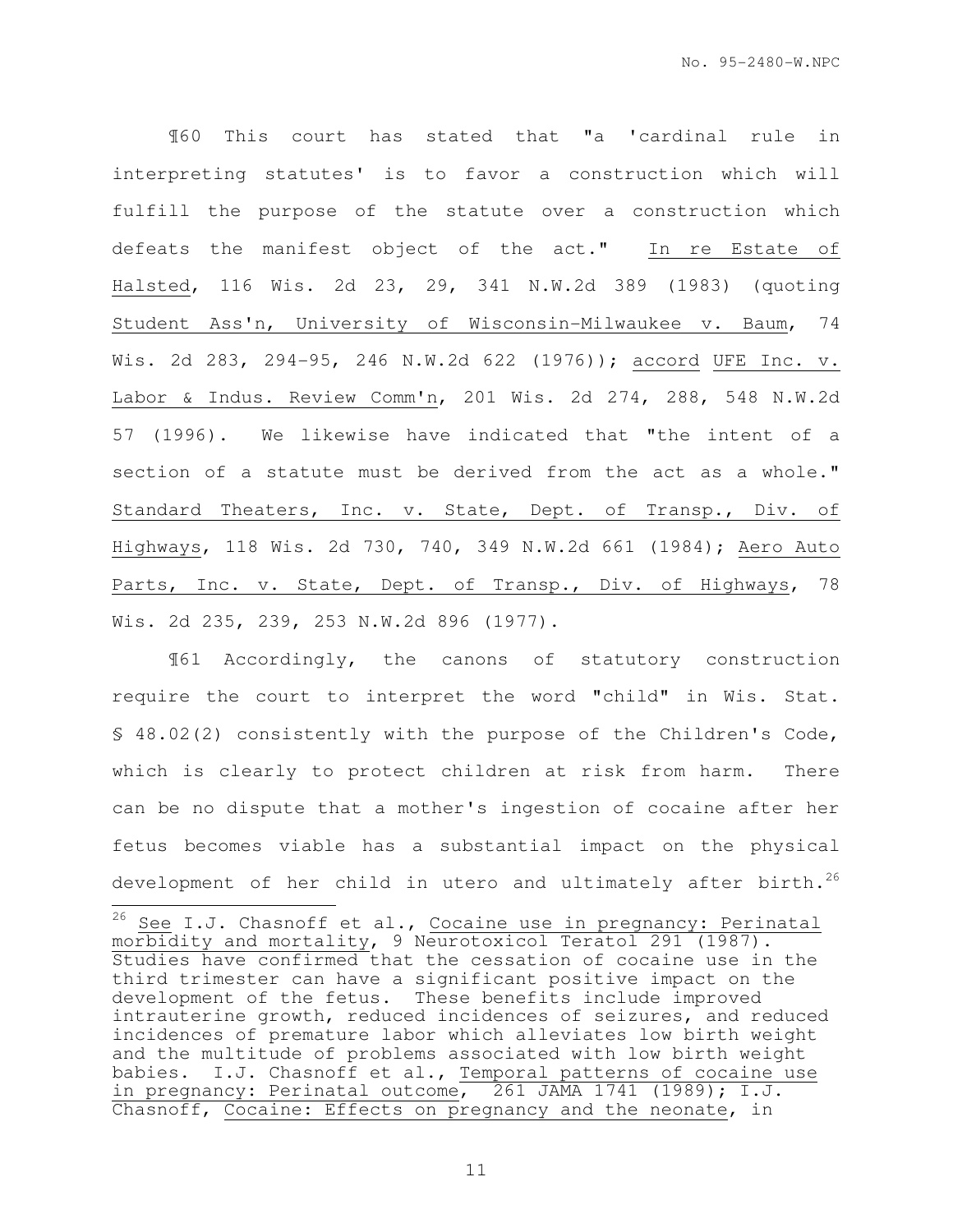¶60 This court has stated that "a 'cardinal rule in interpreting statutes' is to favor a construction which will fulfill the purpose of the statute over a construction which defeats the manifest object of the act." In re Estate of Halsted, 116 Wis. 2d 23, 29, 341 N.W.2d 389 (1983) (quoting Student Ass'n, University of Wisconsin-Milwaukee v. Baum, 74 Wis. 2d 283, 294-95, 246 N.W.2d 622 (1976)); accord UFE Inc. v. Labor & Indus. Review Comm'n, 201 Wis. 2d 274, 288, 548 N.W.2d 57 (1996). We likewise have indicated that "the intent of a section of a statute must be derived from the act as a whole." Standard Theaters, Inc. v. State, Dept. of Transp., Div. of Highways, 118 Wis. 2d 730, 740, 349 N.W.2d 661 (1984); Aero Auto Parts, Inc. v. State, Dept. of Transp., Div. of Highways, 78 Wis. 2d 235, 239, 253 N.W.2d 896 (1977).

¶61 Accordingly, the canons of statutory construction require the court to interpret the word "child" in Wis. Stat. § 48.02(2) consistently with the purpose of the Children's Code, which is clearly to protect children at risk from harm. There can be no dispute that a mother's ingestion of cocaine after her fetus becomes viable has a substantial impact on the physical development of her child in utero and ultimately after birth.<sup>26</sup>

 $\overline{\phantom{a}}$ 

 $^{26}$  See I.J. Chasnoff et al., Cocaine use in pregnancy: Perinatal morbidity and mortality, 9 Neurotoxicol Teratol 291 (1987). Studies have confirmed that the cessation of cocaine use in the third trimester can have a significant positive impact on the development of the fetus. These benefits include improved intrauterine growth, reduced incidences of seizures, and reduced incidences of premature labor which alleviates low birth weight and the multitude of problems associated with low birth weight babies. I.J. Chasnoff et al., Temporal patterns of cocaine use in pregnancy: Perinatal outcome, 261 JAMA 1741 (1989); I.J. Chasnoff, Cocaine: Effects on pregnancy and the neonate, in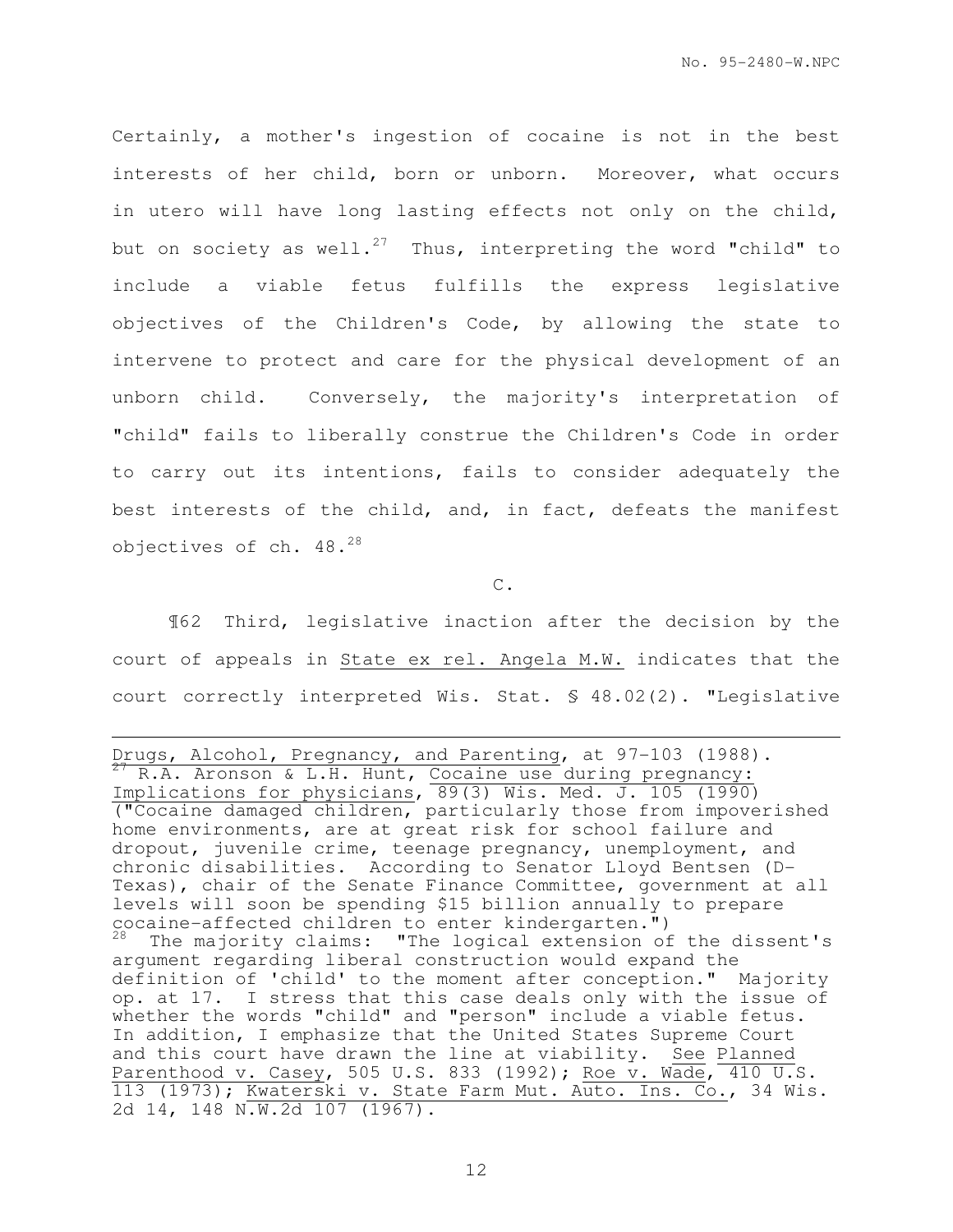Certainly, a mother's ingestion of cocaine is not in the best interests of her child, born or unborn. Moreover, what occurs in utero will have long lasting effects not only on the child, but on society as well.<sup>27</sup> Thus, interpreting the word "child" to include a viable fetus fulfills the express legislative objectives of the Children's Code, by allowing the state to intervene to protect and care for the physical development of an unborn child. Conversely, the majority's interpretation of "child" fails to liberally construe the Children's Code in order to carry out its intentions, fails to consider adequately the best interests of the child, and, in fact, defeats the manifest objectives of ch. 48.<sup>28</sup>

C.

¶62 Third, legislative inaction after the decision by the court of appeals in State ex rel. Angela M.W. indicates that the court correctly interpreted Wis. Stat. § 48.02(2). "Legislative

e<br>S

Drugs, Alcohol, Pregnancy, and Parenting, at 97-103 (1988). <sup>27</sup> R.A. Aronson & L.H. Hunt, Cocaine use during pregnancy: Implications for physicians, 89(3) Wis. Med. J. 105 (1990) ("Cocaine damaged children, particularly those from impoverished home environments, are at great risk for school failure and dropout, juvenile crime, teenage pregnancy, unemployment, and chronic disabilities. According to Senator Lloyd Bentsen (D-Texas), chair of the Senate Finance Committee, government at all levels will soon be spending \$15 billion annually to prepare cocaine-affected children to enter kindergarten.") The majority claims: "The logical extension of the dissent's argument regarding liberal construction would expand the definition of 'child' to the moment after conception." Majority op. at 17. I stress that this case deals only with the issue of whether the words "child" and "person" include a viable fetus. In addition, I emphasize that the United States Supreme Court and this court have drawn the line at viability. See Planned Parenthood v. Casey, 505 U.S. 833 (1992); Roe v. Wade, 410 U.S. 113 (1973); Kwaterski v. State Farm Mut. Auto. Ins. Co., 34 Wis. 2d 14, 148 N.W.2d 107 (1967).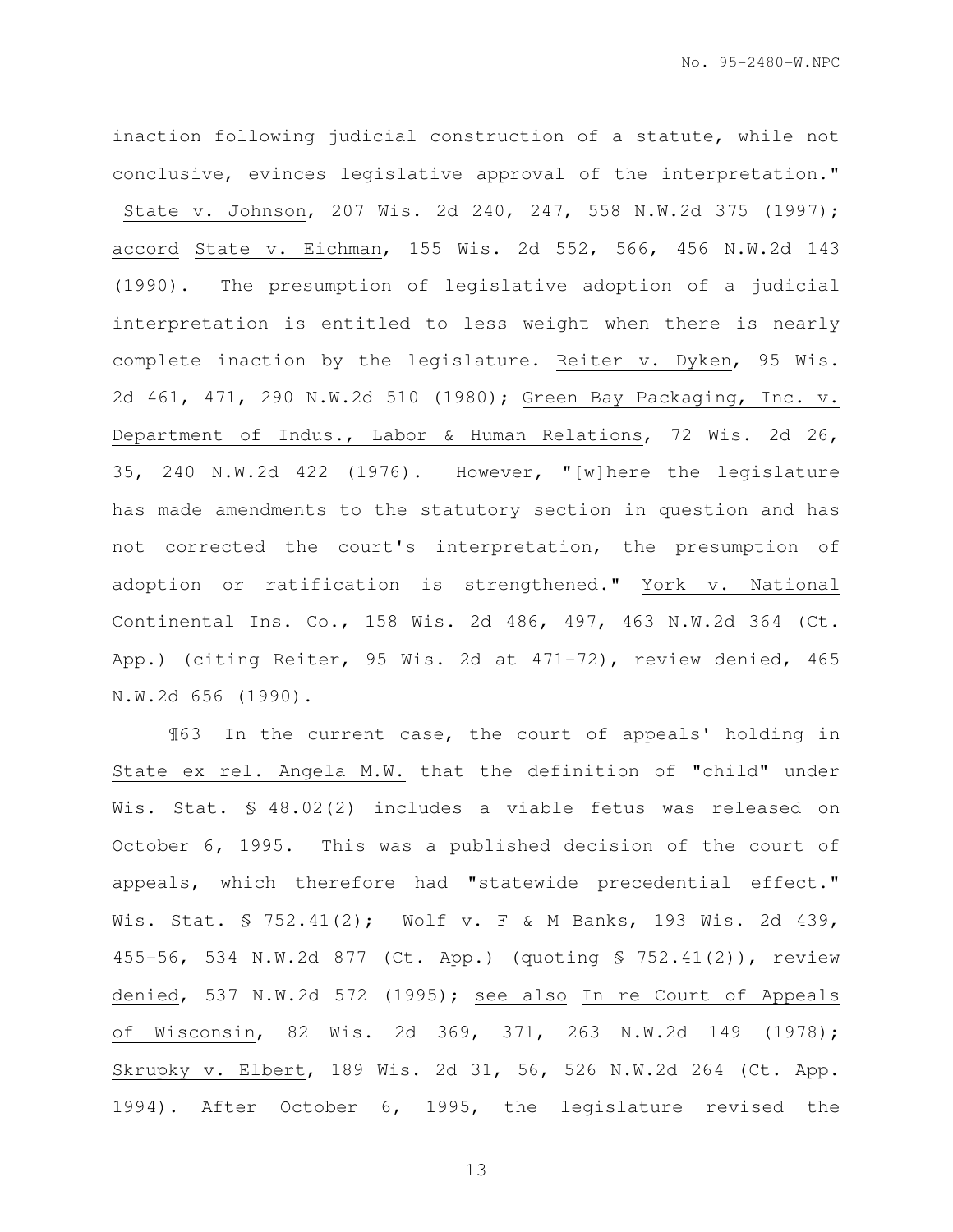No. 95-2480-W.NPC

inaction following judicial construction of a statute, while not conclusive, evinces legislative approval of the interpretation." State v. Johnson, 207 Wis. 2d 240, 247, 558 N.W.2d 375 (1997); accord State v. Eichman, 155 Wis. 2d 552, 566, 456 N.W.2d 143 (1990). The presumption of legislative adoption of a judicial interpretation is entitled to less weight when there is nearly complete inaction by the legislature. Reiter v. Dyken, 95 Wis. 2d 461, 471, 290 N.W.2d 510 (1980); Green Bay Packaging, Inc. v. Department of Indus., Labor & Human Relations, 72 Wis. 2d 26, 35, 240 N.W.2d 422 (1976). However, "[w]here the legislature has made amendments to the statutory section in question and has not corrected the court's interpretation, the presumption of adoption or ratification is strengthened." York v. National Continental Ins. Co., 158 Wis. 2d 486, 497, 463 N.W.2d 364 (Ct. App.) (citing Reiter, 95 Wis. 2d at 471-72), review denied, 465 N.W.2d 656 (1990).

¶63 In the current case, the court of appeals' holding in State ex rel. Angela M.W. that the definition of "child" under Wis. Stat. § 48.02(2) includes a viable fetus was released on October 6, 1995. This was a published decision of the court of appeals, which therefore had "statewide precedential effect." Wis. Stat. § 752.41(2); Wolf v. F & M Banks, 193 Wis. 2d 439, 455-56, 534 N.W.2d 877 (Ct. App.) (quoting § 752.41(2)), review denied, 537 N.W.2d 572 (1995); see also In re Court of Appeals of Wisconsin, 82 Wis. 2d 369, 371, 263 N.W.2d 149 (1978); Skrupky v. Elbert, 189 Wis. 2d 31, 56, 526 N.W.2d 264 (Ct. App. 1994). After October 6, 1995, the legislature revised the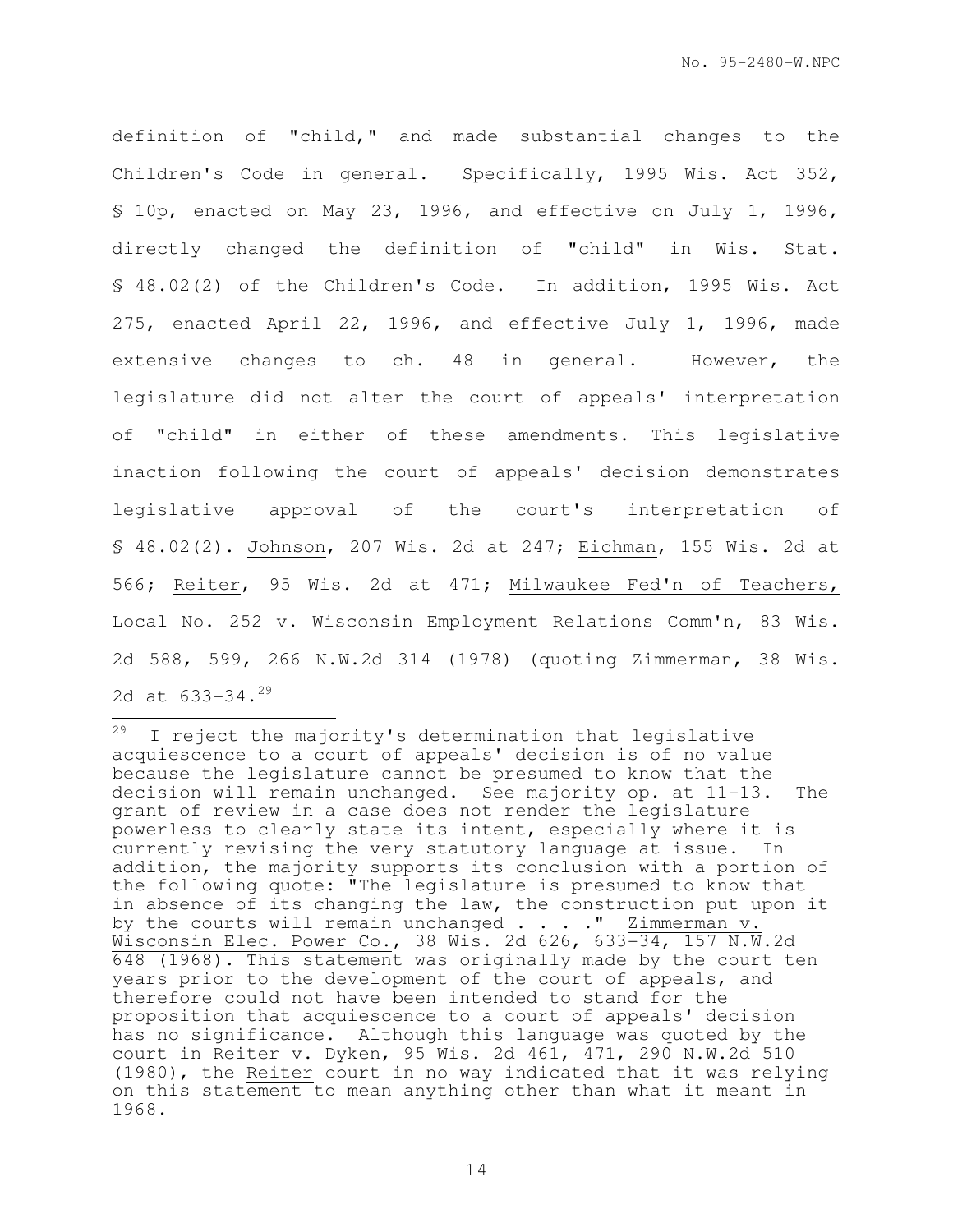definition of "child," and made substantial changes to the Children's Code in general. Specifically, 1995 Wis. Act 352, § 10p, enacted on May 23, 1996, and effective on July 1, 1996, directly changed the definition of "child" in Wis. Stat. § 48.02(2) of the Children's Code. In addition, 1995 Wis. Act 275, enacted April 22, 1996, and effective July 1, 1996, made extensive changes to ch. 48 in general. However, the legislature did not alter the court of appeals' interpretation of "child" in either of these amendments. This legislative inaction following the court of appeals' decision demonstrates legislative approval of the court's interpretation of § 48.02(2). Johnson, 207 Wis. 2d at 247; Eichman, 155 Wis. 2d at 566; Reiter, 95 Wis. 2d at 471; Milwaukee Fed'n of Teachers, Local No. 252 v. Wisconsin Employment Relations Comm'n, 83 Wis. 2d 588, 599, 266 N.W.2d 314 (1978) (quoting Zimmerman, 38 Wis. 2d at 633-34.<sup>29</sup>

29 I reject the majority's determination that legislative acquiescence to a court of appeals' decision is of no value because the legislature cannot be presumed to know that the decision will remain unchanged. See majority op. at 11-13. The grant of review in a case does not render the legislature powerless to clearly state its intent, especially where it is currently revising the very statutory language at issue. In addition, the majority supports its conclusion with a portion of the following quote: "The legislature is presumed to know that in absence of its changing the law, the construction put upon it by the courts will remain unchanged . . . . " Zimmerman v. Wisconsin Elec. Power Co., 38 Wis. 2d 626, 633-34, 157 N.W.2d 648 (1968). This statement was originally made by the court ten years prior to the development of the court of appeals, and therefore could not have been intended to stand for the proposition that acquiescence to a court of appeals' decision has no significance. Although this language was quoted by the court in Reiter v. Dyken, 95 Wis. 2d 461, 471, 290 N.W.2d 510 (1980), the Reiter court in no way indicated that it was relying on this statement to mean anything other than what it meant in 1968.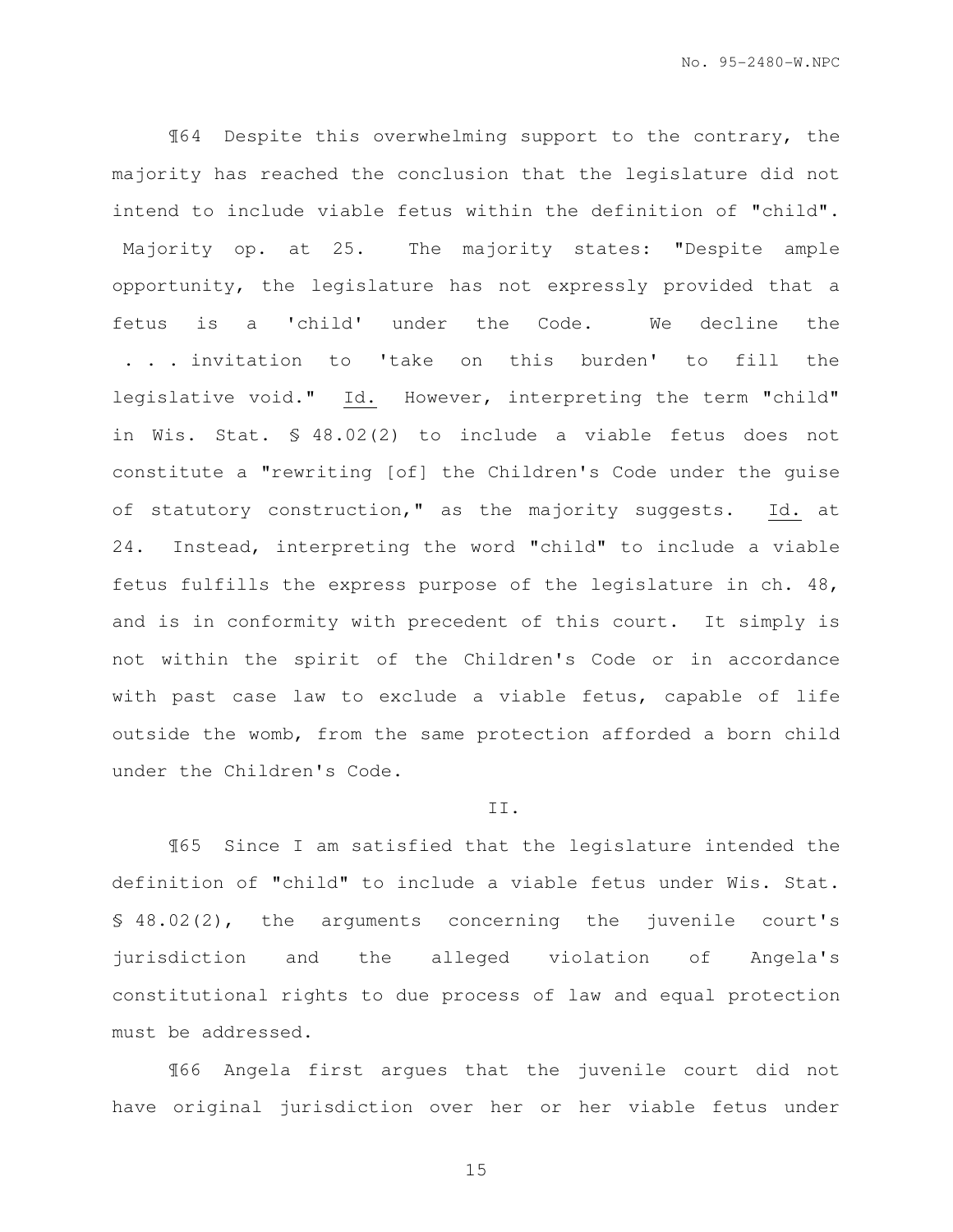¶64 Despite this overwhelming support to the contrary, the majority has reached the conclusion that the legislature did not intend to include viable fetus within the definition of "child". Majority op. at 25. The majority states: "Despite ample opportunity, the legislature has not expressly provided that a fetus is a 'child' under the Code. We decline the . . . invitation to 'take on this burden' to fill the legislative void." Id. However, interpreting the term "child" in Wis. Stat. § 48.02(2) to include a viable fetus does not constitute a "rewriting [of] the Children's Code under the guise of statutory construction," as the majority suggests. Id. at 24. Instead, interpreting the word "child" to include a viable fetus fulfills the express purpose of the legislature in ch. 48, and is in conformity with precedent of this court. It simply is not within the spirit of the Children's Code or in accordance with past case law to exclude a viable fetus, capable of life outside the womb, from the same protection afforded a born child under the Children's Code.

#### II.

¶65 Since I am satisfied that the legislature intended the definition of "child" to include a viable fetus under Wis. Stat. § 48.02(2), the arguments concerning the juvenile court's jurisdiction and the alleged violation of Angela's constitutional rights to due process of law and equal protection must be addressed.

¶66 Angela first argues that the juvenile court did not have original jurisdiction over her or her viable fetus under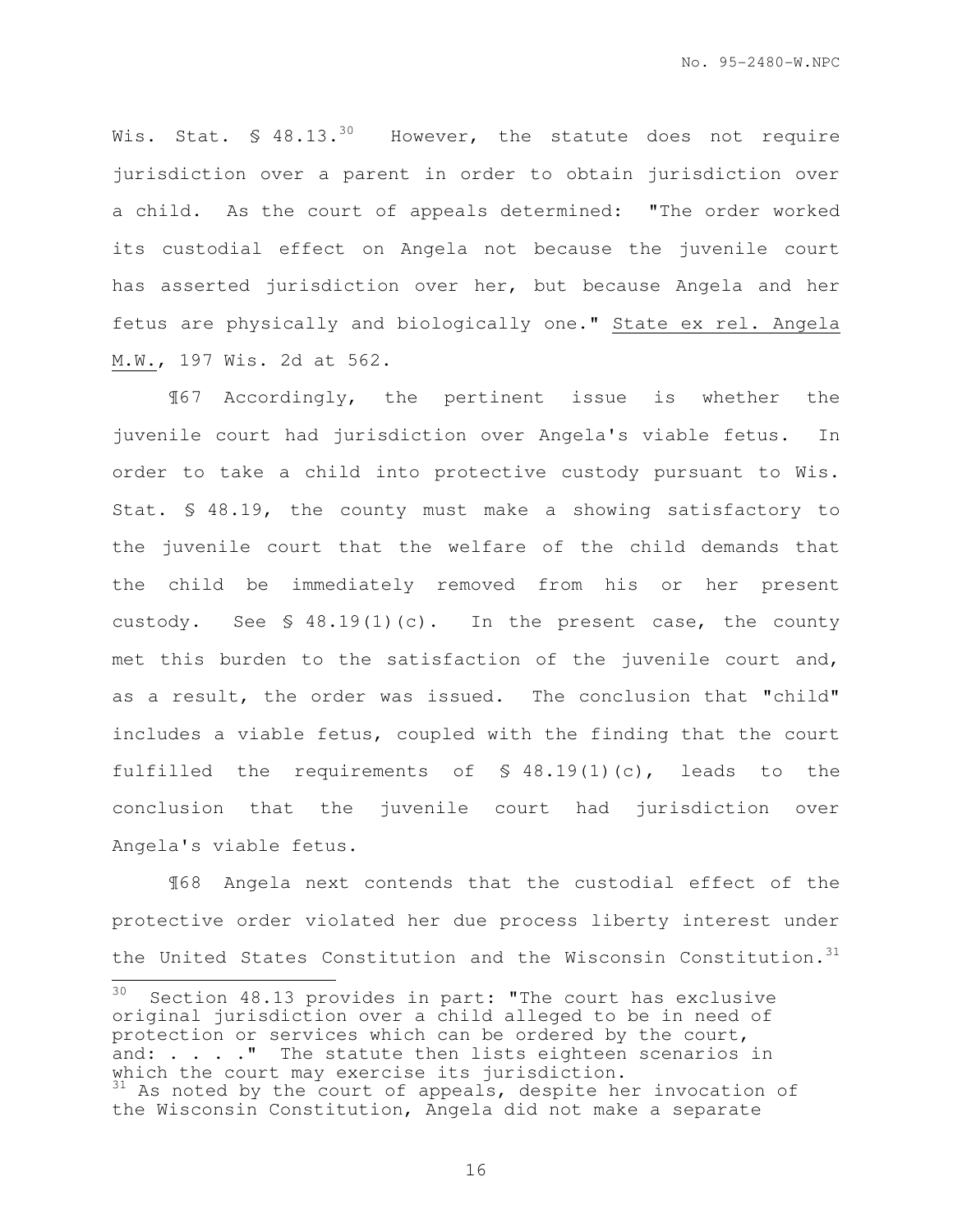Wis. Stat.  $\text{\$ }48.13.^{30}$  However, the statute does not require jurisdiction over a parent in order to obtain jurisdiction over a child. As the court of appeals determined: "The order worked its custodial effect on Angela not because the juvenile court has asserted jurisdiction over her, but because Angela and her fetus are physically and biologically one." State ex rel. Angela M.W., 197 Wis. 2d at 562.

¶67 Accordingly, the pertinent issue is whether the juvenile court had jurisdiction over Angela's viable fetus. In order to take a child into protective custody pursuant to Wis. Stat. § 48.19, the county must make a showing satisfactory to the juvenile court that the welfare of the child demands that the child be immediately removed from his or her present custody. See § 48.19(1)(c). In the present case, the county met this burden to the satisfaction of the juvenile court and, as a result, the order was issued. The conclusion that "child" includes a viable fetus, coupled with the finding that the court fulfilled the requirements of § 48.19(1)(c), leads to the conclusion that the juvenile court had jurisdiction over Angela's viable fetus.

¶68 Angela next contends that the custodial effect of the protective order violated her due process liberty interest under the United States Constitution and the Wisconsin Constitution.<sup>31</sup>

<sup>30</sup> Section 48.13 provides in part: "The court has exclusive original jurisdiction over a child alleged to be in need of protection or services which can be ordered by the court, and: . . . . " The statute then lists eighteen scenarios in which the court may exercise its jurisdiction. <sup>31</sup> As noted by the court of appeals, despite her invocation of the Wisconsin Constitution, Angela did not make a separate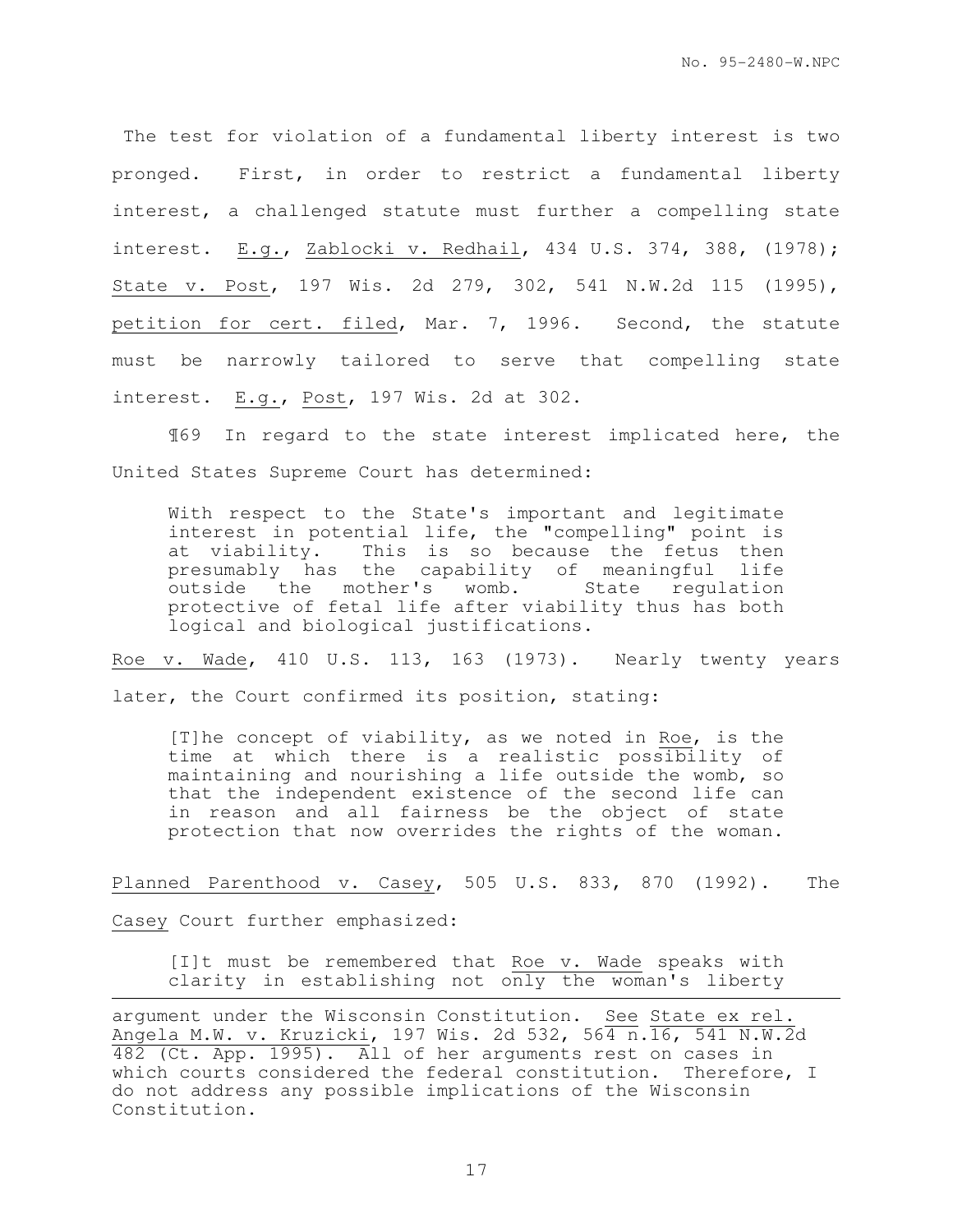The test for violation of a fundamental liberty interest is two pronged. First, in order to restrict a fundamental liberty interest, a challenged statute must further a compelling state interest. E.g., Zablocki v. Redhail, 434 U.S. 374, 388, (1978); State v. Post, 197 Wis. 2d 279, 302, 541 N.W.2d 115 (1995), petition for cert. filed, Mar. 7, 1996. Second, the statute must be narrowly tailored to serve that compelling state interest. E.g., Post, 197 Wis. 2d at 302.

¶69 In regard to the state interest implicated here, the United States Supreme Court has determined:

With respect to the State's important and legitimate interest in potential life, the "compelling" point is at viability. This is so because the fetus then presumably has the capability of meaningful life<br>outside the mother's womb. State regulation outside the mother's womb. protective of fetal life after viability thus has both logical and biological justifications.

Roe v. Wade, 410 U.S. 113, 163 (1973). Nearly twenty years later, the Court confirmed its position, stating:

[T]he concept of viability, as we noted in Roe, is the time at which there is a realistic possibility of maintaining and nourishing a life outside the womb, so that the independent existence of the second life can in reason and all fairness be the object of state protection that now overrides the rights of the woman.

Planned Parenthood v. Casey, 505 U.S. 833, 870 (1992). The

Casey Court further emphasized:

e<br>S

[I]t must be remembered that Roe v. Wade speaks with clarity in establishing not only the woman's liberty

argument under the Wisconsin Constitution. See State ex rel. Angela M.W. v. Kruzicki, 197 Wis. 2d 532, 564 n. 16, 541 N.W.2d 482 (Ct. App. 1995). All of her arguments rest on cases in which courts considered the federal constitution. Therefore, I do not address any possible implications of the Wisconsin Constitution.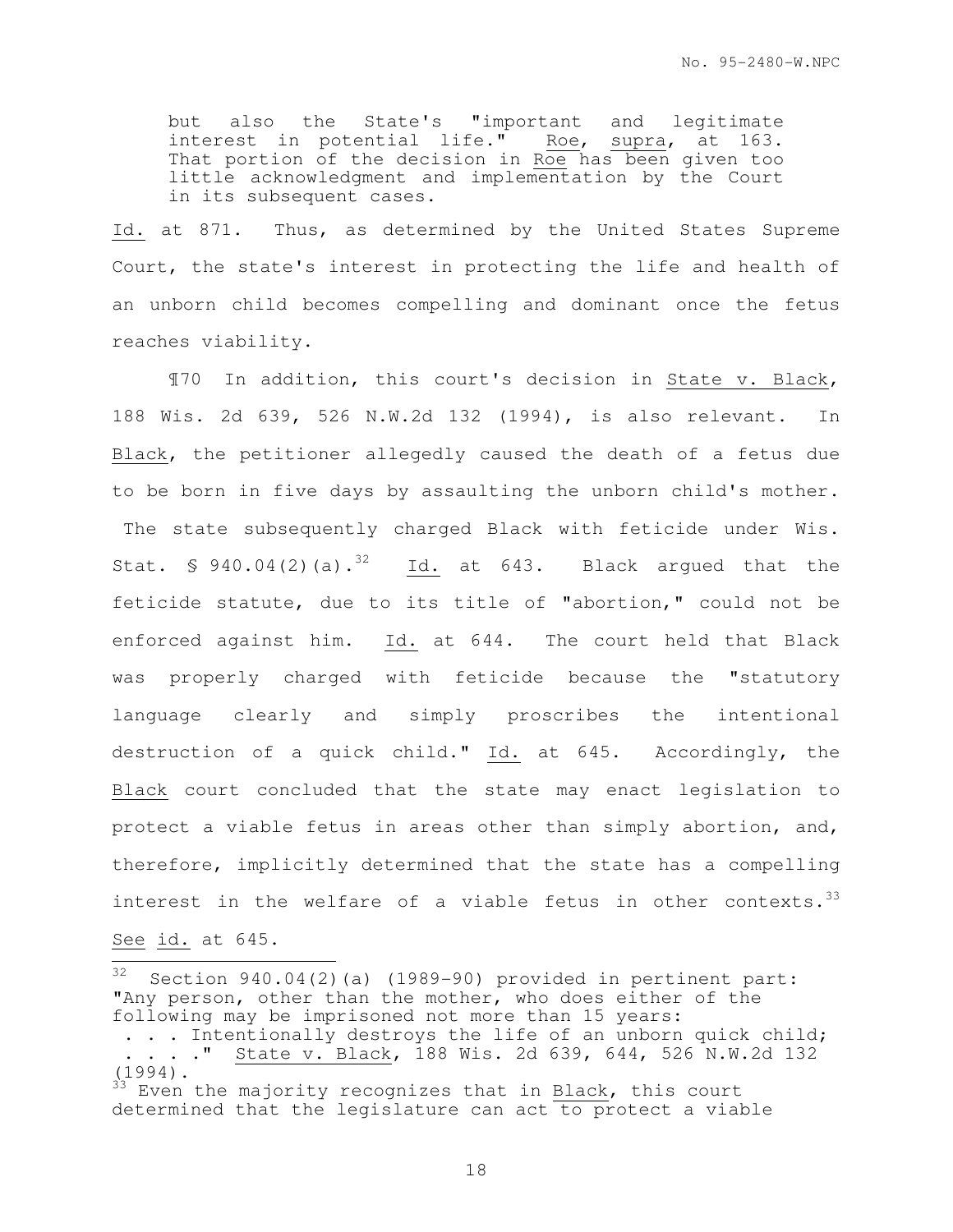but also the State's "important and legitimate interest in potential life." Roe, supra, at 163. That portion of the decision in Roe has been given too little acknowledgment and implementation by the Court in its subsequent cases.

Id. at 871. Thus, as determined by the United States Supreme Court, the state's interest in protecting the life and health of an unborn child becomes compelling and dominant once the fetus reaches viability.

¶70 In addition, this court's decision in State v. Black, 188 Wis. 2d 639, 526 N.W.2d 132 (1994), is also relevant. In Black, the petitioner allegedly caused the death of a fetus due to be born in five days by assaulting the unborn child's mother. The state subsequently charged Black with feticide under Wis. Stat. § 940.04(2)(a).<sup>32</sup> Id. at 643. Black argued that the feticide statute, due to its title of "abortion," could not be enforced against him. Id. at 644. The court held that Black was properly charged with feticide because the "statutory language clearly and simply proscribes the intentional destruction of a quick child." Id. at 645. Accordingly, the Black court concluded that the state may enact legislation to protect a viable fetus in areas other than simply abortion, and, therefore, implicitly determined that the state has a compelling interest in the welfare of a viable fetus in other contexts.<sup>33</sup>

See id. at 645.

32 Section 940.04(2)(a) (1989-90) provided in pertinent part: "Any person, other than the mother, who does either of the following may be imprisoned not more than 15 years: . . . Intentionally destroys the life of an unborn quick child; . . . ." State v. Black, 188 Wis. 2d 639, 644, 526 N.W.2d 132 (1994). Even the majority recognizes that in Black, this court determined that the legislature can act to protect a viable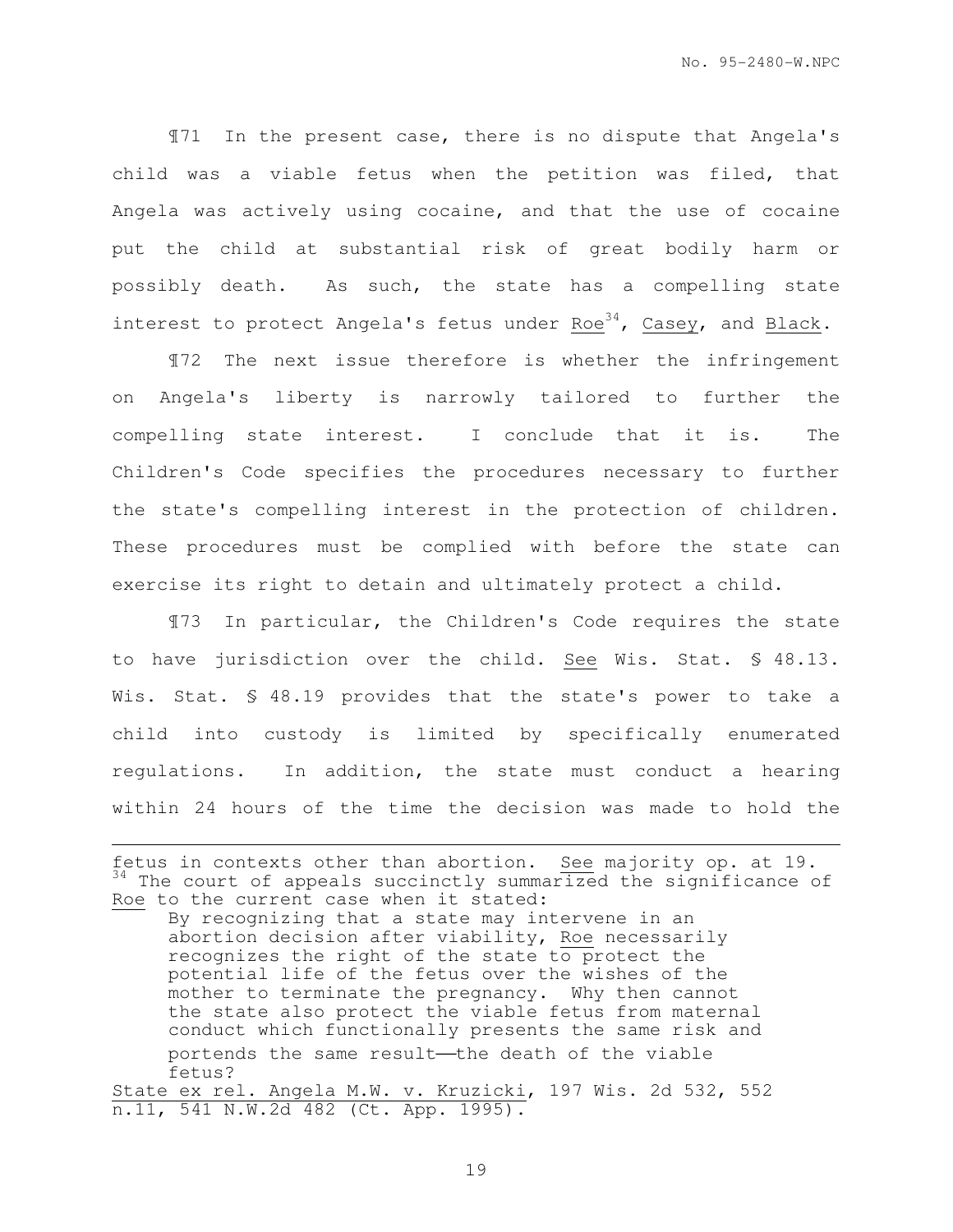¶71 In the present case, there is no dispute that Angela's child was a viable fetus when the petition was filed, that Angela was actively using cocaine, and that the use of cocaine put the child at substantial risk of great bodily harm or possibly death. As such, the state has a compelling state interest to protect Angela's fetus under Roe<sup>34</sup>, Casey, and Black.

¶72 The next issue therefore is whether the infringement on Angela's liberty is narrowly tailored to further the compelling state interest. I conclude that it is. The Children's Code specifies the procedures necessary to further the state's compelling interest in the protection of children. These procedures must be complied with before the state can exercise its right to detain and ultimately protect a child.

¶73 In particular, the Children's Code requires the state to have jurisdiction over the child. See Wis. Stat. § 48.13. Wis. Stat. § 48.19 provides that the state's power to take a child into custody is limited by specifically enumerated regulations. In addition, the state must conduct a hearing within 24 hours of the time the decision was made to hold the

e<br>S

fetus in contexts other than abortion. See majority op. at 19. <sup>34</sup> The court of appeals succinctly summarized the significance of Roe to the current case when it stated:

By recognizing that a state may intervene in an abortion decision after viability, Roe necessarily recognizes the right of the state to protect the potential life of the fetus over the wishes of the mother to terminate the pregnancy. Why then cannot the state also protect the viable fetus from maternal conduct which functionally presents the same risk and portends the same result-the death of the viable fetus?

State ex rel. Angela M.W. v. Kruzicki, 197 Wis. 2d 532, 552 n.11, 541 N.W.2d 482 (Ct. App. 1995).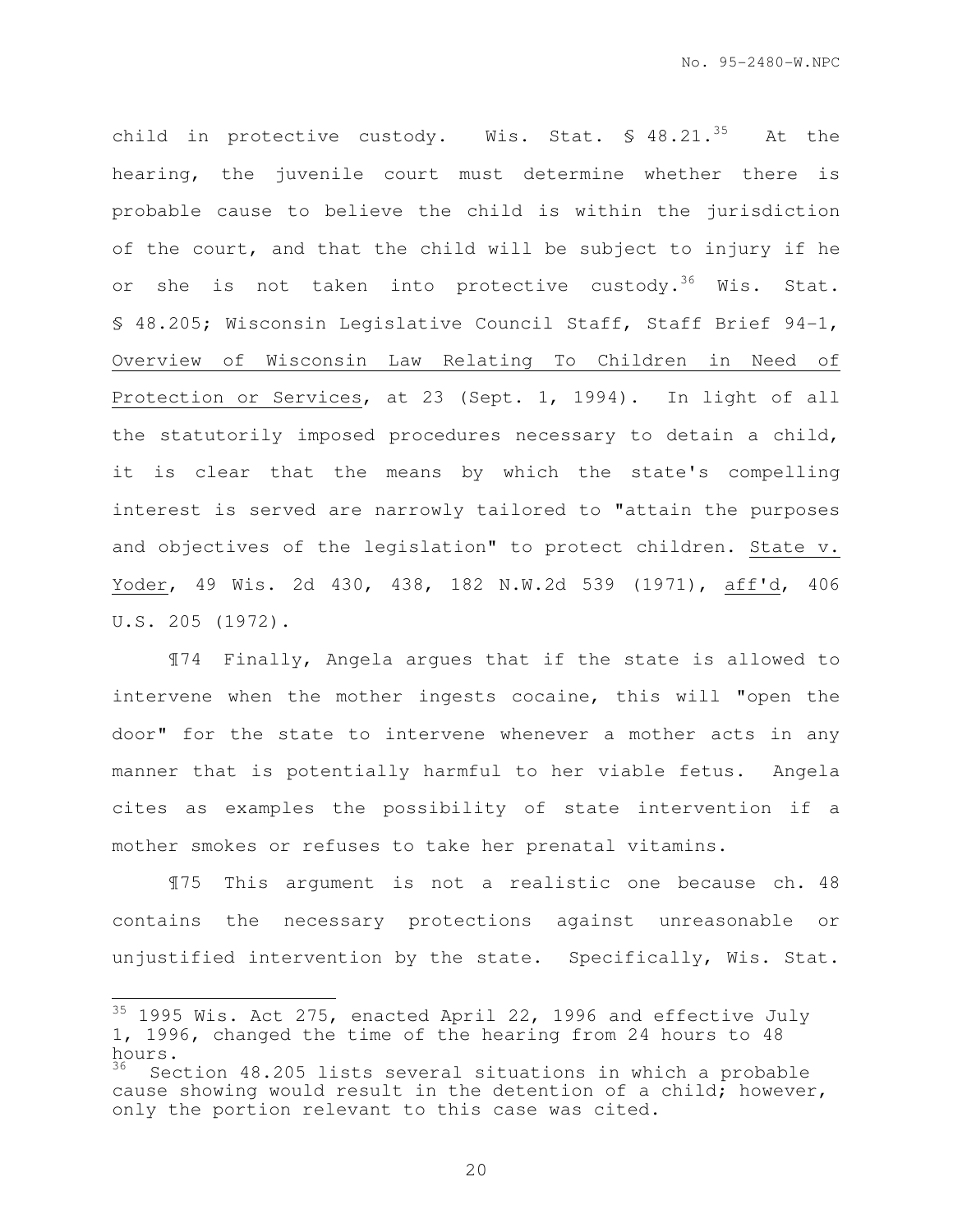child in protective custody. Wis. Stat.  $\text{\$ }48.21.^{35}$  At the hearing, the juvenile court must determine whether there is probable cause to believe the child is within the jurisdiction of the court, and that the child will be subject to injury if he or she is not taken into protective custody.<sup>36</sup> Wis. Stat. § 48.205; Wisconsin Legislative Council Staff, Staff Brief 94-1, Overview of Wisconsin Law Relating To Children in Need of Protection or Services, at 23 (Sept. 1, 1994). In light of all the statutorily imposed procedures necessary to detain a child, it is clear that the means by which the state's compelling interest is served are narrowly tailored to "attain the purposes and objectives of the legislation" to protect children. State v. Yoder, 49 Wis. 2d 430, 438, 182 N.W.2d 539 (1971), aff'd, 406 U.S. 205 (1972).

¶74 Finally, Angela argues that if the state is allowed to intervene when the mother ingests cocaine, this will "open the door" for the state to intervene whenever a mother acts in any manner that is potentially harmful to her viable fetus. Angela cites as examples the possibility of state intervention if a mother smokes or refuses to take her prenatal vitamins.

¶75 This argument is not a realistic one because ch. 48 contains the necessary protections against unreasonable or unjustified intervention by the state. Specifically, Wis. Stat.

 $\overline{a}$ 

 $35$  1995 Wis. Act 275, enacted April 22, 1996 and effective July 1, 1996, changed the time of the hearing from 24 hours to 48 hours.

Section 48.205 lists several situations in which a probable cause showing would result in the detention of a child; however, only the portion relevant to this case was cited.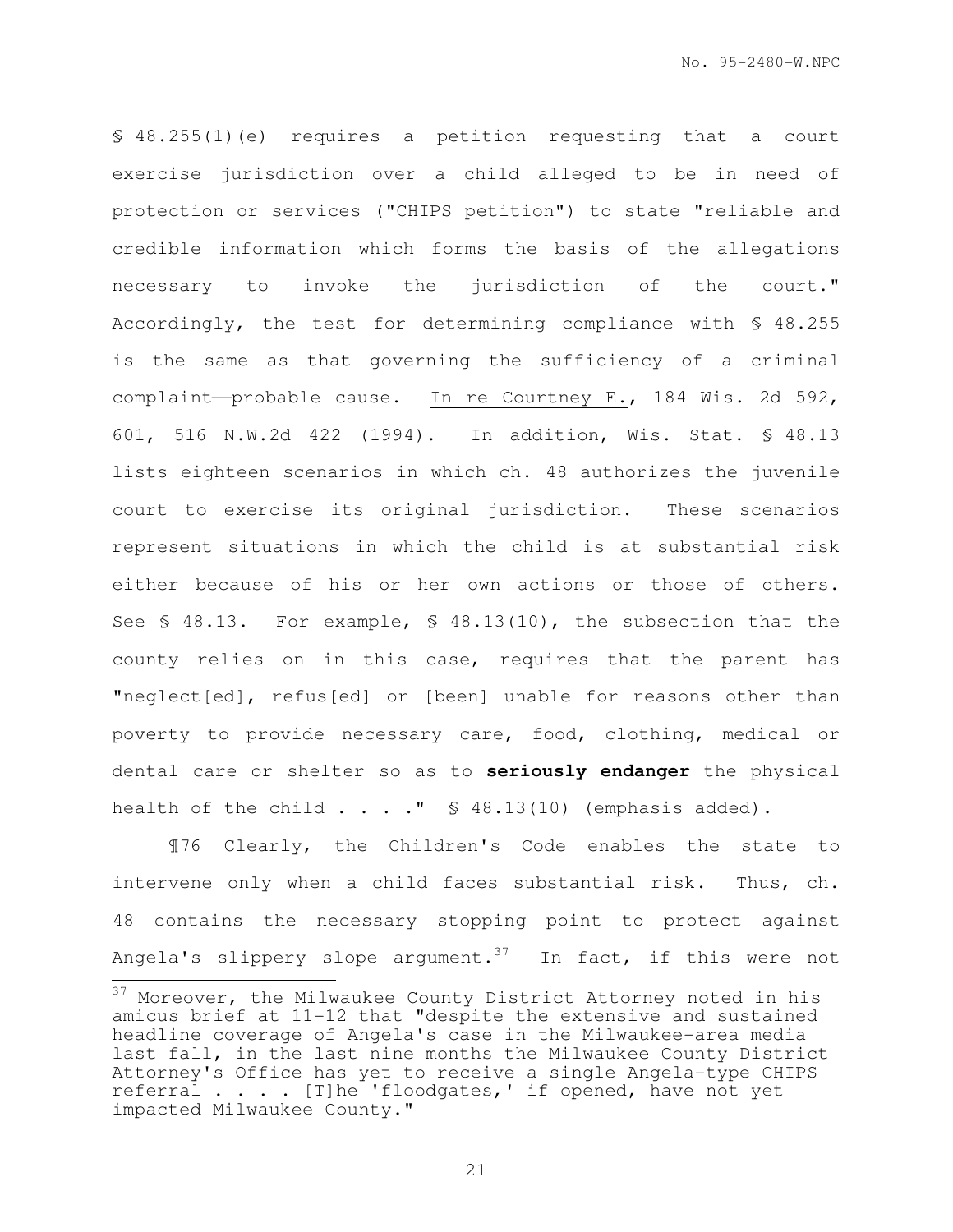§ 48.255(1)(e) requires a petition requesting that a court exercise jurisdiction over a child alleged to be in need of protection or services ("CHIPS petition") to state "reliable and credible information which forms the basis of the allegations necessary to invoke the jurisdiction of the court." Accordingly, the test for determining compliance with § 48.255 is the same as that governing the sufficiency of a criminal complaint-probable cause. In re Courtney E., 184 Wis. 2d 592, 601, 516 N.W.2d 422 (1994). In addition, Wis. Stat. § 48.13 lists eighteen scenarios in which ch. 48 authorizes the juvenile court to exercise its original jurisdiction. These scenarios represent situations in which the child is at substantial risk either because of his or her own actions or those of others. See § 48.13. For example, § 48.13(10), the subsection that the county relies on in this case, requires that the parent has "neglect[ed], refus[ed] or [been] unable for reasons other than poverty to provide necessary care, food, clothing, medical or dental care or shelter so as to **seriously endanger** the physical health of the child  $\ldots$  . . "  $\$\;48.13(10)$  (emphasis added).

¶76 Clearly, the Children's Code enables the state to intervene only when a child faces substantial risk. Thus, ch. 48 contains the necessary stopping point to protect against Angela's slippery slope argument.<sup>37</sup> In fact, if this were not  $\overline{a}$ 

 $37$  Moreover, the Milwaukee County District Attorney noted in his amicus brief at 11-12 that "despite the extensive and sustained headline coverage of Angela's case in the Milwaukee-area media last fall, in the last nine months the Milwaukee County District Attorney's Office has yet to receive a single Angela-type CHIPS referral . . . . [T]he 'floodgates,' if opened, have not yet impacted Milwaukee County."